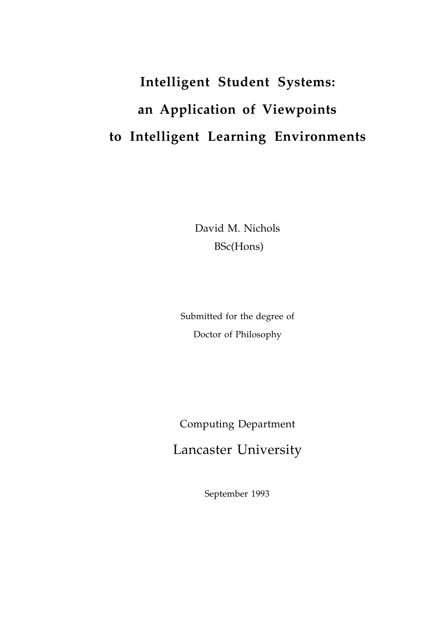# **Intelligent Student Systems: an Application of Viewpoints to Intelligent Learning Environments**

David M. Nichols BSc(Hons)

Submitted for the degree of Doctor of Philosophy

Computing Department Lancaster University

September 1993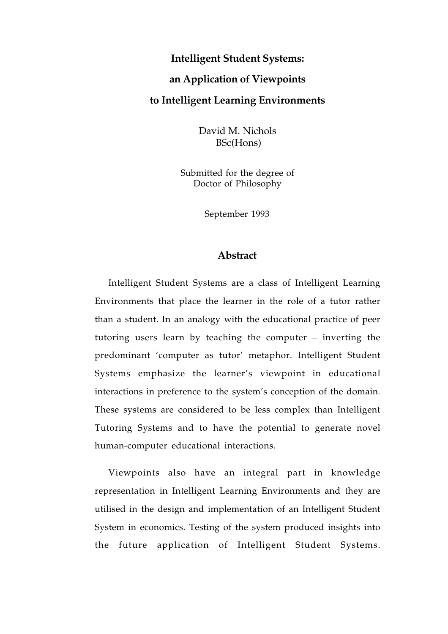#### **Intelligent Student Systems:**

### **an Application of Viewpoints**

#### **to Intelligent Learning Environments**

David M. Nichols BSc(Hons)

Submitted for the degree of Doctor of Philosophy

September 1993

#### **Abstract**

Intelligent Student Systems are a class of Intelligent Learning Environments that place the learner in the role of a tutor rather than a student. In an analogy with the educational practice of peer tutoring users learn by teaching the computer – inverting the predominant 'computer as tutor' metaphor. Intelligent Student Systems emphasize the learner's viewpoint in educational interactions in preference to the system's conception of the domain. These systems are considered to be less complex than Intelligent Tutoring Systems and to have the potential to generate novel human-computer educational interactions.

Viewpoints also have an integral part in knowledge representation in Intelligent Learning Environments and they are utilised in the design and implementation of an Intelligent Student System in economics. Testing of the system produced insights into the future application of Intelligent Student Systems.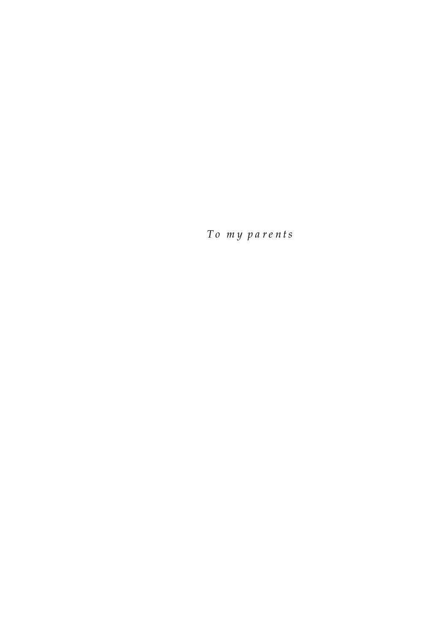To my parents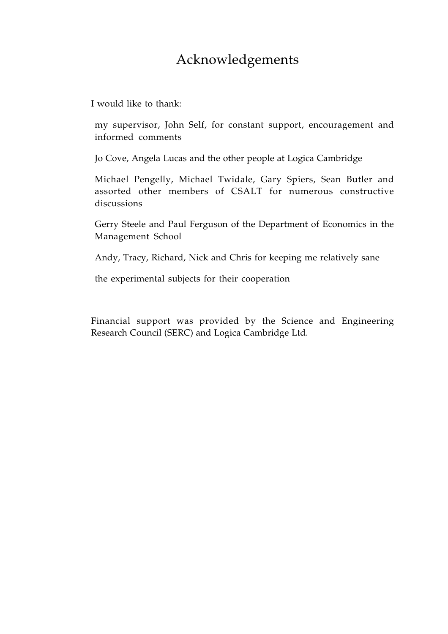# Acknowledgements

I would like to thank:

my supervisor, John Self, for constant support, encouragement and informed comments

Jo Cove, Angela Lucas and the other people at Logica Cambridge

Michael Pengelly, Michael Twidale, Gary Spiers, Sean Butler and assorted other members of CSALT for numerous constructive discussions

Gerry Steele and Paul Ferguson of the Department of Economics in the Management School

Andy, Tracy, Richard, Nick and Chris for keeping me relatively sane

the experimental subjects for their cooperation

Financial support was provided by the Science and Engineering Research Council (SERC) and Logica Cambridge Ltd.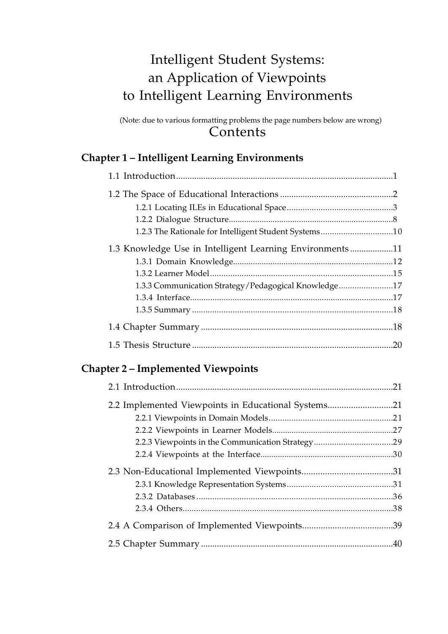# Intelligent Student Systems: an Application of Viewpoints to Intelligent Learning Environments

(Note: due to various formatting problems the page numbers below are wrong) **Contents** 

### **Chapter 1 – Intelligent Learning Environments**

| 1.2.3 The Rationale for Intelligent Student Systems10    |     |
|----------------------------------------------------------|-----|
| 1.3 Knowledge Use in Intelligent Learning Environments11 |     |
|                                                          |     |
|                                                          |     |
| 1.3.3 Communication Strategy/Pedagogical Knowledge17     |     |
|                                                          |     |
|                                                          |     |
|                                                          |     |
|                                                          | .20 |

### **Chapter 2 – Implemented Viewpoints**

| 2.2 Implemented Viewpoints in Educational Systems |  |
|---------------------------------------------------|--|
|                                                   |  |
|                                                   |  |
|                                                   |  |
|                                                   |  |
|                                                   |  |
|                                                   |  |
|                                                   |  |
|                                                   |  |
|                                                   |  |
|                                                   |  |
|                                                   |  |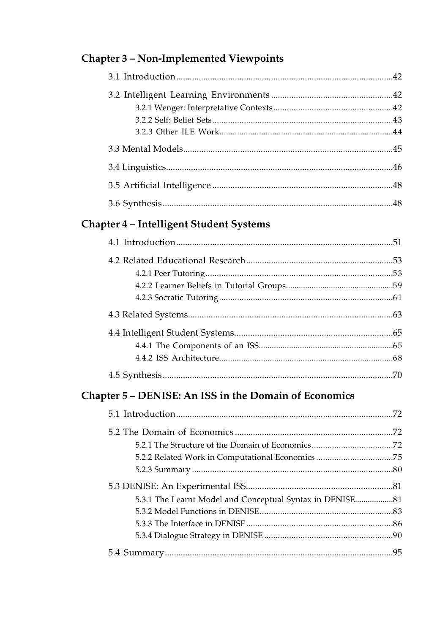## Chapter 3 - Non-Implemented Viewpoints

## Chapter 4 - Intelligent Student Systems

## Chapter 5 - DENISE: An ISS in the Domain of Economics

| 5.2.2 Related Work in Computational Economics 75         |  |
|----------------------------------------------------------|--|
|                                                          |  |
|                                                          |  |
| 5.3.1 The Learnt Model and Conceptual Syntax in DENISE81 |  |
|                                                          |  |
|                                                          |  |
|                                                          |  |
|                                                          |  |
|                                                          |  |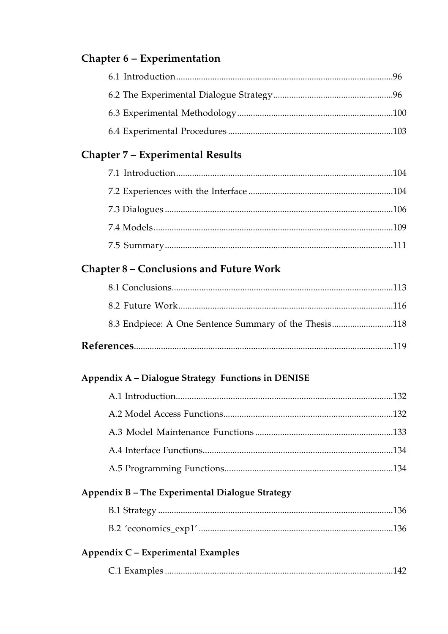### Chapter 6 - Experimentation

### Chapter 7 - Experimental Results

### Chapter 8 - Conclusions and Future Work

| 8.3 Endpiece: A One Sentence Summary of the Thesis118 |  |
|-------------------------------------------------------|--|
|                                                       |  |

### Appendix A - Dialogue Strategy Functions in DENISE

### Appendix B - The Experimental Dialogue Strategy

|--|--|

### Appendix C - Experimental Examples

|--|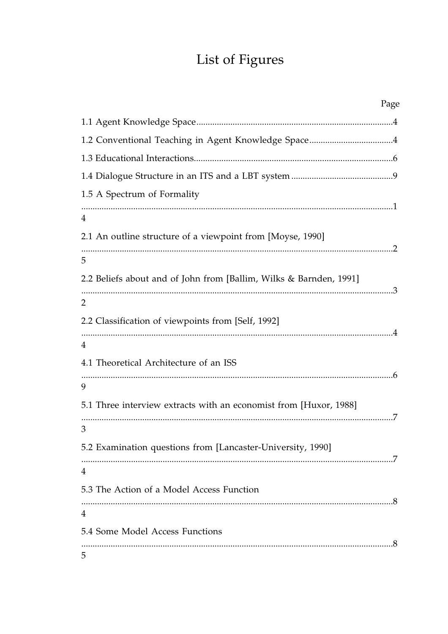# List of Figures

| Page                                                               |  |
|--------------------------------------------------------------------|--|
|                                                                    |  |
| 1.2 Conventional Teaching in Agent Knowledge Space4                |  |
|                                                                    |  |
|                                                                    |  |
| 1.5 A Spectrum of Formality                                        |  |
| 4                                                                  |  |
| 2.1 An outline structure of a viewpoint from [Moyse, 1990]         |  |
| 5                                                                  |  |
| 2.2 Beliefs about and of John from [Ballim, Wilks & Barnden, 1991] |  |
| $\overline{2}$                                                     |  |
| 2.2 Classification of viewpoints from [Self, 1992]                 |  |
| 4                                                                  |  |
| 4.1 Theoretical Architecture of an ISS                             |  |
| 9                                                                  |  |
| 5.1 Three interview extracts with an economist from [Huxor, 1988]  |  |
| 3                                                                  |  |
| 5.2 Examination questions from [Lancaster-University, 1990]        |  |
| 4                                                                  |  |
| 5.3 The Action of a Model Access Function                          |  |
| 4                                                                  |  |
| 5.4 Some Model Access Functions                                    |  |
| 5                                                                  |  |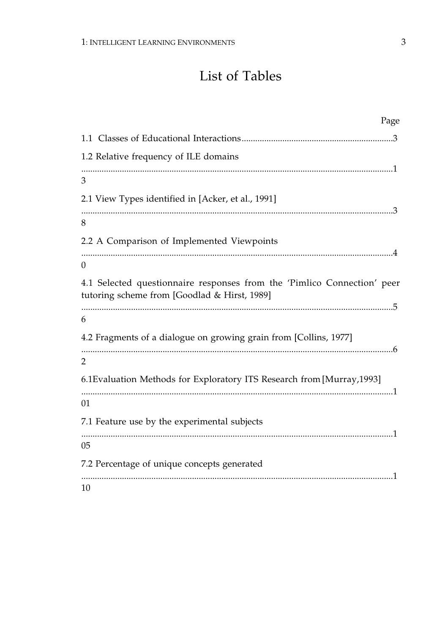# List of Tables

| Page                                                                                                                    |
|-------------------------------------------------------------------------------------------------------------------------|
|                                                                                                                         |
| 1.2 Relative frequency of ILE domains                                                                                   |
| 3                                                                                                                       |
| 2.1 View Types identified in [Acker, et al., 1991]                                                                      |
| 8                                                                                                                       |
| 2.2 A Comparison of Implemented Viewpoints                                                                              |
| $\overline{0}$                                                                                                          |
| 4.1 Selected questionnaire responses from the 'Pimlico Connection' peer<br>tutoring scheme from [Goodlad & Hirst, 1989] |
| 6                                                                                                                       |
| 4.2 Fragments of a dialogue on growing grain from [Collins, 1977]<br>2                                                  |
| 6.1Evaluation Methods for Exploratory ITS Research from [Murray, 1993]                                                  |
| 01                                                                                                                      |
| 7.1 Feature use by the experimental subjects                                                                            |
| 0 <sub>5</sub>                                                                                                          |
| 7.2 Percentage of unique concepts generated                                                                             |
| 10                                                                                                                      |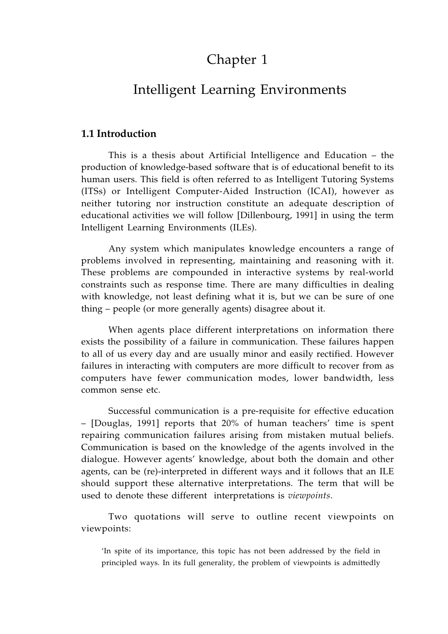# Chapter 1

### Intelligent Learning Environments

#### **1.1 Introduction**

This is a thesis about Artificial Intelligence and Education – the production of knowledge-based software that is of educational benefit to its human users. This field is often referred to as Intelligent Tutoring Systems (ITSs) or Intelligent Computer-Aided Instruction (ICAI), however as neither tutoring nor instruction constitute an adequate description of educational activities we will follow [Dillenbourg, 1991] in using the term Intelligent Learning Environments (ILEs).

Any system which manipulates knowledge encounters a range of problems involved in representing, maintaining and reasoning with it. These problems are compounded in interactive systems by real-world constraints such as response time. There are many difficulties in dealing with knowledge, not least defining what it is, but we can be sure of one thing – people (or more generally agents) disagree about it.

When agents place different interpretations on information there exists the possibility of a failure in communication. These failures happen to all of us every day and are usually minor and easily rectified. However failures in interacting with computers are more difficult to recover from as computers have fewer communication modes, lower bandwidth, less common sense etc.

Successful communication is a pre-requisite for effective education – [Douglas, 1991] reports that 20% of human teachers' time is spent repairing communication failures arising from mistaken mutual beliefs. Communication is based on the knowledge of the agents involved in the dialogue. However agents' knowledge, about both the domain and other agents, can be (re)-interpreted in different ways and it follows that an ILE should support these alternative interpretations. The term that will be used to denote these different interpretations is *viewpoints*.

Two quotations will serve to outline recent viewpoints on viewpoints:

'In spite of its importance, this topic has not been addressed by the field in principled ways. In its full generality, the problem of viewpoints is admittedly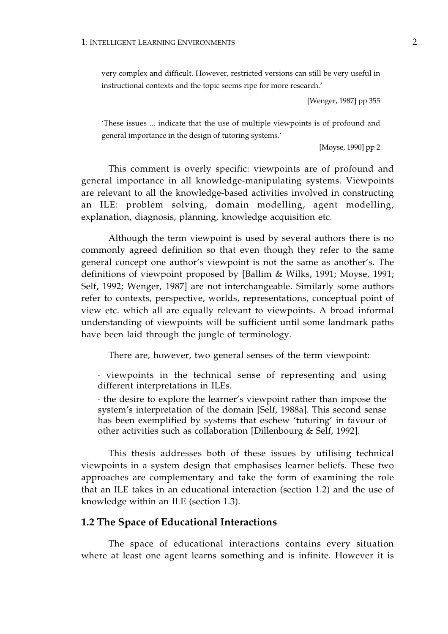very complex and difficult. However, restricted versions can still be very useful in instructional contexts and the topic seems ripe for more research.'

[Wenger, 1987] pp 355

'These issues ... indicate that the use of multiple viewpoints is of profound and general importance in the design of tutoring systems.'

[Moyse, 1990] pp 2

This comment is overly specific: viewpoints are of profound and general importance in all knowledge-manipulating systems. Viewpoints are relevant to all the knowledge-based activities involved in constructing an ILE: problem solving, domain modelling, agent modelling, explanation, diagnosis, planning, knowledge acquisition etc.

Although the term viewpoint is used by several authors there is no commonly agreed definition so that even though they refer to the same general concept one author's viewpoint is not the same as another's. The definitions of viewpoint proposed by [Ballim & Wilks, 1991; Moyse, 1991; Self, 1992; Wenger, 1987] are not interchangeable. Similarly some authors refer to contexts, perspective, worlds, representations, conceptual point of view etc. which all are equally relevant to viewpoints. A broad informal understanding of viewpoints will be sufficient until some landmark paths have been laid through the jungle of terminology.

There are, however, two general senses of the term viewpoint:

· viewpoints in the technical sense of representing and using different interpretations in ILEs.

· the desire to explore the learner's viewpoint rather than impose the system's interpretation of the domain [Self, 1988a]. This second sense has been exemplified by systems that eschew 'tutoring' in favour of other activities such as collaboration [Dillenbourg & Self, 1992].

This thesis addresses both of these issues by utilising technical viewpoints in a system design that emphasises learner beliefs. These two approaches are complementary and take the form of examining the role that an ILE takes in an educational interaction (section 1.2) and the use of knowledge within an ILE (section 1.3).

#### **1.2 The Space of Educational Interactions**

The space of educational interactions contains every situation where at least one agent learns something and is infinite. However it is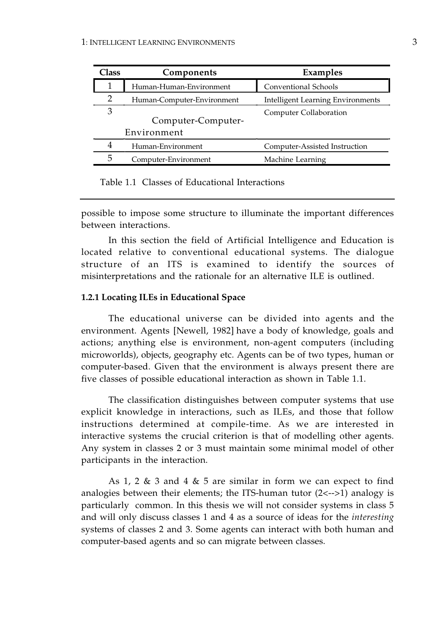| Class<br>Components |                                   | <b>Examples</b>                          |  |
|---------------------|-----------------------------------|------------------------------------------|--|
| 1                   | Human-Human-Environment           | Conventional Schools                     |  |
| 2                   | Human-Computer-Environment        | <b>Intelligent Learning Environments</b> |  |
| 3                   | Computer-Computer-<br>Environment | Computer Collaboration                   |  |
| 4                   | Human-Environment                 | Computer-Assisted Instruction            |  |
| 5                   | Computer-Environment              | Machine Learning                         |  |

Table 1.1 Classes of Educational Interactions

possible to impose some structure to illuminate the important differences between interactions.

In this section the field of Artificial Intelligence and Education is located relative to conventional educational systems. The dialogue structure of an ITS is examined to identify the sources of misinterpretations and the rationale for an alternative ILE is outlined.

#### **1.2.1 Locating ILEs in Educational Space**

The educational universe can be divided into agents and the environment. Agents [Newell, 1982] have a body of knowledge, goals and actions; anything else is environment, non-agent computers (including microworlds), objects, geography etc. Agents can be of two types, human or computer-based. Given that the environment is always present there are five classes of possible educational interaction as shown in Table 1.1.

The classification distinguishes between computer systems that use explicit knowledge in interactions, such as ILEs, and those that follow instructions determined at compile-time. As we are interested in interactive systems the crucial criterion is that of modelling other agents. Any system in classes 2 or 3 must maintain some minimal model of other participants in the interaction.

As 1, 2 & 3 and 4 & 5 are similar in form we can expect to find analogies between their elements; the ITS-human tutor (2<-->1) analogy is particularly common. In this thesis we will not consider systems in class 5 and will only discuss classes 1 and 4 as a source of ideas for the *interesting*  systems of classes 2 and 3. Some agents can interact with both human and computer-based agents and so can migrate between classes.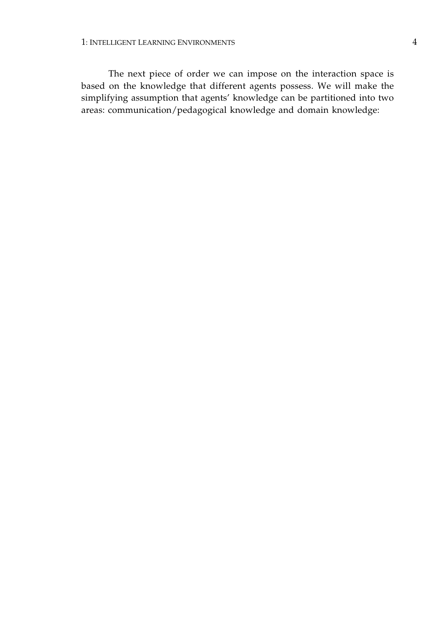The next piece of order we can impose on the interaction space is based on the knowledge that different agents possess. We will make the simplifying assumption that agents' knowledge can be partitioned into two areas: communication/pedagogical knowledge and domain knowledge: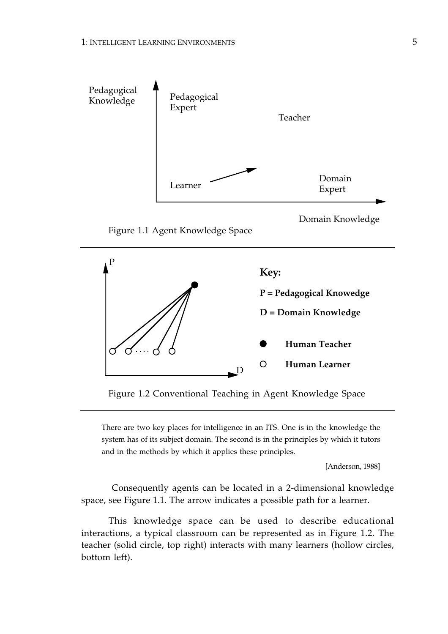



Figure 1.2 Conventional Teaching in Agent Knowledge Space

There are two key places for intelligence in an ITS. One is in the knowledge the system has of its subject domain. The second is in the principles by which it tutors and in the methods by which it applies these principles.

[Anderson, 1988]

 Consequently agents can be located in a 2-dimensional knowledge space, see Figure 1.1. The arrow indicates a possible path for a learner.

This knowledge space can be used to describe educational interactions, a typical classroom can be represented as in Figure 1.2. The teacher (solid circle, top right) interacts with many learners (hollow circles, bottom left).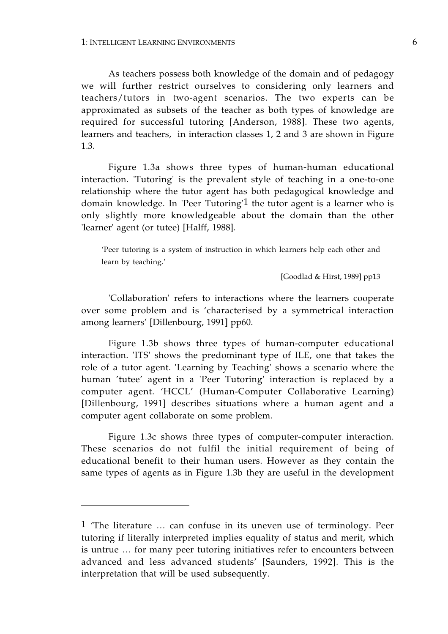As teachers possess both knowledge of the domain and of pedagogy we will further restrict ourselves to considering only learners and teachers/tutors in two-agent scenarios. The two experts can be approximated as subsets of the teacher as both types of knowledge are required for successful tutoring [Anderson, 1988]. These two agents, learners and teachers, in interaction classes 1, 2 and 3 are shown in Figure 1.3.

Figure 1.3a shows three types of human-human educational interaction. 'Tutoring' is the prevalent style of teaching in a one-to-one relationship where the tutor agent has both pedagogical knowledge and domain knowledge. In 'Peer Tutoring'1 the tutor agent is a learner who is only slightly more knowledgeable about the domain than the other 'learner' agent (or tutee) [Halff, 1988].

'Peer tutoring is a system of instruction in which learners help each other and learn by teaching.'

[Goodlad & Hirst, 1989] pp13

'Collaboration' refers to interactions where the learners cooperate over some problem and is 'characterised by a symmetrical interaction among learners' [Dillenbourg, 1991] pp60.

Figure 1.3b shows three types of human-computer educational interaction. 'ITS' shows the predominant type of ILE, one that takes the role of a tutor agent. 'Learning by Teaching' shows a scenario where the human 'tutee' agent in a 'Peer Tutoring' interaction is replaced by a computer agent. 'HCCL' (Human-Computer Collaborative Learning) [Dillenbourg, 1991] describes situations where a human agent and a computer agent collaborate on some problem.

Figure 1.3c shows three types of computer-computer interaction. These scenarios do not fulfil the initial requirement of being of educational benefit to their human users. However as they contain the same types of agents as in Figure 1.3b they are useful in the development

<sup>1 &#</sup>x27;The literature … can confuse in its uneven use of terminology. Peer tutoring if literally interpreted implies equality of status and merit, which is untrue … for many peer tutoring initiatives refer to encounters between advanced and less advanced students' [Saunders, 1992]. This is the interpretation that will be used subsequently.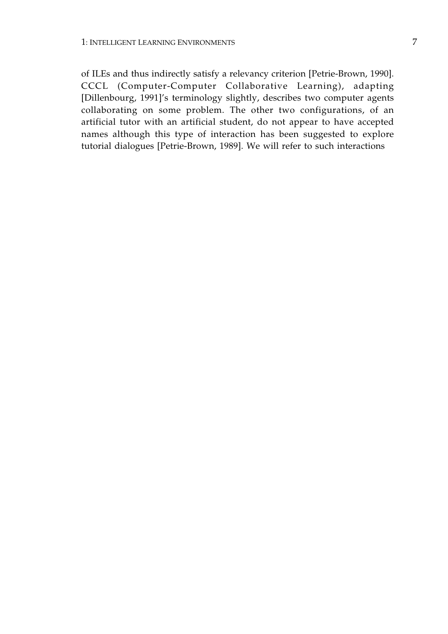of ILEs and thus indirectly satisfy a relevancy criterion [Petrie-Brown, 1990]. CCCL (Computer-Computer Collaborative Learning), adapting [Dillenbourg, 1991]'s terminology slightly, describes two computer agents collaborating on some problem. The other two configurations, of an artificial tutor with an artificial student, do not appear to have accepted names although this type of interaction has been suggested to explore tutorial dialogues [Petrie-Brown, 1989]. We will refer to such interactions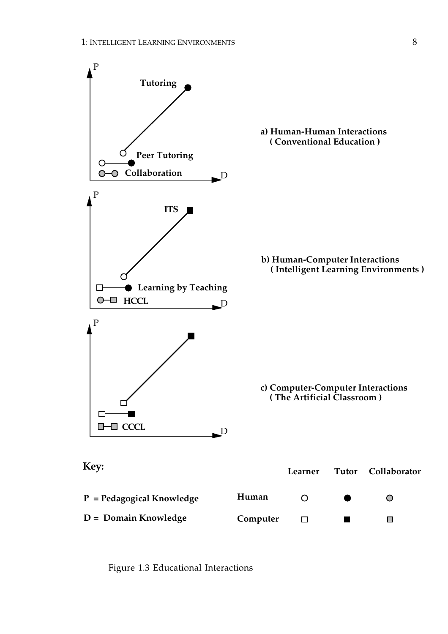

Figure 1.3 Educational Interactions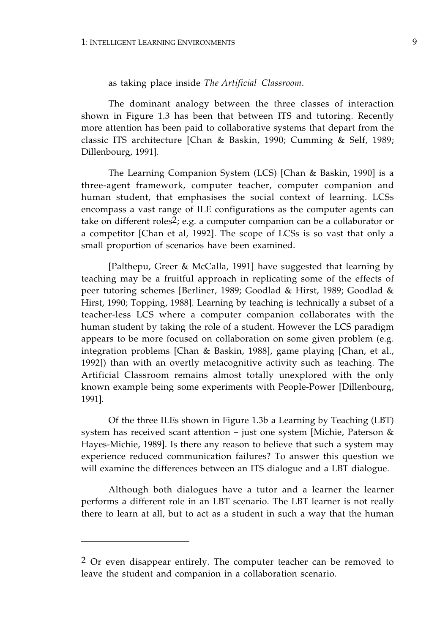as taking place inside *The Artificial Classroom*.

The dominant analogy between the three classes of interaction shown in Figure 1.3 has been that between ITS and tutoring. Recently more attention has been paid to collaborative systems that depart from the classic ITS architecture [Chan & Baskin, 1990; Cumming & Self, 1989; Dillenbourg, 1991].

The Learning Companion System (LCS) [Chan & Baskin, 1990] is a three-agent framework, computer teacher, computer companion and human student, that emphasises the social context of learning. LCSs encompass a vast range of ILE configurations as the computer agents can take on different roles2; e.g. a computer companion can be a collaborator or a competitor [Chan et al, 1992]. The scope of LCSs is so vast that only a small proportion of scenarios have been examined.

[Palthepu, Greer & McCalla, 1991] have suggested that learning by teaching may be a fruitful approach in replicating some of the effects of peer tutoring schemes [Berliner, 1989; Goodlad & Hirst, 1989; Goodlad & Hirst, 1990; Topping, 1988]. Learning by teaching is technically a subset of a teacher-less LCS where a computer companion collaborates with the human student by taking the role of a student. However the LCS paradigm appears to be more focused on collaboration on some given problem (e.g. integration problems [Chan & Baskin, 1988], game playing [Chan, et al., 1992]) than with an overtly metacognitive activity such as teaching. The Artificial Classroom remains almost totally unexplored with the only known example being some experiments with People-Power [Dillenbourg, 1991].

Of the three ILEs shown in Figure 1.3b a Learning by Teaching (LBT) system has received scant attention – just one system [Michie, Paterson & Hayes-Michie, 1989]. Is there any reason to believe that such a system may experience reduced communication failures? To answer this question we will examine the differences between an ITS dialogue and a LBT dialogue.

Although both dialogues have a tutor and a learner the learner performs a different role in an LBT scenario. The LBT learner is not really there to learn at all, but to act as a student in such a way that the human

<sup>2</sup> Or even disappear entirely. The computer teacher can be removed to leave the student and companion in a collaboration scenario.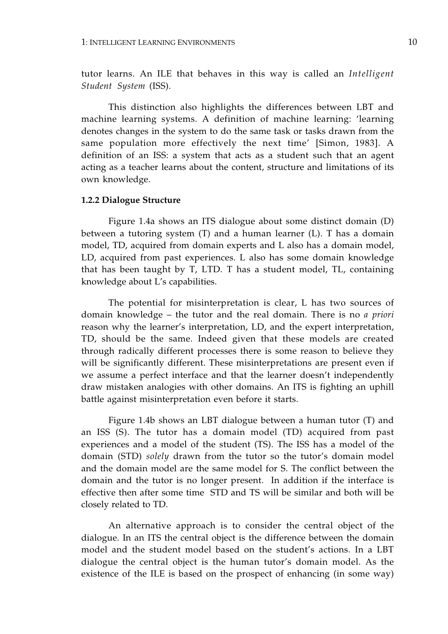tutor learns. An ILE that behaves in this way is called an *Intelligent Student System* (ISS).

This distinction also highlights the differences between LBT and machine learning systems. A definition of machine learning: 'learning denotes changes in the system to do the same task or tasks drawn from the same population more effectively the next time' [Simon, 1983]. A definition of an ISS: a system that acts as a student such that an agent acting as a teacher learns about the content, structure and limitations of its own knowledge.

#### **1.2.2 Dialogue Structure**

Figure 1.4a shows an ITS dialogue about some distinct domain (D) between a tutoring system (T) and a human learner (L). T has a domain model, TD, acquired from domain experts and L also has a domain model, LD, acquired from past experiences. L also has some domain knowledge that has been taught by T, LTD. T has a student model, TL, containing knowledge about L's capabilities.

The potential for misinterpretation is clear, L has two sources of domain knowledge – the tutor and the real domain. There is no *a priori*  reason why the learner's interpretation, LD, and the expert interpretation, TD, should be the same. Indeed given that these models are created through radically different processes there is some reason to believe they will be significantly different. These misinterpretations are present even if we assume a perfect interface and that the learner doesn't independently draw mistaken analogies with other domains. An ITS is fighting an uphill battle against misinterpretation even before it starts.

Figure 1.4b shows an LBT dialogue between a human tutor (T) and an ISS (S). The tutor has a domain model (TD) acquired from past experiences and a model of the student (TS). The ISS has a model of the domain (STD) *solely* drawn from the tutor so the tutor's domain model and the domain model are the same model for S. The conflict between the domain and the tutor is no longer present. In addition if the interface is effective then after some time STD and TS will be similar and both will be closely related to TD.

An alternative approach is to consider the central object of the dialogue. In an ITS the central object is the difference between the domain model and the student model based on the student's actions. In a LBT dialogue the central object is the human tutor's domain model. As the existence of the ILE is based on the prospect of enhancing (in some way)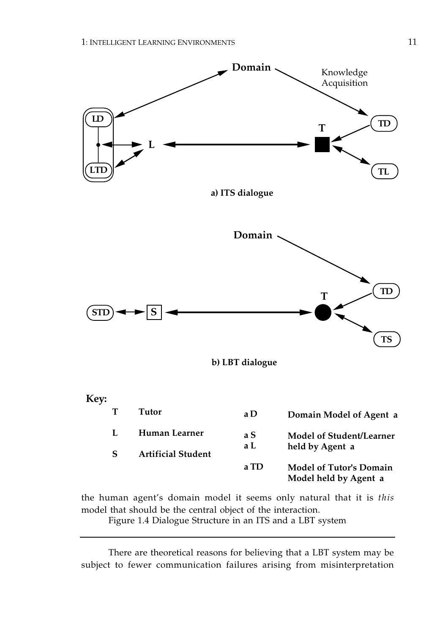





**Key:** 

| Tutor                                      | a D        | Domain Model of Agent a                                 |
|--------------------------------------------|------------|---------------------------------------------------------|
| Human Learner<br><b>Artificial Student</b> | a S<br>a L | <b>Model of Student/Learner</b><br>held by Agent a      |
|                                            | a TD       | <b>Model of Tutor's Domain</b><br>Model held by Agent a |

the human agent's domain model it seems only natural that it is *this*  model that should be the central object of the interaction.

Figure 1.4 Dialogue Structure in an ITS and a LBT system

There are theoretical reasons for believing that a LBT system may be subject to fewer communication failures arising from misinterpretation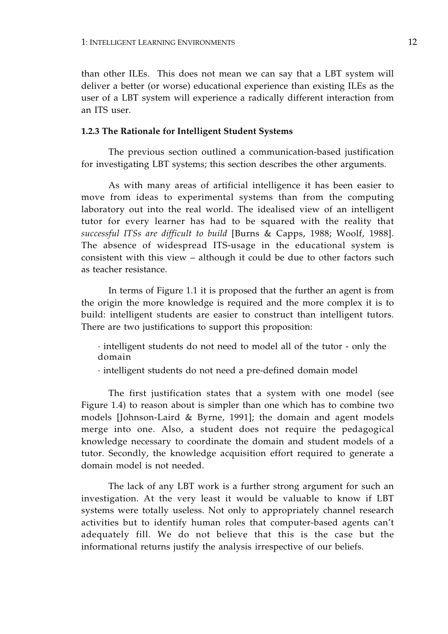than other ILEs. This does not mean we can say that a LBT system will deliver a better (or worse) educational experience than existing ILEs as the user of a LBT system will experience a radically different interaction from an ITS user.

#### **1.2.3 The Rationale for Intelligent Student Systems**

The previous section outlined a communication-based justification for investigating LBT systems; this section describes the other arguments.

As with many areas of artificial intelligence it has been easier to move from ideas to experimental systems than from the computing laboratory out into the real world. The idealised view of an intelligent tutor for every learner has had to be squared with the reality that *successful ITSs are difficult to build* [Burns & Capps, 1988; Woolf, 1988]. The absence of widespread ITS-usage in the educational system is consistent with this view – although it could be due to other factors such as teacher resistance.

In terms of Figure 1.1 it is proposed that the further an agent is from the origin the more knowledge is required and the more complex it is to build: intelligent students are easier to construct than intelligent tutors. There are two justifications to support this proposition:

· intelligent students do not need to model all of the tutor - only the domain

· intelligent students do not need a pre-defined domain model

The first justification states that a system with one model (see Figure 1.4) to reason about is simpler than one which has to combine two models [Johnson-Laird & Byrne, 1991]; the domain and agent models merge into one. Also, a student does not require the pedagogical knowledge necessary to coordinate the domain and student models of a tutor. Secondly, the knowledge acquisition effort required to generate a domain model is not needed.

The lack of any LBT work is a further strong argument for such an investigation. At the very least it would be valuable to know if LBT systems were totally useless. Not only to appropriately channel research activities but to identify human roles that computer-based agents can't adequately fill. We do not believe that this is the case but the informational returns justify the analysis irrespective of our beliefs.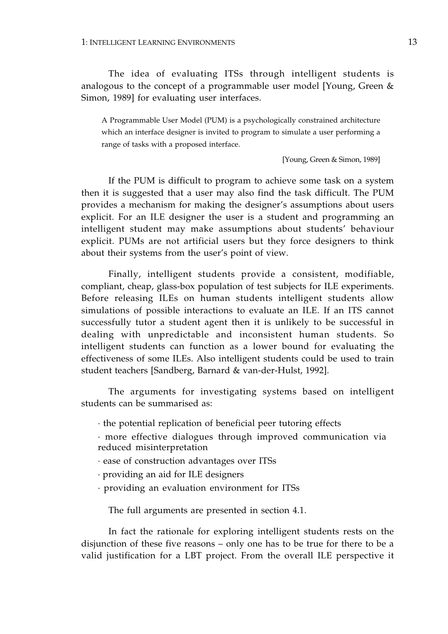The idea of evaluating ITSs through intelligent students is analogous to the concept of a programmable user model [Young, Green & Simon, 1989] for evaluating user interfaces.

A Programmable User Model (PUM) is a psychologically constrained architecture which an interface designer is invited to program to simulate a user performing a range of tasks with a proposed interface.

[Young, Green & Simon, 1989]

If the PUM is difficult to program to achieve some task on a system then it is suggested that a user may also find the task difficult. The PUM provides a mechanism for making the designer's assumptions about users explicit. For an ILE designer the user is a student and programming an intelligent student may make assumptions about students' behaviour explicit. PUMs are not artificial users but they force designers to think about their systems from the user's point of view.

Finally, intelligent students provide a consistent, modifiable, compliant, cheap, glass-box population of test subjects for ILE experiments. Before releasing ILEs on human students intelligent students allow simulations of possible interactions to evaluate an ILE. If an ITS cannot successfully tutor a student agent then it is unlikely to be successful in dealing with unpredictable and inconsistent human students. So intelligent students can function as a lower bound for evaluating the effectiveness of some ILEs. Also intelligent students could be used to train student teachers [Sandberg, Barnard & van-der-Hulst, 1992].

The arguments for investigating systems based on intelligent students can be summarised as:

· the potential replication of beneficial peer tutoring effects

· more effective dialogues through improved communication via reduced misinterpretation

· ease of construction advantages over ITSs

· providing an aid for ILE designers

· providing an evaluation environment for ITSs

The full arguments are presented in section 4.1.

In fact the rationale for exploring intelligent students rests on the disjunction of these five reasons – only one has to be true for there to be a valid justification for a LBT project. From the overall ILE perspective it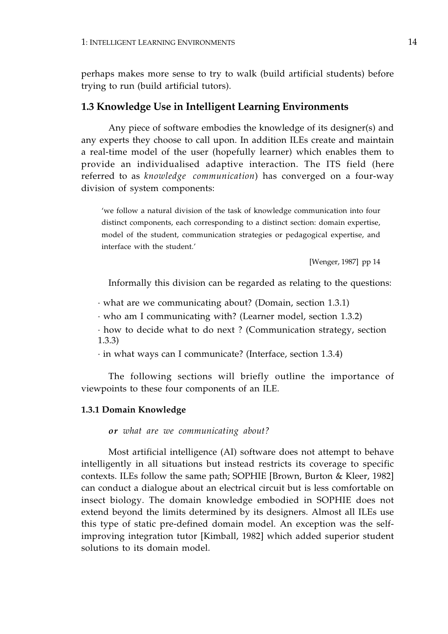perhaps makes more sense to try to walk (build artificial students) before trying to run (build artificial tutors).

#### **1.3 Knowledge Use in Intelligent Learning Environments**

Any piece of software embodies the knowledge of its designer(s) and any experts they choose to call upon. In addition ILEs create and maintain a real-time model of the user (hopefully learner) which enables them to provide an individualised adaptive interaction. The ITS field (here referred to as *knowledge communication*) has converged on a four-way division of system components:

'we follow a natural division of the task of knowledge communication into four distinct components, each corresponding to a distinct section: domain expertise, model of the student, communication strategies or pedagogical expertise, and interface with the student.'

[Wenger, 1987] pp 14

Informally this division can be regarded as relating to the questions:

· what are we communicating about? (Domain, section 1.3.1)

· who am I communicating with? (Learner model, section 1.3.2)

· how to decide what to do next ? (Communication strategy, section 1.3.3)

· in what ways can I communicate? (Interface, section 1.3.4)

The following sections will briefly outline the importance of viewpoints to these four components of an ILE.

#### **1.3.1 Domain Knowledge**

*or what are we communicating about?* 

Most artificial intelligence (AI) software does not attempt to behave intelligently in all situations but instead restricts its coverage to specific contexts. ILEs follow the same path; SOPHIE [Brown, Burton & Kleer, 1982] can conduct a dialogue about an electrical circuit but is less comfortable on insect biology. The domain knowledge embodied in SOPHIE does not extend beyond the limits determined by its designers. Almost all ILEs use this type of static pre-defined domain model. An exception was the selfimproving integration tutor [Kimball, 1982] which added superior student solutions to its domain model.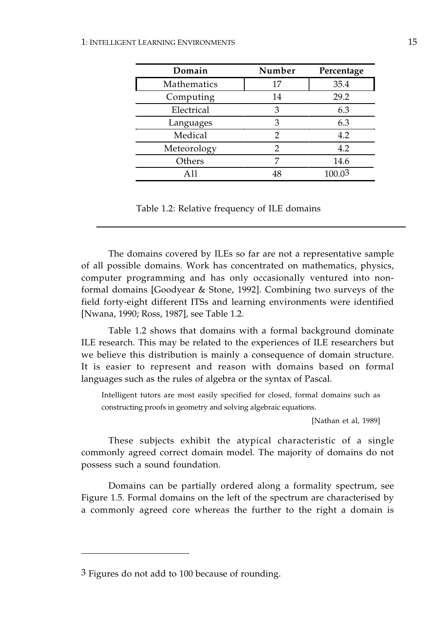| Domain      | Number | Percentage |
|-------------|--------|------------|
| Mathematics | 17     | 35.4       |
| Computing   | 14     | 29.2       |
| Electrical  | 3      | 6.3        |
| Languages   | 3      | 6.3        |
| Medical     | 2      | 4.2        |
| Meteorology | 2      | 4.2        |
| Others      |        | 14.6       |
| $\Delta$ 11 | 48     | 100.03     |

Table 1.2: Relative frequency of ILE domains

The domains covered by ILEs so far are not a representative sample of all possible domains. Work has concentrated on mathematics, physics, computer programming and has only occasionally ventured into nonformal domains [Goodyear & Stone, 1992]. Combining two surveys of the field forty-eight different ITSs and learning environments were identified [Nwana, 1990; Ross, 1987], see Table 1.2.

Table 1.2 shows that domains with a formal background dominate ILE research. This may be related to the experiences of ILE researchers but we believe this distribution is mainly a consequence of domain structure. It is easier to represent and reason with domains based on formal languages such as the rules of algebra or the syntax of Pascal.

Intelligent tutors are most easily specified for closed, formal domains such as constructing proofs in geometry and solving algebraic equations.

[Nathan et al, 1989]

These subjects exhibit the atypical characteristic of a single commonly agreed correct domain model. The majority of domains do not possess such a sound foundation.

Domains can be partially ordered along a formality spectrum, see Figure 1.5. Formal domains on the left of the spectrum are characterised by a commonly agreed core whereas the further to the right a domain is

<sup>3</sup> Figures do not add to 100 because of rounding.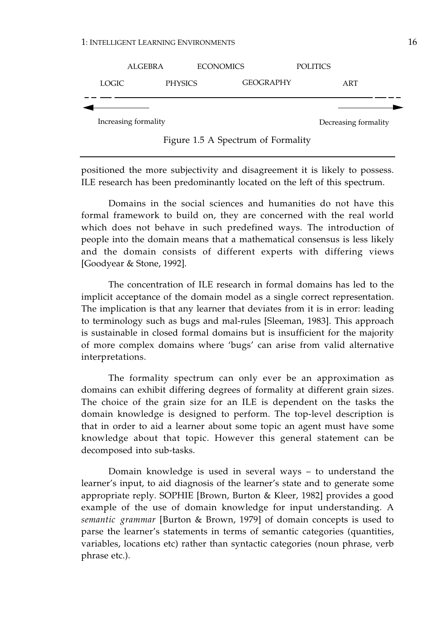|                      | <b>ALGEBRA</b> | <b>ECONOMICS</b> | <b>POLITICS</b>      |
|----------------------|----------------|------------------|----------------------|
| LOGIC                | PHYSICS        | <b>GEOGRAPHY</b> | ART                  |
|                      |                |                  |                      |
| Increasing formality |                |                  | Decreasing formality |

Figure 1.5 A Spectrum of Formality

positioned the more subjectivity and disagreement it is likely to possess. ILE research has been predominantly located on the left of this spectrum.

Domains in the social sciences and humanities do not have this formal framework to build on, they are concerned with the real world which does not behave in such predefined ways. The introduction of people into the domain means that a mathematical consensus is less likely and the domain consists of different experts with differing views [Goodyear & Stone, 1992].

The concentration of ILE research in formal domains has led to the implicit acceptance of the domain model as a single correct representation. The implication is that any learner that deviates from it is in error: leading to terminology such as bugs and mal-rules [Sleeman, 1983]. This approach is sustainable in closed formal domains but is insufficient for the majority of more complex domains where 'bugs' can arise from valid alternative interpretations.

The formality spectrum can only ever be an approximation as domains can exhibit differing degrees of formality at different grain sizes. The choice of the grain size for an ILE is dependent on the tasks the domain knowledge is designed to perform. The top-level description is that in order to aid a learner about some topic an agent must have some knowledge about that topic. However this general statement can be decomposed into sub-tasks.

Domain knowledge is used in several ways – to understand the learner's input, to aid diagnosis of the learner's state and to generate some appropriate reply. SOPHIE [Brown, Burton & Kleer, 1982] provides a good example of the use of domain knowledge for input understanding. A *semantic grammar* [Burton & Brown, 1979] of domain concepts is used to parse the learner's statements in terms of semantic categories (quantities, variables, locations etc) rather than syntactic categories (noun phrase, verb phrase etc.).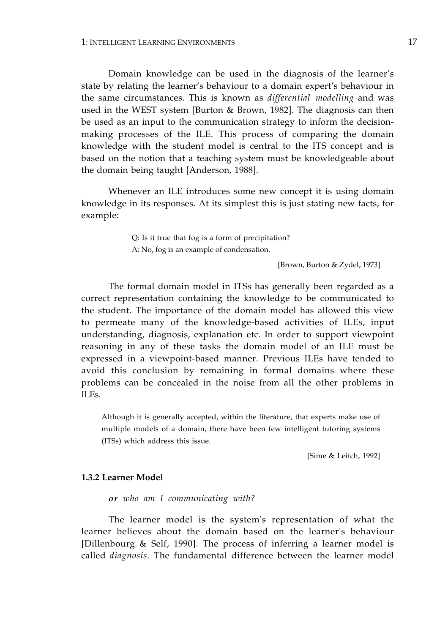Domain knowledge can be used in the diagnosis of the learner's state by relating the learner's behaviour to a domain expert's behaviour in the same circumstances. This is known as *differential modelling* and was used in the WEST system [Burton & Brown, 1982]. The diagnosis can then be used as an input to the communication strategy to inform the decisionmaking processes of the ILE. This process of comparing the domain knowledge with the student model is central to the ITS concept and is based on the notion that a teaching system must be knowledgeable about the domain being taught [Anderson, 1988].

Whenever an ILE introduces some new concept it is using domain knowledge in its responses. At its simplest this is just stating new facts, for example:

> Q: Is it true that fog is a form of precipitation? A: No, fog is an example of condensation.

> > [Brown, Burton & Zydel, 1973]

The formal domain model in ITSs has generally been regarded as a correct representation containing the knowledge to be communicated to the student. The importance of the domain model has allowed this view to permeate many of the knowledge-based activities of ILEs, input understanding, diagnosis, explanation etc. In order to support viewpoint reasoning in any of these tasks the domain model of an ILE must be expressed in a viewpoint-based manner. Previous ILEs have tended to avoid this conclusion by remaining in formal domains where these problems can be concealed in the noise from all the other problems in ILEs.

Although it is generally accepted, within the literature, that experts make use of multiple models of a domain, there have been few intelligent tutoring systems (ITSs) which address this issue.

[Sime & Leitch, 1992]

#### **1.3.2 Learner Model**

*or who am I communicating with?* 

The learner model is the system's representation of what the learner believes about the domain based on the learner's behaviour [Dillenbourg & Self, 1990]. The process of inferring a learner model is called *diagnosis*. The fundamental difference between the learner model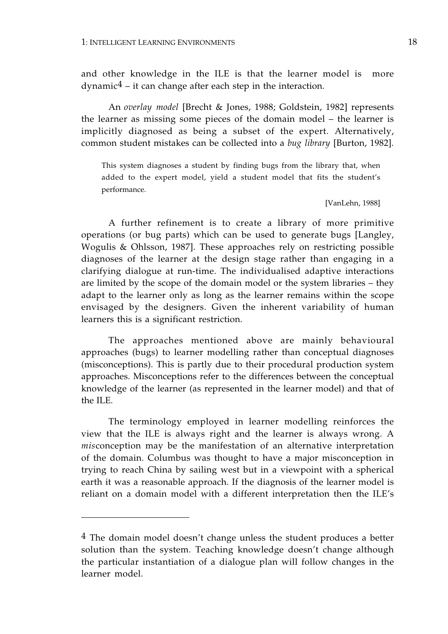and other knowledge in the ILE is that the learner model is more  $\gamma$  dynamic<sup>4</sup> – it can change after each step in the interaction.

An *overlay model* [Brecht & Jones, 1988; Goldstein, 1982] represents the learner as missing some pieces of the domain model – the learner is implicitly diagnosed as being a subset of the expert. Alternatively, common student mistakes can be collected into a *bug library* [Burton, 1982].

This system diagnoses a student by finding bugs from the library that, when added to the expert model, yield a student model that fits the student's performance.

[VanLehn, 1988]

A further refinement is to create a library of more primitive operations (or bug parts) which can be used to generate bugs [Langley, Wogulis & Ohlsson, 1987]. These approaches rely on restricting possible diagnoses of the learner at the design stage rather than engaging in a clarifying dialogue at run-time. The individualised adaptive interactions are limited by the scope of the domain model or the system libraries – they adapt to the learner only as long as the learner remains within the scope envisaged by the designers. Given the inherent variability of human learners this is a significant restriction.

The approaches mentioned above are mainly behavioural approaches (bugs) to learner modelling rather than conceptual diagnoses (misconceptions). This is partly due to their procedural production system approaches. Misconceptions refer to the differences between the conceptual knowledge of the learner (as represented in the learner model) and that of the ILE.

The terminology employed in learner modelling reinforces the view that the ILE is always right and the learner is always wrong. A *mis*conception may be the manifestation of an alternative interpretation of the domain. Columbus was thought to have a major misconception in trying to reach China by sailing west but in a viewpoint with a spherical earth it was a reasonable approach. If the diagnosis of the learner model is reliant on a domain model with a different interpretation then the ILE's

<sup>4</sup> The domain model doesn't change unless the student produces a better solution than the system. Teaching knowledge doesn't change although the particular instantiation of a dialogue plan will follow changes in the learner model.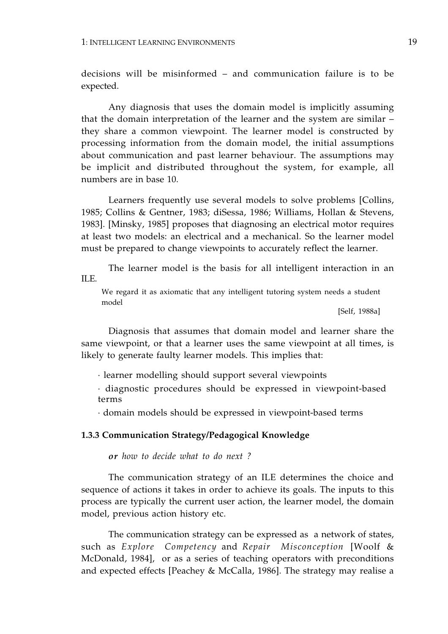decisions will be misinformed – and communication failure is to be expected.

Any diagnosis that uses the domain model is implicitly assuming that the domain interpretation of the learner and the system are similar – they share a common viewpoint. The learner model is constructed by processing information from the domain model, the initial assumptions about communication and past learner behaviour. The assumptions may be implicit and distributed throughout the system, for example, all numbers are in base 10.

Learners frequently use several models to solve problems [Collins, 1985; Collins & Gentner, 1983; diSessa, 1986; Williams, Hollan & Stevens, 1983]. [Minsky, 1985] proposes that diagnosing an electrical motor requires at least two models: an electrical and a mechanical. So the learner model must be prepared to change viewpoints to accurately reflect the learner.

The learner model is the basis for all intelligent interaction in an ILE.

We regard it as axiomatic that any intelligent tutoring system needs a student model

[Self, 1988a]

Diagnosis that assumes that domain model and learner share the same viewpoint, or that a learner uses the same viewpoint at all times, is likely to generate faulty learner models. This implies that:

· learner modelling should support several viewpoints

· diagnostic procedures should be expressed in viewpoint-based terms

· domain models should be expressed in viewpoint-based terms

#### **1.3.3 Communication Strategy/Pedagogical Knowledge**

*or how to decide what to do next ?* 

The communication strategy of an ILE determines the choice and sequence of actions it takes in order to achieve its goals. The inputs to this process are typically the current user action, the learner model, the domain model, previous action history etc.

The communication strategy can be expressed as a network of states, such as *Explore Competency* and *Repair Misconception* [Woolf & McDonald, 1984], or as a series of teaching operators with preconditions and expected effects [Peachey & McCalla, 1986]. The strategy may realise a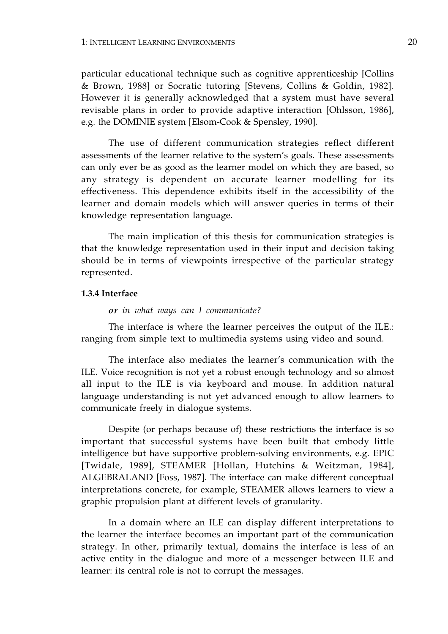particular educational technique such as cognitive apprenticeship [Collins & Brown, 1988] or Socratic tutoring [Stevens, Collins & Goldin, 1982]. However it is generally acknowledged that a system must have several revisable plans in order to provide adaptive interaction [Ohlsson, 1986], e.g. the DOMINIE system [Elsom-Cook & Spensley, 1990].

The use of different communication strategies reflect different assessments of the learner relative to the system's goals. These assessments can only ever be as good as the learner model on which they are based, so any strategy is dependent on accurate learner modelling for its effectiveness. This dependence exhibits itself in the accessibility of the learner and domain models which will answer queries in terms of their knowledge representation language.

The main implication of this thesis for communication strategies is that the knowledge representation used in their input and decision taking should be in terms of viewpoints irrespective of the particular strategy represented.

#### **1.3.4 Interface**

#### *or in what ways can I communicate?*

The interface is where the learner perceives the output of the ILE.: ranging from simple text to multimedia systems using video and sound.

The interface also mediates the learner's communication with the ILE. Voice recognition is not yet a robust enough technology and so almost all input to the ILE is via keyboard and mouse. In addition natural language understanding is not yet advanced enough to allow learners to communicate freely in dialogue systems.

Despite (or perhaps because of) these restrictions the interface is so important that successful systems have been built that embody little intelligence but have supportive problem-solving environments, e.g. EPIC [Twidale, 1989], STEAMER [Hollan, Hutchins & Weitzman, 1984], ALGEBRALAND [Foss, 1987]. The interface can make different conceptual interpretations concrete, for example, STEAMER allows learners to view a graphic propulsion plant at different levels of granularity.

In a domain where an ILE can display different interpretations to the learner the interface becomes an important part of the communication strategy. In other, primarily textual, domains the interface is less of an active entity in the dialogue and more of a messenger between ILE and learner: its central role is not to corrupt the messages.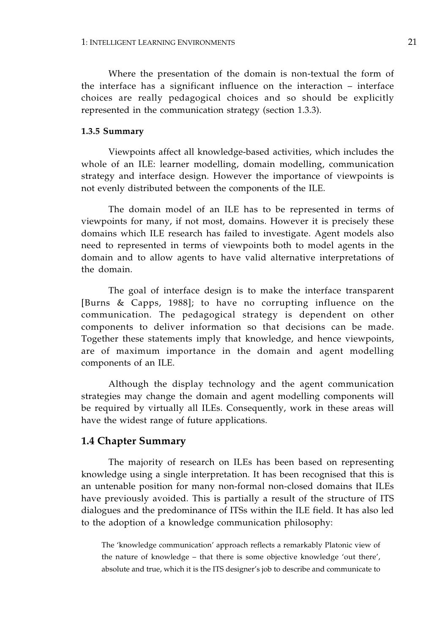Where the presentation of the domain is non-textual the form of the interface has a significant influence on the interaction – interface choices are really pedagogical choices and so should be explicitly represented in the communication strategy (section 1.3.3).

#### **1.3.5 Summary**

Viewpoints affect all knowledge-based activities, which includes the whole of an ILE: learner modelling, domain modelling, communication strategy and interface design. However the importance of viewpoints is not evenly distributed between the components of the ILE.

The domain model of an ILE has to be represented in terms of viewpoints for many, if not most, domains. However it is precisely these domains which ILE research has failed to investigate. Agent models also need to represented in terms of viewpoints both to model agents in the domain and to allow agents to have valid alternative interpretations of the domain.

The goal of interface design is to make the interface transparent [Burns & Capps, 1988]; to have no corrupting influence on the communication. The pedagogical strategy is dependent on other components to deliver information so that decisions can be made. Together these statements imply that knowledge, and hence viewpoints, are of maximum importance in the domain and agent modelling components of an ILE.

Although the display technology and the agent communication strategies may change the domain and agent modelling components will be required by virtually all ILEs. Consequently, work in these areas will have the widest range of future applications.

#### **1.4 Chapter Summary**

The majority of research on ILEs has been based on representing knowledge using a single interpretation. It has been recognised that this is an untenable position for many non-formal non-closed domains that ILEs have previously avoided. This is partially a result of the structure of ITS dialogues and the predominance of ITSs within the ILE field. It has also led to the adoption of a knowledge communication philosophy:

The 'knowledge communication' approach reflects a remarkably Platonic view of the nature of knowledge – that there is some objective knowledge 'out there', absolute and true, which it is the ITS designer's job to describe and communicate to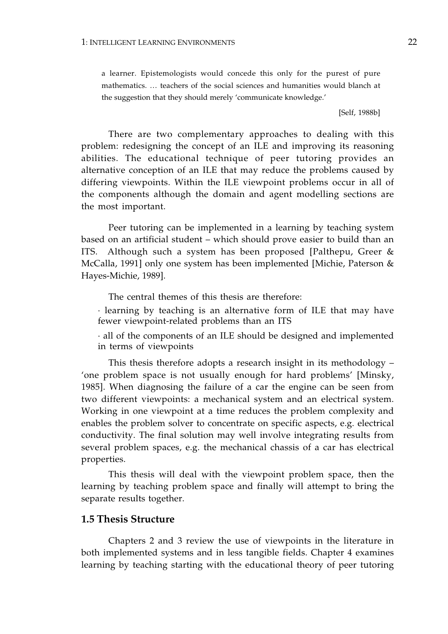a learner. Epistemologists would concede this only for the purest of pure mathematics. … teachers of the social sciences and humanities would blanch at the suggestion that they should merely 'communicate knowledge.'

[Self, 1988b]

There are two complementary approaches to dealing with this problem: redesigning the concept of an ILE and improving its reasoning abilities. The educational technique of peer tutoring provides an alternative conception of an ILE that may reduce the problems caused by differing viewpoints. Within the ILE viewpoint problems occur in all of the components although the domain and agent modelling sections are the most important.

Peer tutoring can be implemented in a learning by teaching system based on an artificial student – which should prove easier to build than an ITS. Although such a system has been proposed [Palthepu, Greer & McCalla, 1991] only one system has been implemented [Michie, Paterson & Hayes-Michie, 1989].

The central themes of this thesis are therefore:

· learning by teaching is an alternative form of ILE that may have fewer viewpoint-related problems than an ITS

· all of the components of an ILE should be designed and implemented in terms of viewpoints

This thesis therefore adopts a research insight in its methodology – 'one problem space is not usually enough for hard problems' [Minsky, 1985]. When diagnosing the failure of a car the engine can be seen from two different viewpoints: a mechanical system and an electrical system. Working in one viewpoint at a time reduces the problem complexity and enables the problem solver to concentrate on specific aspects, e.g. electrical conductivity. The final solution may well involve integrating results from several problem spaces, e.g. the mechanical chassis of a car has electrical properties.

This thesis will deal with the viewpoint problem space, then the learning by teaching problem space and finally will attempt to bring the separate results together.

#### **1.5 Thesis Structure**

Chapters 2 and 3 review the use of viewpoints in the literature in both implemented systems and in less tangible fields. Chapter 4 examines learning by teaching starting with the educational theory of peer tutoring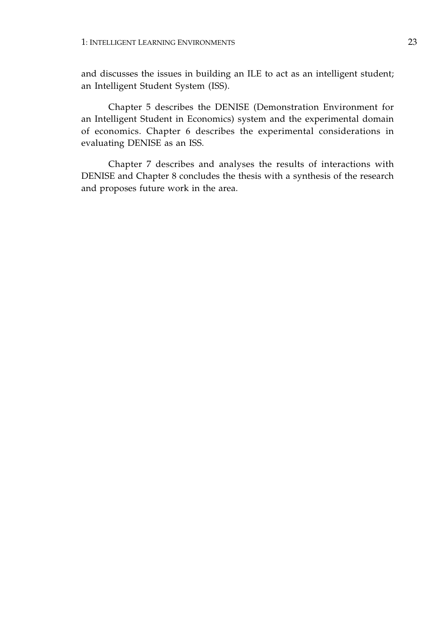and discusses the issues in building an ILE to act as an intelligent student; an Intelligent Student System (ISS).

Chapter 5 describes the DENISE (Demonstration Environment for an Intelligent Student in Economics) system and the experimental domain of economics. Chapter 6 describes the experimental considerations in evaluating DENISE as an ISS.

Chapter 7 describes and analyses the results of interactions with DENISE and Chapter 8 concludes the thesis with a synthesis of the research and proposes future work in the area.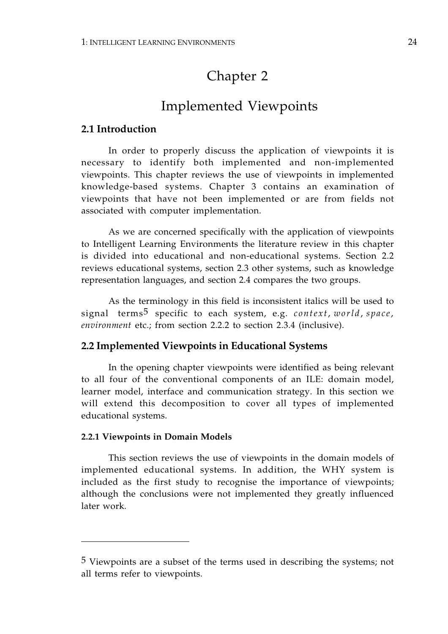# Chapter 2

### Implemented Viewpoints

### **2.1 Introduction**

In order to properly discuss the application of viewpoints it is necessary to identify both implemented and non-implemented viewpoints. This chapter reviews the use of viewpoints in implemented knowledge-based systems. Chapter 3 contains an examination of viewpoints that have not been implemented or are from fields not associated with computer implementation.

As we are concerned specifically with the application of viewpoints to Intelligent Learning Environments the literature review in this chapter is divided into educational and non-educational systems. Section 2.2 reviews educational systems, section 2.3 other systems, such as knowledge representation languages, and section 2.4 compares the two groups.

As the terminology in this field is inconsistent italics will be used to signal terms5 specific to each system, e.g. *context*, *world* , *space*, *environment* etc.; from section 2.2.2 to section 2.3.4 (inclusive).

### **2.2 Implemented Viewpoints in Educational Systems**

In the opening chapter viewpoints were identified as being relevant to all four of the conventional components of an ILE: domain model, learner model, interface and communication strategy. In this section we will extend this decomposition to cover all types of implemented educational systems.

#### **2.2.1 Viewpoints in Domain Models**

This section reviews the use of viewpoints in the domain models of implemented educational systems. In addition, the WHY system is included as the first study to recognise the importance of viewpoints; although the conclusions were not implemented they greatly influenced later work.

<sup>5</sup> Viewpoints are a subset of the terms used in describing the systems; not all terms refer to viewpoints.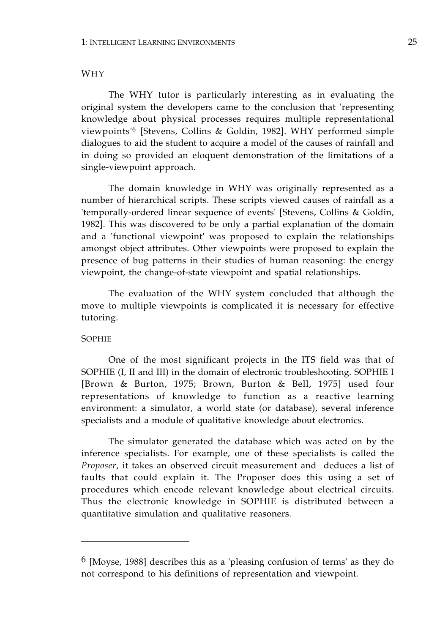#### WHY

The WHY tutor is particularly interesting as in evaluating the original system the developers came to the conclusion that 'representing knowledge about physical processes requires multiple representational viewpoints'6 [Stevens, Collins & Goldin, 1982]. WHY performed simple dialogues to aid the student to acquire a model of the causes of rainfall and in doing so provided an eloquent demonstration of the limitations of a single-viewpoint approach.

The domain knowledge in WHY was originally represented as a number of hierarchical scripts. These scripts viewed causes of rainfall as a 'temporally-ordered linear sequence of events' [Stevens, Collins & Goldin, 1982]. This was discovered to be only a partial explanation of the domain and a 'functional viewpoint' was proposed to explain the relationships amongst object attributes. Other viewpoints were proposed to explain the presence of bug patterns in their studies of human reasoning: the energy viewpoint, the change-of-state viewpoint and spatial relationships.

The evaluation of the WHY system concluded that although the move to multiple viewpoints is complicated it is necessary for effective tutoring.

#### SOPHIE

One of the most significant projects in the ITS field was that of SOPHIE (I, II and III) in the domain of electronic troubleshooting. SOPHIE I [Brown & Burton, 1975; Brown, Burton & Bell, 1975] used four representations of knowledge to function as a reactive learning environment: a simulator, a world state (or database), several inference specialists and a module of qualitative knowledge about electronics.

The simulator generated the database which was acted on by the inference specialists. For example, one of these specialists is called the *Proposer*, it takes an observed circuit measurement and deduces a list of faults that could explain it. The Proposer does this using a set of procedures which encode relevant knowledge about electrical circuits. Thus the electronic knowledge in SOPHIE is distributed between a quantitative simulation and qualitative reasoners.

<sup>6 [</sup>Moyse, 1988] describes this as a 'pleasing confusion of terms' as they do not correspond to his definitions of representation and viewpoint.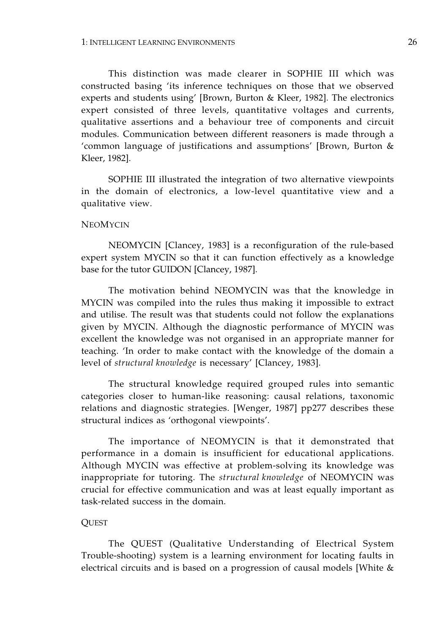This distinction was made clearer in SOPHIE III which was constructed basing 'its inference techniques on those that we observed experts and students using' [Brown, Burton & Kleer, 1982]. The electronics expert consisted of three levels, quantitative voltages and currents, qualitative assertions and a behaviour tree of components and circuit modules. Communication between different reasoners is made through a 'common language of justifications and assumptions' [Brown, Burton & Kleer, 1982].

SOPHIE III illustrated the integration of two alternative viewpoints in the domain of electronics, a low-level quantitative view and a qualitative view.

## **NEOMYCIN**

NEOMYCIN [Clancey, 1983] is a reconfiguration of the rule-based expert system MYCIN so that it can function effectively as a knowledge base for the tutor GUIDON [Clancey, 1987].

The motivation behind NEOMYCIN was that the knowledge in MYCIN was compiled into the rules thus making it impossible to extract and utilise. The result was that students could not follow the explanations given by MYCIN. Although the diagnostic performance of MYCIN was excellent the knowledge was not organised in an appropriate manner for teaching. 'In order to make contact with the knowledge of the domain a level of *structural knowledge* is necessary' [Clancey, 1983].

The structural knowledge required grouped rules into semantic categories closer to human-like reasoning: causal relations, taxonomic relations and diagnostic strategies. [Wenger, 1987] pp277 describes these structural indices as 'orthogonal viewpoints'.

The importance of NEOMYCIN is that it demonstrated that performance in a domain is insufficient for educational applications. Although MYCIN was effective at problem-solving its knowledge was inappropriate for tutoring. The *structural knowledge* of NEOMYCIN was crucial for effective communication and was at least equally important as task-related success in the domain.

## **QUEST**

The QUEST (Qualitative Understanding of Electrical System Trouble-shooting) system is a learning environment for locating faults in electrical circuits and is based on a progression of causal models [White &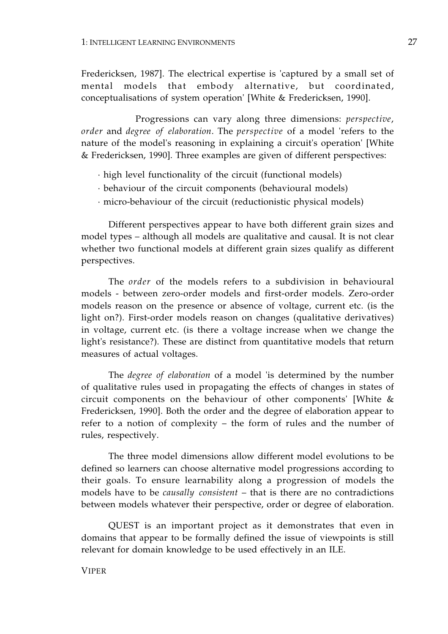Fredericksen, 1987]. The electrical expertise is 'captured by a small set of mental models that embody alternative, but coordinated, conceptualisations of system operation' [White & Fredericksen, 1990].

Progressions can vary along three dimensions: *perspective*, *order* and *degree of elaboration*. The *perspective* of a model 'refers to the nature of the model's reasoning in explaining a circuit's operation' [White & Fredericksen, 1990]. Three examples are given of different perspectives:

- · high level functionality of the circuit (functional models)
- · behaviour of the circuit components (behavioural models)
- · micro-behaviour of the circuit (reductionistic physical models)

Different perspectives appear to have both different grain sizes and model types – although all models are qualitative and causal. It is not clear whether two functional models at different grain sizes qualify as different perspectives.

The *order* of the models refers to a subdivision in behavioural models - between zero-order models and first-order models. Zero-order models reason on the presence or absence of voltage, current etc. (is the light on?). First-order models reason on changes (qualitative derivatives) in voltage, current etc. (is there a voltage increase when we change the light's resistance?). These are distinct from quantitative models that return measures of actual voltages.

The *degree of elaboration* of a model 'is determined by the number of qualitative rules used in propagating the effects of changes in states of circuit components on the behaviour of other components' [White & Fredericksen, 1990]. Both the order and the degree of elaboration appear to refer to a notion of complexity – the form of rules and the number of rules, respectively.

The three model dimensions allow different model evolutions to be defined so learners can choose alternative model progressions according to their goals. To ensure learnability along a progression of models the models have to be *causally consistent* – that is there are no contradictions between models whatever their perspective, order or degree of elaboration.

QUEST is an important project as it demonstrates that even in domains that appear to be formally defined the issue of viewpoints is still relevant for domain knowledge to be used effectively in an ILE.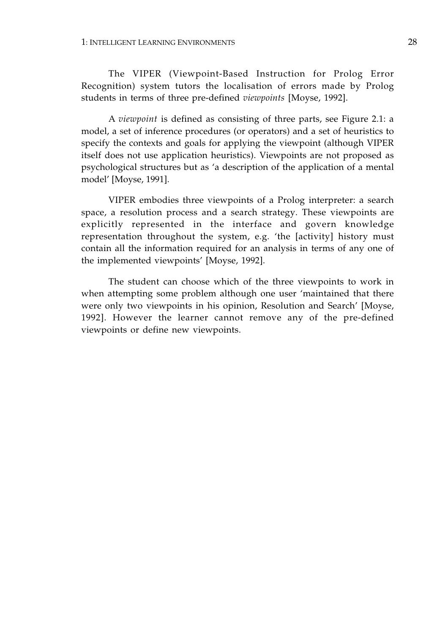The VIPER (Viewpoint-Based Instruction for Prolog Error Recognition) system tutors the localisation of errors made by Prolog students in terms of three pre-defined *viewpoints* [Moyse, 1992].

A *viewpoint* is defined as consisting of three parts, see Figure 2.1: a model, a set of inference procedures (or operators) and a set of heuristics to specify the contexts and goals for applying the viewpoint (although VIPER itself does not use application heuristics). Viewpoints are not proposed as psychological structures but as 'a description of the application of a mental model' [Moyse, 1991].

VIPER embodies three viewpoints of a Prolog interpreter: a search space, a resolution process and a search strategy. These viewpoints are explicitly represented in the interface and govern knowledge representation throughout the system, e.g. 'the [activity] history must contain all the information required for an analysis in terms of any one of the implemented viewpoints' [Moyse, 1992].

The student can choose which of the three viewpoints to work in when attempting some problem although one user 'maintained that there were only two viewpoints in his opinion, Resolution and Search' [Moyse, 1992]. However the learner cannot remove any of the pre-defined viewpoints or define new viewpoints.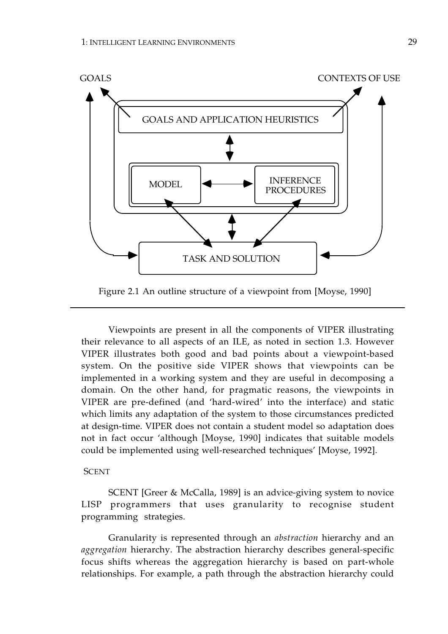

Figure 2.1 An outline structure of a viewpoint from [Moyse, 1990]

Viewpoints are present in all the components of VIPER illustrating their relevance to all aspects of an ILE, as noted in section 1.3. However VIPER illustrates both good and bad points about a viewpoint-based system. On the positive side VIPER shows that viewpoints can be implemented in a working system and they are useful in decomposing a domain. On the other hand, for pragmatic reasons, the viewpoints in VIPER are pre-defined (and 'hard-wired' into the interface) and static which limits any adaptation of the system to those circumstances predicted at design-time. VIPER does not contain a student model so adaptation does not in fact occur 'although [Moyse, 1990] indicates that suitable models could be implemented using well-researched techniques' [Moyse, 1992].

## **SCENT**

SCENT [Greer & McCalla, 1989] is an advice-giving system to novice LISP programmers that uses granularity to recognise student programming strategies.

Granularity is represented through an *abstraction* hierarchy and an *aggregation* hierarchy. The abstraction hierarchy describes general-specific focus shifts whereas the aggregation hierarchy is based on part-whole relationships. For example, a path through the abstraction hierarchy could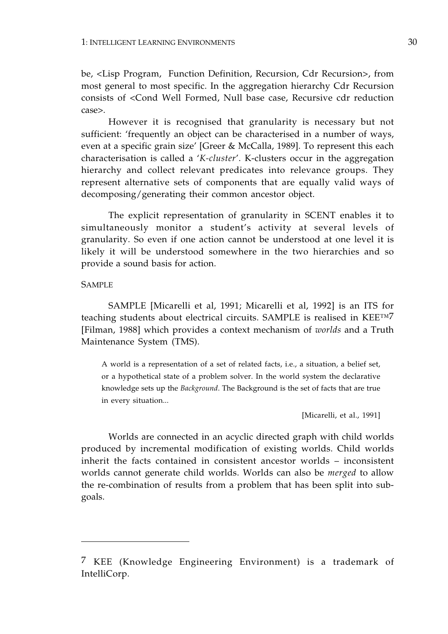be, <Lisp Program, Function Definition, Recursion, Cdr Recursion>, from most general to most specific. In the aggregation hierarchy Cdr Recursion consists of <Cond Well Formed, Null base case, Recursive cdr reduction case>.

However it is recognised that granularity is necessary but not sufficient: 'frequently an object can be characterised in a number of ways, even at a specific grain size' [Greer & McCalla, 1989]. To represent this each characterisation is called a '*K-cluster*'. K-clusters occur in the aggregation hierarchy and collect relevant predicates into relevance groups. They represent alternative sets of components that are equally valid ways of decomposing/generating their common ancestor object.

The explicit representation of granularity in SCENT enables it to simultaneously monitor a student's activity at several levels of granularity. So even if one action cannot be understood at one level it is likely it will be understood somewhere in the two hierarchies and so provide a sound basis for action.

# **SAMPLE**

SAMPLE [Micarelli et al, 1991; Micarelli et al, 1992] is an ITS for teaching students about electrical circuits. SAMPLE is realised in KEE™7 [Filman, 1988] which provides a context mechanism of *worlds* and a Truth Maintenance System (TMS).

A world is a representation of a set of related facts, i.e., a situation, a belief set, or a hypothetical state of a problem solver. In the world system the declarative knowledge sets up the *Background*. The Background is the set of facts that are true in every situation...

[Micarelli, et al., 1991]

Worlds are connected in an acyclic directed graph with child worlds produced by incremental modification of existing worlds. Child worlds inherit the facts contained in consistent ancestor worlds – inconsistent worlds cannot generate child worlds. Worlds can also be *merged* to allow the re-combination of results from a problem that has been split into subgoals.

<sup>7</sup> KEE (Knowledge Engineering Environment) is a trademark of IntelliCorp.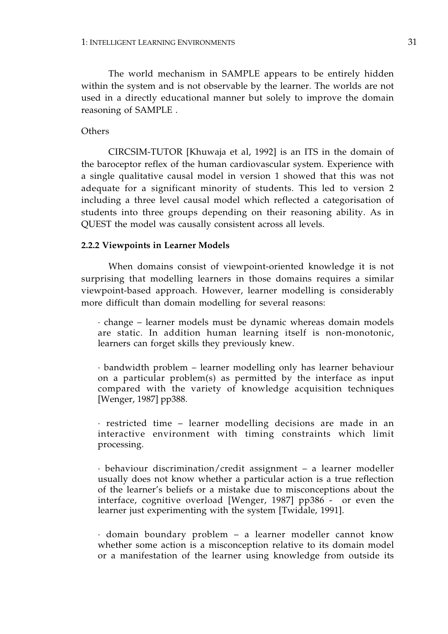The world mechanism in SAMPLE appears to be entirely hidden within the system and is not observable by the learner. The worlds are not used in a directly educational manner but solely to improve the domain reasoning of SAMPLE .

## **Others**

CIRCSIM-TUTOR [Khuwaja et al, 1992] is an ITS in the domain of the baroceptor reflex of the human cardiovascular system. Experience with a single qualitative causal model in version 1 showed that this was not adequate for a significant minority of students. This led to version 2 including a three level causal model which reflected a categorisation of students into three groups depending on their reasoning ability. As in QUEST the model was causally consistent across all levels.

## **2.2.2 Viewpoints in Learner Models**

When domains consist of viewpoint-oriented knowledge it is not surprising that modelling learners in those domains requires a similar viewpoint-based approach. However, learner modelling is considerably more difficult than domain modelling for several reasons:

· change – learner models must be dynamic whereas domain models are static. In addition human learning itself is non-monotonic, learners can forget skills they previously knew.

· bandwidth problem – learner modelling only has learner behaviour on a particular problem(s) as permitted by the interface as input compared with the variety of knowledge acquisition techniques [Wenger, 1987] pp388.

· restricted time – learner modelling decisions are made in an interactive environment with timing constraints which limit processing.

· behaviour discrimination/credit assignment – a learner modeller usually does not know whether a particular action is a true reflection of the learner's beliefs or a mistake due to misconceptions about the interface, cognitive overload [Wenger, 1987] pp386 - or even the learner just experimenting with the system [Twidale, 1991].

· domain boundary problem – a learner modeller cannot know whether some action is a misconception relative to its domain model or a manifestation of the learner using knowledge from outside its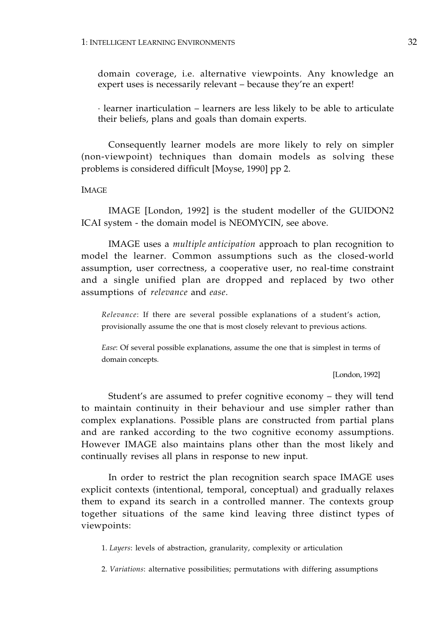domain coverage, i.e. alternative viewpoints. Any knowledge an expert uses is necessarily relevant – because they're an expert!

· learner inarticulation – learners are less likely to be able to articulate their beliefs, plans and goals than domain experts.

Consequently learner models are more likely to rely on simpler (non-viewpoint) techniques than domain models as solving these problems is considered difficult [Moyse, 1990] pp 2.

IMAGE

IMAGE [London, 1992] is the student modeller of the GUIDON2 ICAI system - the domain model is NEOMYCIN, see above.

IMAGE uses a *multiple anticipation* approach to plan recognition to model the learner. Common assumptions such as the closed-world assumption, user correctness, a cooperative user, no real-time constraint and a single unified plan are dropped and replaced by two other assumptions of *relevance* and *ease*.

*Relevance*: If there are several possible explanations of a student's action, provisionally assume the one that is most closely relevant to previous actions.

*Ease*: Of several possible explanations, assume the one that is simplest in terms of domain concepts.

[London, 1992]

Student's are assumed to prefer cognitive economy – they will tend to maintain continuity in their behaviour and use simpler rather than complex explanations. Possible plans are constructed from partial plans and are ranked according to the two cognitive economy assumptions. However IMAGE also maintains plans other than the most likely and continually revises all plans in response to new input.

In order to restrict the plan recognition search space IMAGE uses explicit contexts (intentional, temporal, conceptual) and gradually relaxes them to expand its search in a controlled manner. The contexts group together situations of the same kind leaving three distinct types of viewpoints:

1. *Layers*: levels of abstraction, granularity, complexity or articulation

2. *Variations*: alternative possibilities; permutations with differing assumptions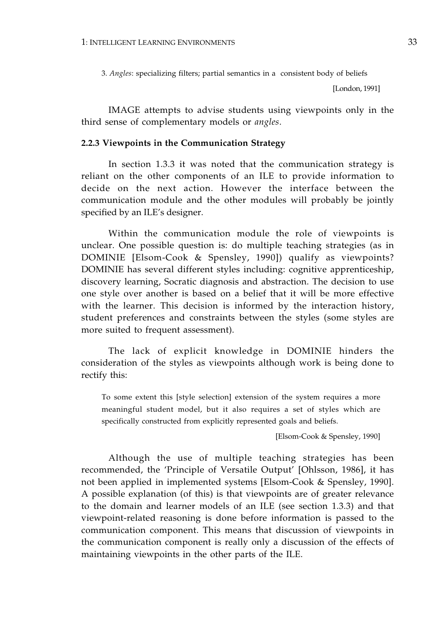3. *Angles*: specializing filters; partial semantics in a consistent body of beliefs

[London, 1991]

IMAGE attempts to advise students using viewpoints only in the third sense of complementary models or *angles*.

#### **2.2.3 Viewpoints in the Communication Strategy**

In section 1.3.3 it was noted that the communication strategy is reliant on the other components of an ILE to provide information to decide on the next action. However the interface between the communication module and the other modules will probably be jointly specified by an ILE's designer.

Within the communication module the role of viewpoints is unclear. One possible question is: do multiple teaching strategies (as in DOMINIE [Elsom-Cook & Spensley, 1990]) qualify as viewpoints? DOMINIE has several different styles including: cognitive apprenticeship, discovery learning, Socratic diagnosis and abstraction. The decision to use one style over another is based on a belief that it will be more effective with the learner. This decision is informed by the interaction history, student preferences and constraints between the styles (some styles are more suited to frequent assessment).

The lack of explicit knowledge in DOMINIE hinders the consideration of the styles as viewpoints although work is being done to rectify this:

To some extent this [style selection] extension of the system requires a more meaningful student model, but it also requires a set of styles which are specifically constructed from explicitly represented goals and beliefs.

[Elsom-Cook & Spensley, 1990]

Although the use of multiple teaching strategies has been recommended, the 'Principle of Versatile Output' [Ohlsson, 1986], it has not been applied in implemented systems [Elsom-Cook & Spensley, 1990]. A possible explanation (of this) is that viewpoints are of greater relevance to the domain and learner models of an ILE (see section 1.3.3) and that viewpoint-related reasoning is done before information is passed to the communication component. This means that discussion of viewpoints in the communication component is really only a discussion of the effects of maintaining viewpoints in the other parts of the ILE.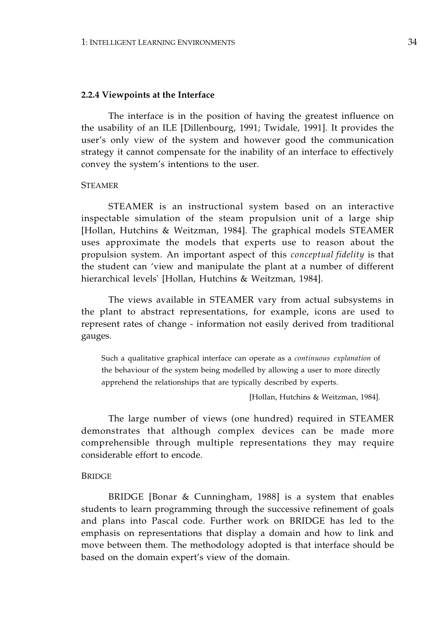#### **2.2.4 Viewpoints at the Interface**

The interface is in the position of having the greatest influence on the usability of an ILE [Dillenbourg, 1991; Twidale, 1991]. It provides the user's only view of the system and however good the communication strategy it cannot compensate for the inability of an interface to effectively convey the system's intentions to the user.

## **STEAMER**

STEAMER is an instructional system based on an interactive inspectable simulation of the steam propulsion unit of a large ship [Hollan, Hutchins & Weitzman, 1984]. The graphical models STEAMER uses approximate the models that experts use to reason about the propulsion system. An important aspect of this *conceptual fidelity* is that the student can 'view and manipulate the plant at a number of different hierarchical levels' [Hollan, Hutchins & Weitzman, 1984].

The views available in STEAMER vary from actual subsystems in the plant to abstract representations, for example, icons are used to represent rates of change - information not easily derived from traditional gauges.

Such a qualitative graphical interface can operate as a *continuous explanation* of the behaviour of the system being modelled by allowing a user to more directly apprehend the relationships that are typically described by experts.

[Hollan, Hutchins & Weitzman, 1984].

The large number of views (one hundred) required in STEAMER demonstrates that although complex devices can be made more comprehensible through multiple representations they may require considerable effort to encode.

#### **BRIDGE**

BRIDGE [Bonar & Cunningham, 1988] is a system that enables students to learn programming through the successive refinement of goals and plans into Pascal code. Further work on BRIDGE has led to the emphasis on representations that display a domain and how to link and move between them. The methodology adopted is that interface should be based on the domain expert's view of the domain.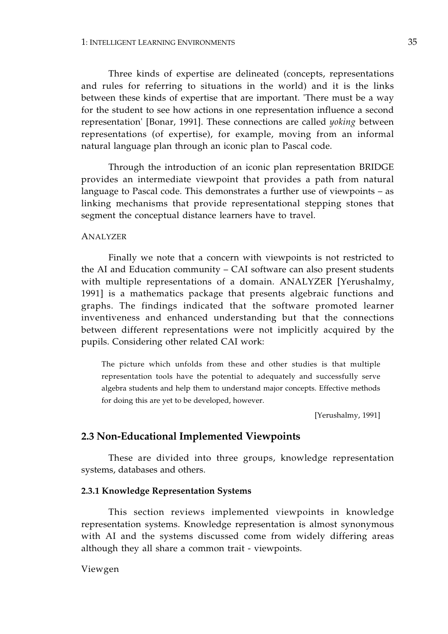Three kinds of expertise are delineated (concepts, representations and rules for referring to situations in the world) and it is the links between these kinds of expertise that are important. 'There must be a way for the student to see how actions in one representation influence a second representation' [Bonar, 1991]. These connections are called *yoking* between representations (of expertise), for example, moving from an informal natural language plan through an iconic plan to Pascal code.

Through the introduction of an iconic plan representation BRIDGE provides an intermediate viewpoint that provides a path from natural language to Pascal code. This demonstrates a further use of viewpoints – as linking mechanisms that provide representational stepping stones that segment the conceptual distance learners have to travel.

#### ANALYZER

Finally we note that a concern with viewpoints is not restricted to the AI and Education community – CAI software can also present students with multiple representations of a domain. ANALYZER [Yerushalmy, 1991] is a mathematics package that presents algebraic functions and graphs. The findings indicated that the software promoted learner inventiveness and enhanced understanding but that the connections between different representations were not implicitly acquired by the pupils. Considering other related CAI work:

The picture which unfolds from these and other studies is that multiple representation tools have the potential to adequately and successfully serve algebra students and help them to understand major concepts. Effective methods for doing this are yet to be developed, however.

[Yerushalmy, 1991]

# **2.3 Non-Educational Implemented Viewpoints**

These are divided into three groups, knowledge representation systems, databases and others.

## **2.3.1 Knowledge Representation Systems**

This section reviews implemented viewpoints in knowledge representation systems. Knowledge representation is almost synonymous with AI and the systems discussed come from widely differing areas although they all share a common trait - viewpoints.

### Viewgen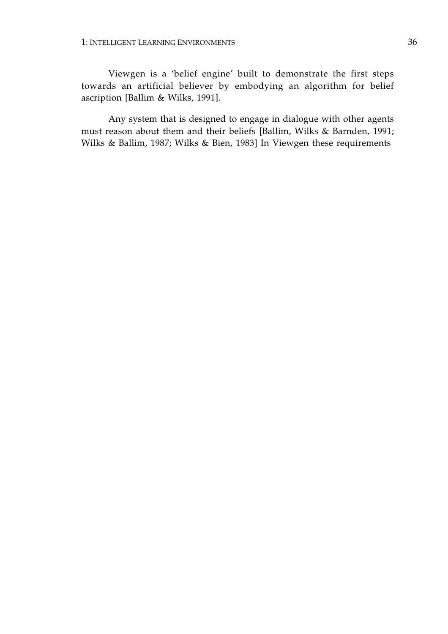Viewgen is a 'belief engine' built to demonstrate the first steps towards an artificial believer by embodying an algorithm for belief ascription [Ballim & Wilks, 1991].

Any system that is designed to engage in dialogue with other agents must reason about them and their beliefs [Ballim, Wilks & Barnden, 1991; Wilks & Ballim, 1987; Wilks & Bien, 1983] In Viewgen these requirements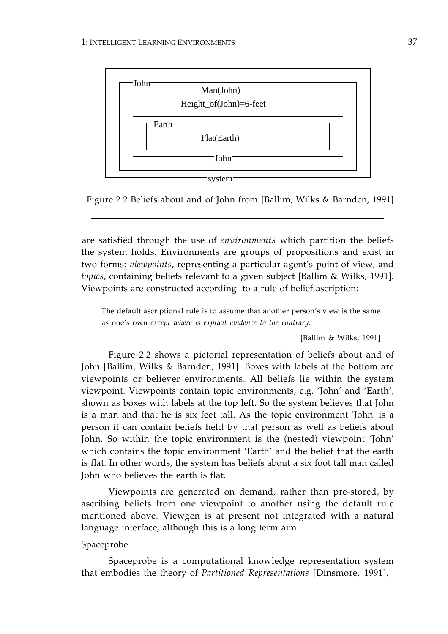

Figure 2.2 Beliefs about and of John from [Ballim, Wilks & Barnden, 1991]

are satisfied through the use of *environments* which partition the beliefs the system holds. Environments are groups of propositions and exist in two forms: *viewpoints*, representing a particular agent's point of view, and *topics*, containing beliefs relevant to a given subject [Ballim & Wilks, 1991]. Viewpoints are constructed according to a rule of belief ascription:

The default ascriptional rule is to assume that another person's view is the same as one's own *except where is explicit evidence to the contrary*.

[Ballim & Wilks, 1991]

Figure 2.2 shows a pictorial representation of beliefs about and of John [Ballim, Wilks & Barnden, 1991]. Boxes with labels at the bottom are viewpoints or believer environments. All beliefs lie within the system viewpoint. Viewpoints contain topic environments, e.g. 'John' and 'Earth', shown as boxes with labels at the top left. So the system believes that John is a man and that he is six feet tall. As the topic environment 'John' is a person it can contain beliefs held by that person as well as beliefs about John. So within the topic environment is the (nested) viewpoint 'John' which contains the topic environment 'Earth' and the belief that the earth is flat. In other words, the system has beliefs about a six foot tall man called John who believes the earth is flat.

Viewpoints are generated on demand, rather than pre-stored, by ascribing beliefs from one viewpoint to another using the default rule mentioned above. Viewgen is at present not integrated with a natural language interface, although this is a long term aim.

# Spaceprobe

Spaceprobe is a computational knowledge representation system that embodies the theory of *Partitioned Representations* [Dinsmore, 1991].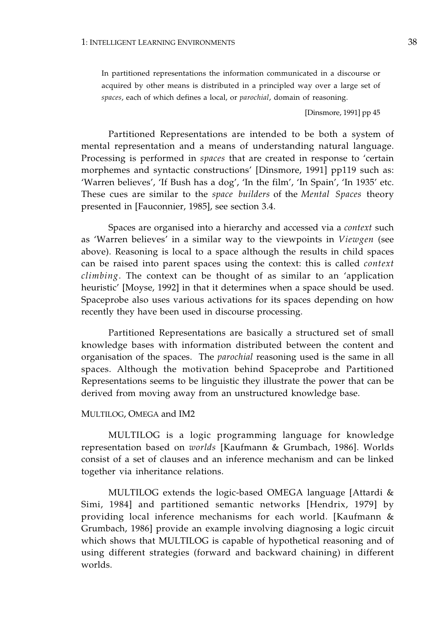In partitioned representations the information communicated in a discourse or acquired by other means is distributed in a principled way over a large set of *spaces*, each of which defines a local, or *parochial*, domain of reasoning.

[Dinsmore, 1991] pp 45

Partitioned Representations are intended to be both a system of mental representation and a means of understanding natural language. Processing is performed in *spaces* that are created in response to 'certain morphemes and syntactic constructions' [Dinsmore, 1991] pp119 such as: 'Warren believes', 'If Bush has a dog', 'In the film', 'In Spain', 'In 1935' etc. These cues are similar to the *space builders* of the *Mental Spaces* theory presented in [Fauconnier, 1985], see section 3.4.

Spaces are organised into a hierarchy and accessed via a *context* such as 'Warren believes' in a similar way to the viewpoints in *Viewgen* (see above). Reasoning is local to a space although the results in child spaces can be raised into parent spaces using the context: this is called *context climbing*. The context can be thought of as similar to an 'application heuristic' [Moyse, 1992] in that it determines when a space should be used. Spaceprobe also uses various activations for its spaces depending on how recently they have been used in discourse processing.

Partitioned Representations are basically a structured set of small knowledge bases with information distributed between the content and organisation of the spaces. The *parochial* reasoning used is the same in all spaces. Although the motivation behind Spaceprobe and Partitioned Representations seems to be linguistic they illustrate the power that can be derived from moving away from an unstructured knowledge base.

#### MULTILOG, OMEGA and IM2

MULTILOG is a logic programming language for knowledge representation based on *worlds* [Kaufmann & Grumbach, 1986]. Worlds consist of a set of clauses and an inference mechanism and can be linked together via inheritance relations.

MULTILOG extends the logic-based OMEGA language [Attardi & Simi, 1984] and partitioned semantic networks [Hendrix, 1979] by providing local inference mechanisms for each world. [Kaufmann & Grumbach, 1986] provide an example involving diagnosing a logic circuit which shows that MULTILOG is capable of hypothetical reasoning and of using different strategies (forward and backward chaining) in different worlds.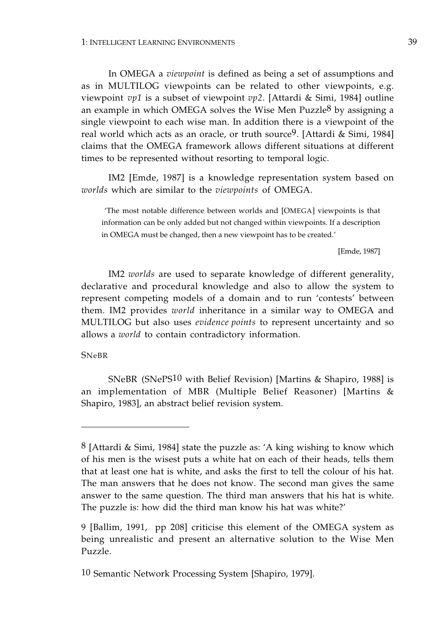In OMEGA a *viewpoint* is defined as being a set of assumptions and as in MULTILOG viewpoints can be related to other viewpoints, e.g. viewpoint *vp1* is a subset of viewpoint *vp2*. [Attardi & Simi, 1984] outline an example in which OMEGA solves the Wise Men Puzzle8 by assigning a single viewpoint to each wise man. In addition there is a viewpoint of the real world which acts as an oracle, or truth source9. [Attardi & Simi, 1984] claims that the OMEGA framework allows different situations at different times to be represented without resorting to temporal logic.

IM2 [Emde, 1987] is a knowledge representation system based on *worlds* which are similar to the *viewpoints* of OMEGA.

 'The most notable difference between worlds and [OMEGA] viewpoints is that information can be only added but not changed within viewpoints. If a description in OMEGA must be changed, then a new viewpoint has to be created.'

[Emde, 1987]

IM2 *worlds* are used to separate knowledge of different generality, declarative and procedural knowledge and also to allow the system to represent competing models of a domain and to run 'contests' between them. IM2 provides *world* inheritance in a similar way to OMEGA and MULTILOG but also uses *evidence points* to represent uncertainty and so allows a *world* to contain contradictory information.

## SNeBR

SNeBR (SNePS10 with Belief Revision) [Martins & Shapiro, 1988] is an implementation of MBR (Multiple Belief Reasoner) [Martins & Shapiro, 1983], an abstract belief revision system.

<sup>8 [</sup>Attardi & Simi, 1984] state the puzzle as: 'A king wishing to know which of his men is the wisest puts a white hat on each of their heads, tells them that at least one hat is white, and asks the first to tell the colour of his hat. The man answers that he does not know. The second man gives the same answer to the same question. The third man answers that his hat is white. The puzzle is: how did the third man know his hat was white?'

<sup>9 [</sup>Ballim, 1991, pp 208] criticise this element of the OMEGA system as being unrealistic and present an alternative solution to the Wise Men Puzzle.

<sup>10</sup> Semantic Network Processing System [Shapiro, 1979].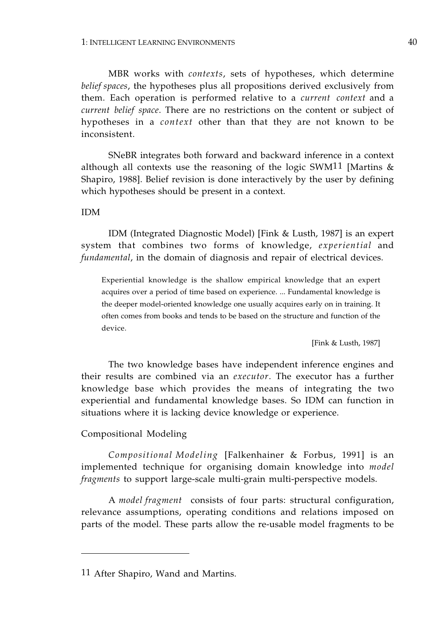MBR works with *contexts*, sets of hypotheses, which determine *belief spaces*, the hypotheses plus all propositions derived exclusively from them. Each operation is performed relative to a *current context* and a *current belief space*. There are no restrictions on the content or subject of hypotheses in a *context* other than that they are not known to be inconsistent.

SNeBR integrates both forward and backward inference in a context although all contexts use the reasoning of the logic SWM<sup>11</sup> [Martins  $\&$ Shapiro, 1988]. Belief revision is done interactively by the user by defining which hypotheses should be present in a context.

# IDM

IDM (Integrated Diagnostic Model) [Fink & Lusth, 1987] is an expert system that combines two forms of knowledge, *experiential* and *fundamental*, in the domain of diagnosis and repair of electrical devices.

Experiential knowledge is the shallow empirical knowledge that an expert acquires over a period of time based on experience. ... Fundamental knowledge is the deeper model-oriented knowledge one usually acquires early on in training. It often comes from books and tends to be based on the structure and function of the device.

[Fink & Lusth, 1987]

The two knowledge bases have independent inference engines and their results are combined via an *executor*. The executor has a further knowledge base which provides the means of integrating the two experiential and fundamental knowledge bases. So IDM can function in situations where it is lacking device knowledge or experience.

# Compositional Modeling

*Compositional Modeling* [Falkenhainer & Forbus, 1991] is an implemented technique for organising domain knowledge into *model fragments* to support large-scale multi-grain multi-perspective models.

A *model fragment* consists of four parts: structural configuration, relevance assumptions, operating conditions and relations imposed on parts of the model. These parts allow the re-usable model fragments to be

<sup>11</sup> After Shapiro, Wand and Martins.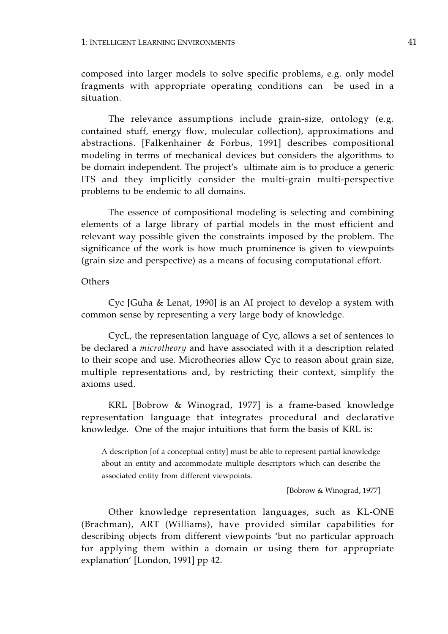composed into larger models to solve specific problems, e.g. only model fragments with appropriate operating conditions can be used in a situation.

The relevance assumptions include grain-size, ontology (e.g. contained stuff, energy flow, molecular collection), approximations and abstractions. [Falkenhainer & Forbus, 1991] describes compositional modeling in terms of mechanical devices but considers the algorithms to be domain independent. The project's ultimate aim is to produce a generic ITS and they implicitly consider the multi-grain multi-perspective problems to be endemic to all domains.

The essence of compositional modeling is selecting and combining elements of a large library of partial models in the most efficient and relevant way possible given the constraints imposed by the problem. The significance of the work is how much prominence is given to viewpoints (grain size and perspective) as a means of focusing computational effort.

## **Others**

Cyc [Guha & Lenat, 1990] is an AI project to develop a system with common sense by representing a very large body of knowledge.

CycL, the representation language of Cyc, allows a set of sentences to be declared a *microtheory* and have associated with it a description related to their scope and use. Microtheories allow Cyc to reason about grain size, multiple representations and, by restricting their context, simplify the axioms used.

KRL [Bobrow & Winograd, 1977] is a frame-based knowledge representation language that integrates procedural and declarative knowledge. One of the major intuitions that form the basis of KRL is:

A description [of a conceptual entity] must be able to represent partial knowledge about an entity and accommodate multiple descriptors which can describe the associated entity from different viewpoints.

[Bobrow & Winograd, 1977]

Other knowledge representation languages, such as KL-ONE (Brachman), ART (Williams), have provided similar capabilities for describing objects from different viewpoints 'but no particular approach for applying them within a domain or using them for appropriate explanation' [London, 1991] pp 42.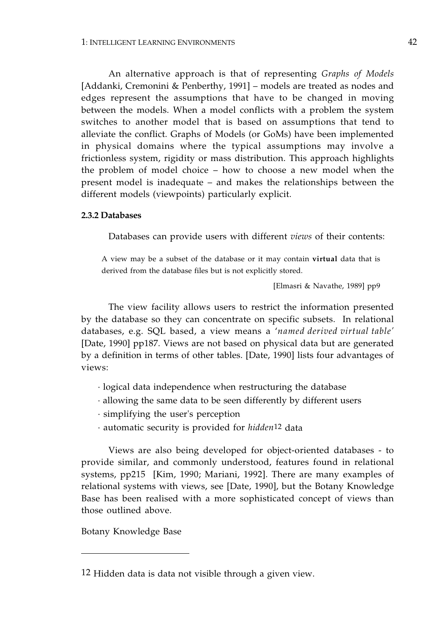An alternative approach is that of representing *Graphs of Models*  [Addanki, Cremonini & Penberthy, 1991] – models are treated as nodes and edges represent the assumptions that have to be changed in moving between the models. When a model conflicts with a problem the system switches to another model that is based on assumptions that tend to alleviate the conflict. Graphs of Models (or GoMs) have been implemented in physical domains where the typical assumptions may involve a frictionless system, rigidity or mass distribution. This approach highlights the problem of model choice – how to choose a new model when the present model is inadequate – and makes the relationships between the different models (viewpoints) particularly explicit.

#### **2.3.2 Databases**

Databases can provide users with different *views* of their contents:

A view may be a subset of the database or it may contain **virtual** data that is derived from the database files but is not explicitly stored.

[Elmasri & Navathe, 1989] pp9

 databases, e.g. SQL based, a view means a '*named derived virtual table'*  The view facility allows users to restrict the information presented by the database so they can concentrate on specific subsets. In relational [Date, 1990] pp187. Views are not based on physical data but are generated by a definition in terms of other tables. [Date, 1990] lists four advantages of views:

- · logical data independence when restructuring the database
- · allowing the same data to be seen differently by different users
- · simplifying the user's perception
- · automatic security is provided for *hidden*12 data

Views are also being developed for object-oriented databases - to provide similar, and commonly understood, features found in relational systems, pp215 [Kim, 1990; Mariani, 1992]. There are many examples of relational systems with views, see [Date, 1990], but the Botany Knowledge Base has been realised with a more sophisticated concept of views than those outlined above.

Botany Knowledge Base

<sup>12</sup> Hidden data is data not visible through a given view.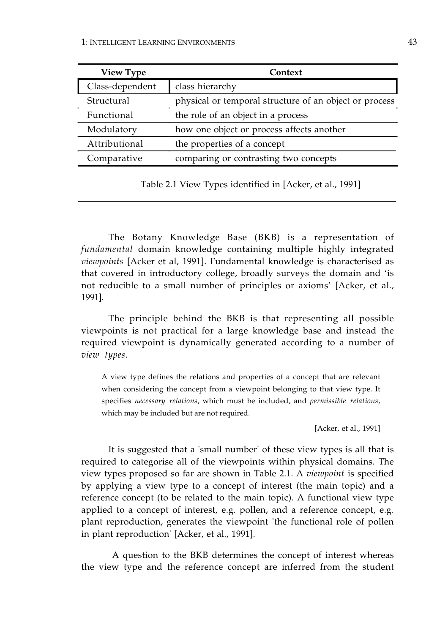| <b>View Type</b> | Context                                                |  |  |  |
|------------------|--------------------------------------------------------|--|--|--|
| Class-dependent  | class hierarchy                                        |  |  |  |
| Structural       | physical or temporal structure of an object or process |  |  |  |
| Functional       | the role of an object in a process                     |  |  |  |
| Modulatory       | how one object or process affects another              |  |  |  |
| Attributional    | the properties of a concept                            |  |  |  |
| Comparative      | comparing or contrasting two concepts                  |  |  |  |

Table 2.1 View Types identified in [Acker, et al., 1991]

The Botany Knowledge Base (BKB) is a representation of *fundamental* domain knowledge containing multiple highly integrated *viewpoints* [Acker et al, 1991]. Fundamental knowledge is characterised as that covered in introductory college, broadly surveys the domain and 'is not reducible to a small number of principles or axioms' [Acker, et al., 1991].

The principle behind the BKB is that representing all possible viewpoints is not practical for a large knowledge base and instead the required viewpoint is dynamically generated according to a number of *view types*.

A view type defines the relations and properties of a concept that are relevant when considering the concept from a viewpoint belonging to that view type. It specifies *necessary relations*, which must be included, and *permissible relations,*  which may be included but are not required.

[Acker, et al., 1991]

It is suggested that a 'small number' of these view types is all that is required to categorise all of the viewpoints within physical domains. The view types proposed so far are shown in Table 2.1. A *viewpoint* is specified by applying a view type to a concept of interest (the main topic) and a reference concept (to be related to the main topic). A functional view type applied to a concept of interest, e.g. pollen, and a reference concept, e.g. plant reproduction, generates the viewpoint 'the functional role of pollen in plant reproduction' [Acker, et al., 1991].

 A question to the BKB determines the concept of interest whereas the view type and the reference concept are inferred from the student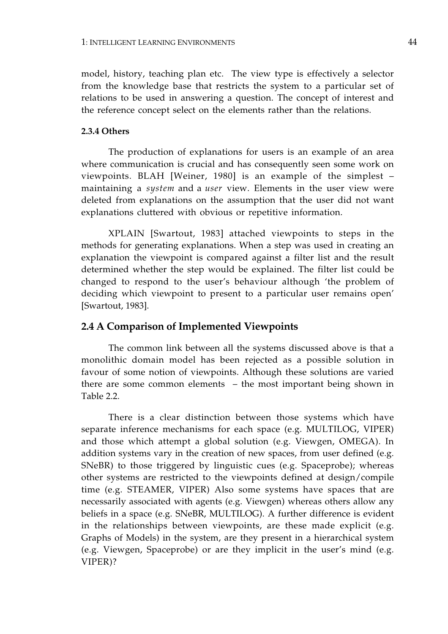model, history, teaching plan etc. The view type is effectively a selector from the knowledge base that restricts the system to a particular set of relations to be used in answering a question. The concept of interest and the reference concept select on the elements rather than the relations.

## **2.3.4 Others**

The production of explanations for users is an example of an area where communication is crucial and has consequently seen some work on viewpoints. BLAH [Weiner, 1980] is an example of the simplest – maintaining a *system* and a *user* view. Elements in the user view were deleted from explanations on the assumption that the user did not want explanations cluttered with obvious or repetitive information.

XPLAIN [Swartout, 1983] attached viewpoints to steps in the methods for generating explanations. When a step was used in creating an explanation the viewpoint is compared against a filter list and the result determined whether the step would be explained. The filter list could be changed to respond to the user's behaviour although 'the problem of deciding which viewpoint to present to a particular user remains open' [Swartout, 1983].

# **2.4 A Comparison of Implemented Viewpoints**

The common link between all the systems discussed above is that a monolithic domain model has been rejected as a possible solution in favour of some notion of viewpoints. Although these solutions are varied there are some common elements – the most important being shown in Table 2.2.

There is a clear distinction between those systems which have separate inference mechanisms for each space (e.g. MULTILOG, VIPER) and those which attempt a global solution (e.g. Viewgen, OMEGA). In addition systems vary in the creation of new spaces, from user defined (e.g. SNeBR) to those triggered by linguistic cues (e.g. Spaceprobe); whereas other systems are restricted to the viewpoints defined at design/compile time (e.g. STEAMER, VIPER) Also some systems have spaces that are necessarily associated with agents (e.g. Viewgen) whereas others allow any beliefs in a space (e.g. SNeBR, MULTILOG). A further difference is evident in the relationships between viewpoints, are these made explicit (e.g. Graphs of Models) in the system, are they present in a hierarchical system (e.g. Viewgen, Spaceprobe) or are they implicit in the user's mind (e.g. VIPER)?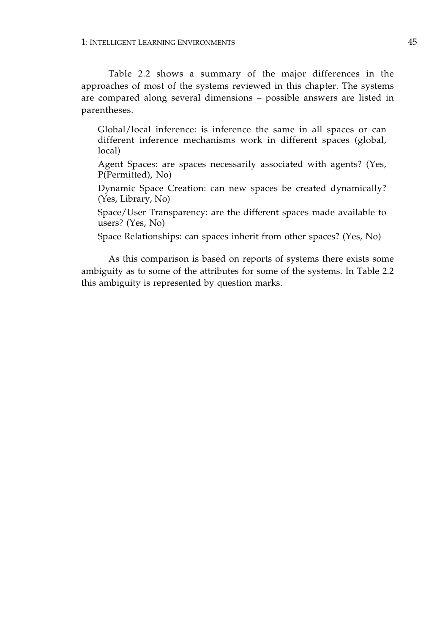Table 2.2 shows a summary of the major differences in the approaches of most of the systems reviewed in this chapter. The systems are compared along several dimensions – possible answers are listed in parentheses.

Global/local inference: is inference the same in all spaces or can different inference mechanisms work in different spaces (global, local)

Agent Spaces: are spaces necessarily associated with agents? (Yes, P(Permitted), No)

Dynamic Space Creation: can new spaces be created dynamically? (Yes, Library, No)

Space/User Transparency: are the different spaces made available to users? (Yes, No)

Space Relationships: can spaces inherit from other spaces? (Yes, No)

As this comparison is based on reports of systems there exists some ambiguity as to some of the attributes for some of the systems. In Table 2.2 this ambiguity is represented by question marks.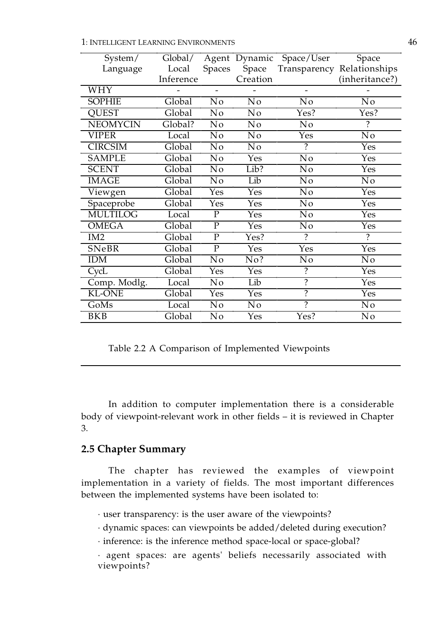1: INTELLIGENT LEARNING ENVIRONMENTS 46

| System/         | Global/             |                | Agent Dynamic | Space/User               | Space                      |
|-----------------|---------------------|----------------|---------------|--------------------------|----------------------------|
| Language        | Local               | <b>Spaces</b>  | Space         |                          | Transparency Relationships |
|                 | Inference           |                | Creation      |                          | (inheritance?)             |
| <b>WHY</b>      |                     |                |               |                          |                            |
| <b>SOPHIE</b>   | Global              | No             | No            | No                       | N <sub>o</sub>             |
| <b>OUEST</b>    | Global              | No             | No            | Yes?                     | Yes?                       |
| <b>NEOMYCIN</b> | Global?             | N <sub>0</sub> | No            | N <sub>o</sub>           | 2                          |
| <b>VIPER</b>    | Local               | No             | No            | Yes                      | No                         |
| <b>CIRCSIM</b>  | Global              | N <sub>o</sub> | No            | $\overline{\mathcal{C}}$ | Yes                        |
| <b>SAMPLE</b>   | Global              | No             | Yes           | No                       | Yes                        |
| <b>SCENT</b>    | Global              | No             | Lib?          | No                       | Yes                        |
| <b>IMAGE</b>    | Global              | No             | Lib           | N <sub>o</sub>           | No                         |
| Viewgen         | Global              | Yes            | Yes           | N <sub>o</sub>           | Yes                        |
| Spaceprobe      | Global              | Yes            | Yes           | No                       | Yes                        |
| <b>MULTILOG</b> | Local               | P              | Yes           | N <sub>0</sub>           | Yes                        |
| <b>OMEGA</b>    | Global              | $\mathbf{P}$   | Yes           | No                       | Yes                        |
| IM <sub>2</sub> | Global              | $\mathbf{P}$   | Yes?          | $\overline{?}$           | $\overline{\mathcal{C}}$   |
| SNeBR           | Global              | $\overline{P}$ | Yes           | Yes                      | Yes                        |
| <b>IDM</b>      | Global              | N <sub>o</sub> | No?           | No                       | N <sub>o</sub>             |
| CycL            | $\overline{Global}$ | Yes            | Yes           | $\ddot{\cdot}$           | Yes                        |
| Comp. Modlg.    | Local               | N <sub>o</sub> | Lib           | $\overline{?}$           | Yes                        |
| <b>KL-ONE</b>   | Global              | Yes            | Yes           | $\overline{?}$           | Yes                        |
| GoMs            | Local               | No             | No            | $\overline{?}$           | N <sub>0</sub>             |
| <b>BKB</b>      | Global              | N <sub>o</sub> | Yes           | Yes?                     | N <sub>o</sub>             |

Table 2.2 A Comparison of Implemented Viewpoints

In addition to computer implementation there is a considerable body of viewpoint-relevant work in other fields – it is reviewed in Chapter 3.

# **2.5 Chapter Summary**

The chapter has reviewed the examples of viewpoint implementation in a variety of fields. The most important differences between the implemented systems have been isolated to:

· user transparency: is the user aware of the viewpoints?

· dynamic spaces: can viewpoints be added/deleted during execution?

· inference: is the inference method space-local or space-global?

· agent spaces: are agents' beliefs necessarily associated with viewpoints?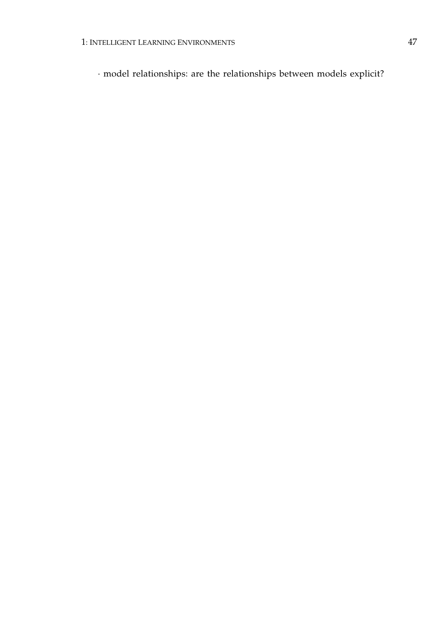· model relationships: are the relationships between models explicit?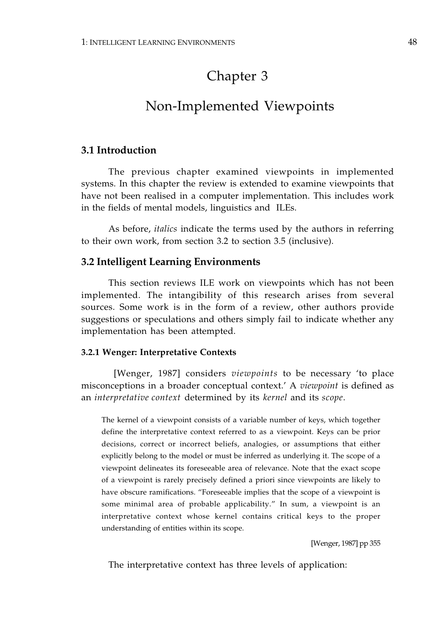# Chapter 3

# Non-Implemented Viewpoints

# **3.1 Introduction**

The previous chapter examined viewpoints in implemented systems. In this chapter the review is extended to examine viewpoints that have not been realised in a computer implementation. This includes work in the fields of mental models, linguistics and ILEs.

As before, *italics* indicate the terms used by the authors in referring to their own work, from section 3.2 to section 3.5 (inclusive).

# **3.2 Intelligent Learning Environments**

This section reviews ILE work on viewpoints which has not been implemented. The intangibility of this research arises from several sources. Some work is in the form of a review, other authors provide suggestions or speculations and others simply fail to indicate whether any implementation has been attempted.

## **3.2.1 Wenger: Interpretative Contexts**

 [Wenger, 1987] considers *viewpoints* to be necessary 'to place misconceptions in a broader conceptual context.' A *viewpoint* is defined as an *interpretative context* determined by its *kernel* and its *scope*.

The kernel of a viewpoint consists of a variable number of keys, which together define the interpretative context referred to as a viewpoint. Keys can be prior decisions, correct or incorrect beliefs, analogies, or assumptions that either explicitly belong to the model or must be inferred as underlying it. The scope of a viewpoint delineates its foreseeable area of relevance. Note that the exact scope of a viewpoint is rarely precisely defined a priori since viewpoints are likely to have obscure ramifications. "Foreseeable implies that the scope of a viewpoint is some minimal area of probable applicability." In sum, a viewpoint is an interpretative context whose kernel contains critical keys to the proper understanding of entities within its scope.

[Wenger, 1987] pp 355

The interpretative context has three levels of application: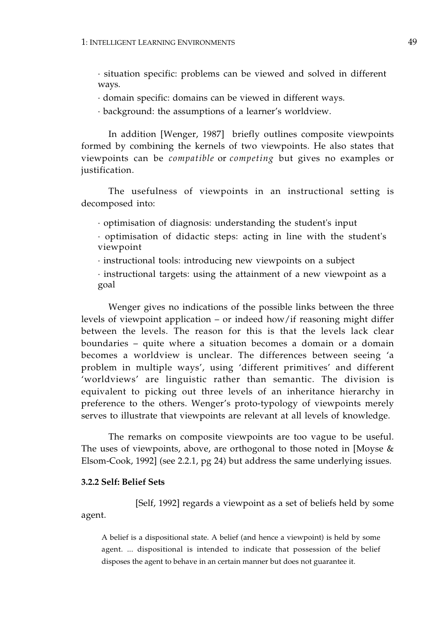· situation specific: problems can be viewed and solved in different ways.

· domain specific: domains can be viewed in different ways.

· background: the assumptions of a learner's worldview.

In addition [Wenger, 1987] briefly outlines composite viewpoints formed by combining the kernels of two viewpoints. He also states that viewpoints can be *compatible* or *competing* but gives no examples or justification.

The usefulness of viewpoints in an instructional setting is decomposed into:

· optimisation of diagnosis: understanding the student's input

· optimisation of didactic steps: acting in line with the student's viewpoint

· instructional tools: introducing new viewpoints on a subject

· instructional targets: using the attainment of a new viewpoint as a goal

Wenger gives no indications of the possible links between the three levels of viewpoint application – or indeed how/if reasoning might differ between the levels. The reason for this is that the levels lack clear boundaries – quite where a situation becomes a domain or a domain becomes a worldview is unclear. The differences between seeing 'a problem in multiple ways', using 'different primitives' and different 'worldviews' are linguistic rather than semantic. The division is equivalent to picking out three levels of an inheritance hierarchy in preference to the others. Wenger's proto-typology of viewpoints merely serves to illustrate that viewpoints are relevant at all levels of knowledge.

The remarks on composite viewpoints are too vague to be useful. The uses of viewpoints, above, are orthogonal to those noted in [Moyse & Elsom-Cook, 1992] (see 2.2.1, pg 24) but address the same underlying issues.

## **3.2.2 Self: Belief Sets**

[Self, 1992] regards a viewpoint as a set of beliefs held by some agent.

A belief is a dispositional state. A belief (and hence a viewpoint) is held by some agent. ... dispositional is intended to indicate that possession of the belief disposes the agent to behave in an certain manner but does not guarantee it.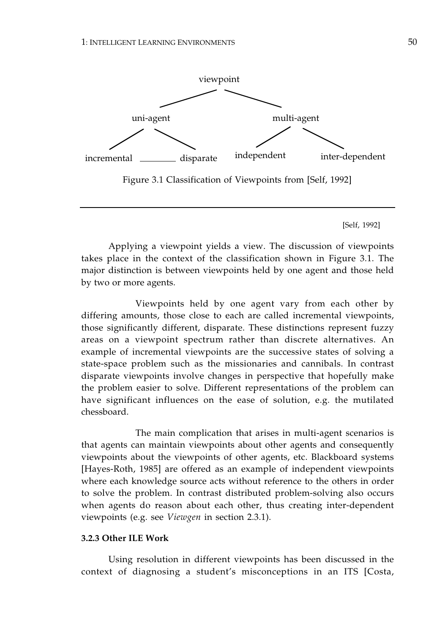

Figure 3.1 Classification of Viewpoints from [Self, 1992]

[Self, 1992]

Applying a viewpoint yields a view. The discussion of viewpoints takes place in the context of the classification shown in Figure 3.1. The major distinction is between viewpoints held by one agent and those held by two or more agents.

Viewpoints held by one agent vary from each other by differing amounts, those close to each are called incremental viewpoints, those significantly different, disparate. These distinctions represent fuzzy areas on a viewpoint spectrum rather than discrete alternatives. An example of incremental viewpoints are the successive states of solving a state-space problem such as the missionaries and cannibals. In contrast disparate viewpoints involve changes in perspective that hopefully make the problem easier to solve. Different representations of the problem can have significant influences on the ease of solution, e.g. the mutilated chessboard.

The main complication that arises in multi-agent scenarios is that agents can maintain viewpoints about other agents and consequently viewpoints about the viewpoints of other agents, etc. Blackboard systems [Hayes-Roth, 1985] are offered as an example of independent viewpoints where each knowledge source acts without reference to the others in order to solve the problem. In contrast distributed problem-solving also occurs when agents do reason about each other, thus creating inter-dependent viewpoints (e.g. see *Viewgen* in section 2.3.1).

## **3.2.3 Other ILE Work**

Using resolution in different viewpoints has been discussed in the context of diagnosing a student's misconceptions in an ITS [Costa,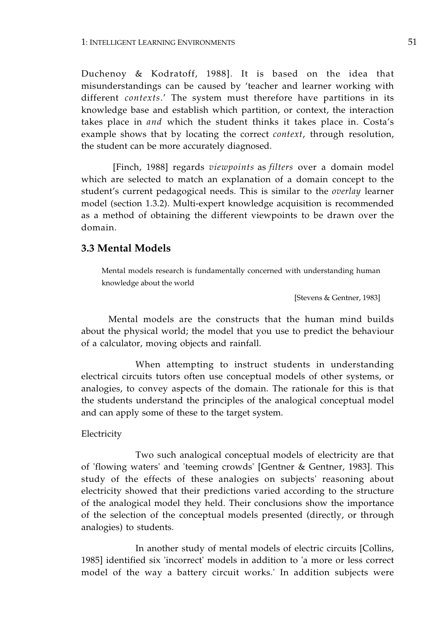Duchenoy & Kodratoff, 1988]. It is based on the idea that misunderstandings can be caused by 'teacher and learner working with different *contexts*.' The system must therefore have partitions in its knowledge base and establish which partition, or context, the interaction takes place in *and* which the student thinks it takes place in. Costa's example shows that by locating the correct *context*, through resolution, the student can be more accurately diagnosed.

 [Finch, 1988] regards *viewpoints* as *filters* over a domain model which are selected to match an explanation of a domain concept to the student's current pedagogical needs. This is similar to the *overlay* learner model (section 1.3.2). Multi-expert knowledge acquisition is recommended as a method of obtaining the different viewpoints to be drawn over the domain.

# **3.3 Mental Models**

Mental models research is fundamentally concerned with understanding human knowledge about the world

[Stevens & Gentner, 1983]

Mental models are the constructs that the human mind builds about the physical world; the model that you use to predict the behaviour of a calculator, moving objects and rainfall.

When attempting to instruct students in understanding electrical circuits tutors often use conceptual models of other systems, or analogies, to convey aspects of the domain. The rationale for this is that the students understand the principles of the analogical conceptual model and can apply some of these to the target system.

## Electricity

Two such analogical conceptual models of electricity are that of 'flowing waters' and 'teeming crowds' [Gentner & Gentner, 1983]. This study of the effects of these analogies on subjects' reasoning about electricity showed that their predictions varied according to the structure of the analogical model they held. Their conclusions show the importance of the selection of the conceptual models presented (directly, or through analogies) to students.

In another study of mental models of electric circuits [Collins, 1985] identified six 'incorrect' models in addition to 'a more or less correct model of the way a battery circuit works.' In addition subjects were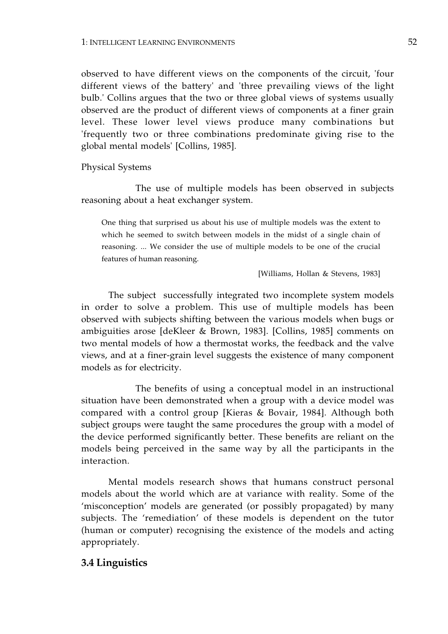observed to have different views on the components of the circuit, 'four different views of the battery' and 'three prevailing views of the light bulb.' Collins argues that the two or three global views of systems usually observed are the product of different views of components at a finer grain level. These lower level views produce many combinations but 'frequently two or three combinations predominate giving rise to the global mental models' [Collins, 1985].

Physical Systems

The use of multiple models has been observed in subjects reasoning about a heat exchanger system.

One thing that surprised us about his use of multiple models was the extent to which he seemed to switch between models in the midst of a single chain of reasoning. ... We consider the use of multiple models to be one of the crucial features of human reasoning.

[Williams, Hollan & Stevens, 1983]

The subject successfully integrated two incomplete system models in order to solve a problem. This use of multiple models has been observed with subjects shifting between the various models when bugs or ambiguities arose [deKleer & Brown, 1983]. [Collins, 1985] comments on two mental models of how a thermostat works, the feedback and the valve views, and at a finer-grain level suggests the existence of many component models as for electricity.

The benefits of using a conceptual model in an instructional situation have been demonstrated when a group with a device model was compared with a control group [Kieras & Bovair, 1984]. Although both subject groups were taught the same procedures the group with a model of the device performed significantly better. These benefits are reliant on the models being perceived in the same way by all the participants in the interaction.

Mental models research shows that humans construct personal models about the world which are at variance with reality. Some of the 'misconception' models are generated (or possibly propagated) by many subjects. The 'remediation' of these models is dependent on the tutor (human or computer) recognising the existence of the models and acting appropriately.

# **3.4 Linguistics**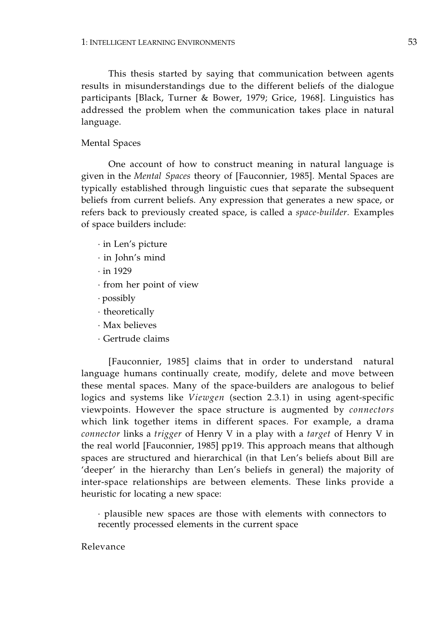This thesis started by saying that communication between agents results in misunderstandings due to the different beliefs of the dialogue participants [Black, Turner & Bower, 1979; Grice, 1968]. Linguistics has addressed the problem when the communication takes place in natural language.

## Mental Spaces

One account of how to construct meaning in natural language is given in the *Mental Spaces* theory of [Fauconnier, 1985]. Mental Spaces are typically established through linguistic cues that separate the subsequent beliefs from current beliefs. Any expression that generates a new space, or refers back to previously created space, is called a *space-builder.* Examples of space builders include:

- · in Len's picture
- · in John's mind
- · in 1929
- · from her point of view
- · possibly
- · theoretically
- · Max believes
- · Gertrude claims

[Fauconnier, 1985] claims that in order to understand natural language humans continually create, modify, delete and move between these mental spaces. Many of the space-builders are analogous to belief logics and systems like *Viewgen* (section 2.3.1) in using agent-specific viewpoints. However the space structure is augmented by *connectors*  which link together items in different spaces. For example, a drama *connector* links a *trigger* of Henry V in a play with a *target* of Henry V in the real world [Fauconnier, 1985] pp19. This approach means that although spaces are structured and hierarchical (in that Len's beliefs about Bill are 'deeper' in the hierarchy than Len's beliefs in general) the majority of inter-space relationships are between elements. These links provide a heuristic for locating a new space:

· plausible new spaces are those with elements with connectors to recently processed elements in the current space

Relevance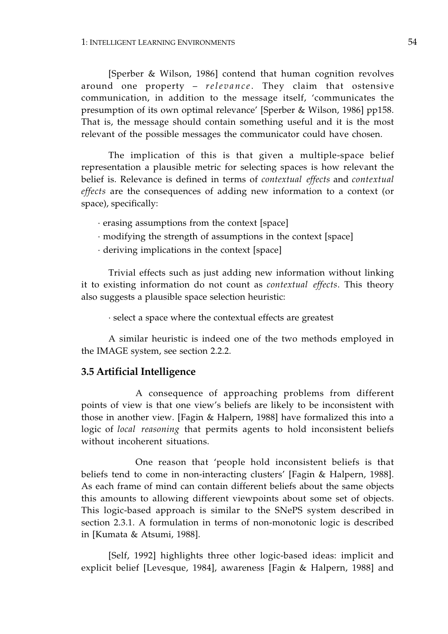[Sperber & Wilson, 1986] contend that human cognition revolves around one property – *relevance*. They claim that ostensive communication, in addition to the message itself, 'communicates the presumption of its own optimal relevance' [Sperber & Wilson, 1986] pp158. That is, the message should contain something useful and it is the most relevant of the possible messages the communicator could have chosen.

The implication of this is that given a multiple-space belief representation a plausible metric for selecting spaces is how relevant the belief is. Relevance is defined in terms of *contextual effects* and *contextual effects* are the consequences of adding new information to a context (or space), specifically:

· erasing assumptions from the context [space]

- · modifying the strength of assumptions in the context [space]
- · deriving implications in the context [space]

Trivial effects such as just adding new information without linking it to existing information do not count as *contextual effects*. This theory also suggests a plausible space selection heuristic:

· select a space where the contextual effects are greatest

A similar heuristic is indeed one of the two methods employed in the IMAGE system, see section 2.2.2.

# **3.5 Artificial Intelligence**

A consequence of approaching problems from different points of view is that one view's beliefs are likely to be inconsistent with those in another view. [Fagin & Halpern, 1988] have formalized this into a logic of *local reasoning* that permits agents to hold inconsistent beliefs without incoherent situations.

One reason that 'people hold inconsistent beliefs is that beliefs tend to come in non-interacting clusters' [Fagin & Halpern, 1988]. As each frame of mind can contain different beliefs about the same objects this amounts to allowing different viewpoints about some set of objects. This logic-based approach is similar to the SNePS system described in section 2.3.1. A formulation in terms of non-monotonic logic is described in [Kumata & Atsumi, 1988].

[Self, 1992] highlights three other logic-based ideas: implicit and explicit belief [Levesque, 1984], awareness [Fagin & Halpern, 1988] and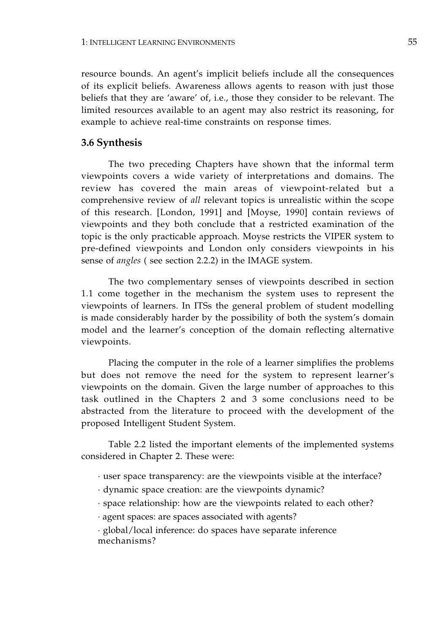resource bounds. An agent's implicit beliefs include all the consequences of its explicit beliefs. Awareness allows agents to reason with just those beliefs that they are 'aware' of, i.e., those they consider to be relevant. The limited resources available to an agent may also restrict its reasoning, for example to achieve real-time constraints on response times.

# **3.6 Synthesis**

The two preceding Chapters have shown that the informal term viewpoints covers a wide variety of interpretations and domains. The review has covered the main areas of viewpoint-related but a comprehensive review of *all* relevant topics is unrealistic within the scope of this research. [London, 1991] and [Moyse, 1990] contain reviews of viewpoints and they both conclude that a restricted examination of the topic is the only practicable approach. Moyse restricts the VIPER system to pre-defined viewpoints and London only considers viewpoints in his sense of *angles* ( see section 2.2.2) in the IMAGE system.

The two complementary senses of viewpoints described in section 1.1 come together in the mechanism the system uses to represent the viewpoints of learners. In ITSs the general problem of student modelling is made considerably harder by the possibility of both the system's domain model and the learner's conception of the domain reflecting alternative viewpoints.

Placing the computer in the role of a learner simplifies the problems but does not remove the need for the system to represent learner's viewpoints on the domain. Given the large number of approaches to this task outlined in the Chapters 2 and 3 some conclusions need to be abstracted from the literature to proceed with the development of the proposed Intelligent Student System.

Table 2.2 listed the important elements of the implemented systems considered in Chapter 2. These were:

- · user space transparency: are the viewpoints visible at the interface?
- · dynamic space creation: are the viewpoints dynamic?
- · space relationship: how are the viewpoints related to each other?
- · agent spaces: are spaces associated with agents?

· global/local inference: do spaces have separate inference mechanisms?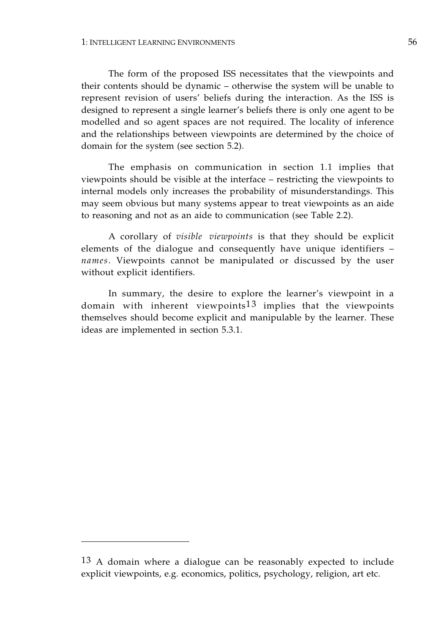The form of the proposed ISS necessitates that the viewpoints and their contents should be dynamic – otherwise the system will be unable to represent revision of users' beliefs during the interaction. As the ISS is designed to represent a single learner's beliefs there is only one agent to be modelled and so agent spaces are not required. The locality of inference and the relationships between viewpoints are determined by the choice of domain for the system (see section 5.2).

The emphasis on communication in section 1.1 implies that viewpoints should be visible at the interface – restricting the viewpoints to internal models only increases the probability of misunderstandings. This may seem obvious but many systems appear to treat viewpoints as an aide to reasoning and not as an aide to communication (see Table 2.2).

A corollary of *visible viewpoints* is that they should be explicit elements of the dialogue and consequently have unique identifiers – *names*. Viewpoints cannot be manipulated or discussed by the user without explicit identifiers.

In summary, the desire to explore the learner's viewpoint in a domain with inherent viewpoints<sup>13</sup> implies that the viewpoints themselves should become explicit and manipulable by the learner. These ideas are implemented in section 5.3.1.

<sup>13</sup> A domain where a dialogue can be reasonably expected to include explicit viewpoints, e.g. economics, politics, psychology, religion, art etc.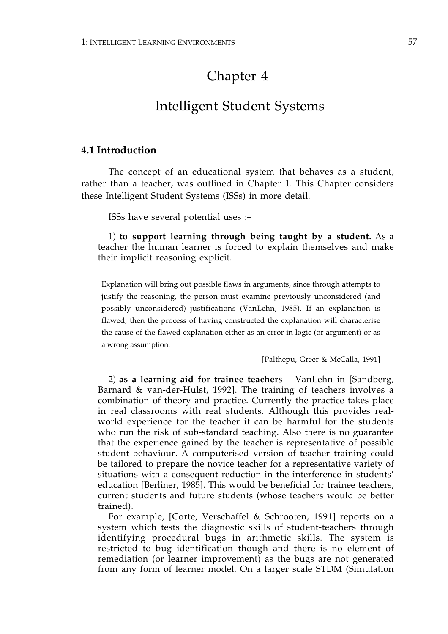# Chapter 4

# Intelligent Student Systems

# **4.1 Introduction**

The concept of an educational system that behaves as a student, rather than a teacher, was outlined in Chapter 1. This Chapter considers these Intelligent Student Systems (ISSs) in more detail.

ISSs have several potential uses :–

1) **to support learning through being taught by a student.** As a teacher the human learner is forced to explain themselves and make their implicit reasoning explicit.

Explanation will bring out possible flaws in arguments, since through attempts to justify the reasoning, the person must examine previously unconsidered (and possibly unconsidered) justifications (VanLehn, 1985). If an explanation is flawed, then the process of having constructed the explanation will characterise the cause of the flawed explanation either as an error in logic (or argument) or as a wrong assumption.

[Palthepu, Greer & McCalla, 1991]

2) **as a learning aid for trainee teachers** – VanLehn in [Sandberg, Barnard & van-der-Hulst, 1992]. The training of teachers involves a combination of theory and practice. Currently the practice takes place in real classrooms with real students. Although this provides realworld experience for the teacher it can be harmful for the students who run the risk of sub-standard teaching. Also there is no guarantee that the experience gained by the teacher is representative of possible student behaviour. A computerised version of teacher training could be tailored to prepare the novice teacher for a representative variety of situations with a consequent reduction in the interference in students' education [Berliner, 1985]. This would be beneficial for trainee teachers, current students and future students (whose teachers would be better trained).

For example, [Corte, Verschaffel & Schrooten, 1991] reports on a system which tests the diagnostic skills of student-teachers through identifying procedural bugs in arithmetic skills. The system is restricted to bug identification though and there is no element of remediation (or learner improvement) as the bugs are not generated from any form of learner model. On a larger scale STDM (Simulation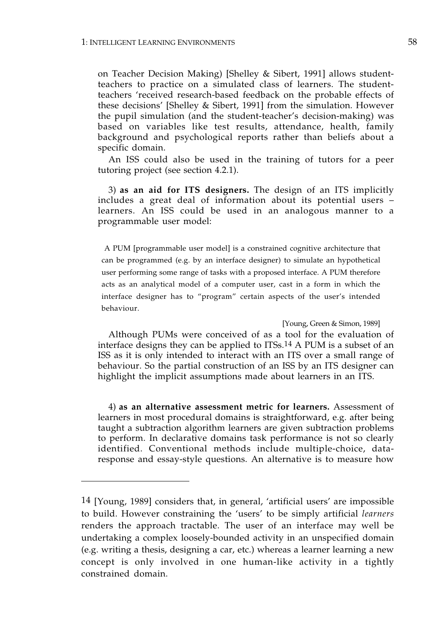on Teacher Decision Making) [Shelley & Sibert, 1991] allows studentteachers to practice on a simulated class of learners. The studentteachers 'received research-based feedback on the probable effects of these decisions' [Shelley & Sibert, 1991] from the simulation. However the pupil simulation (and the student-teacher's decision-making) was based on variables like test results, attendance, health, family background and psychological reports rather than beliefs about a specific domain.

An ISS could also be used in the training of tutors for a peer tutoring project (see section 4.2.1).

3) **as an aid for ITS designers.** The design of an ITS implicitly includes a great deal of information about its potential users – learners. An ISS could be used in an analogous manner to a programmable user model:

 A PUM [programmable user model] is a constrained cognitive architecture that can be programmed (e.g. by an interface designer) to simulate an hypothetical user performing some range of tasks with a proposed interface. A PUM therefore acts as an analytical model of a computer user, cast in a form in which the interface designer has to "program" certain aspects of the user's intended behaviour.

[Young, Green & Simon, 1989]

Although PUMs were conceived of as a tool for the evaluation of interface designs they can be applied to ITSs.14 A PUM is a subset of an ISS as it is only intended to interact with an ITS over a small range of behaviour. So the partial construction of an ISS by an ITS designer can highlight the implicit assumptions made about learners in an ITS.

4) **as an alternative assessment metric for learners.** Assessment of learners in most procedural domains is straightforward, e.g. after being taught a subtraction algorithm learners are given subtraction problems to perform. In declarative domains task performance is not so clearly identified. Conventional methods include multiple-choice, dataresponse and essay-style questions. An alternative is to measure how

<sup>14 [</sup>Young, 1989] considers that, in general, 'artificial users' are impossible to build. However constraining the 'users' to be simply artificial *learners*  renders the approach tractable. The user of an interface may well be undertaking a complex loosely-bounded activity in an unspecified domain (e.g. writing a thesis, designing a car, etc.) whereas a learner learning a new concept is only involved in one human-like activity in a tightly constrained domain.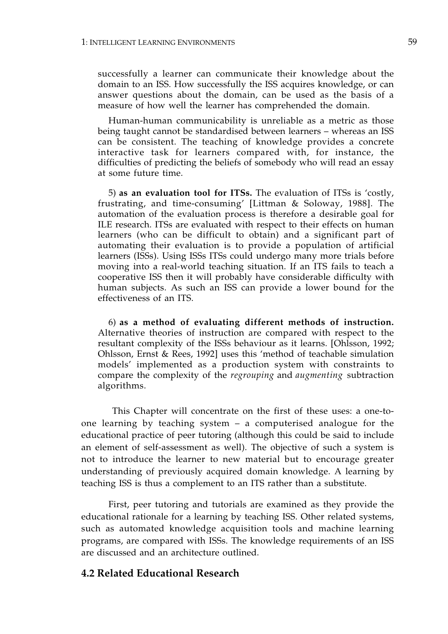successfully a learner can communicate their knowledge about the domain to an ISS. How successfully the ISS acquires knowledge, or can answer questions about the domain, can be used as the basis of a measure of how well the learner has comprehended the domain.

Human-human communicability is unreliable as a metric as those being taught cannot be standardised between learners – whereas an ISS can be consistent. The teaching of knowledge provides a concrete interactive task for learners compared with, for instance, the difficulties of predicting the beliefs of somebody who will read an essay at some future time.

5) **as an evaluation tool for ITSs.** The evaluation of ITSs is 'costly, frustrating, and time-consuming' [Littman & Soloway, 1988]. The automation of the evaluation process is therefore a desirable goal for ILE research. ITSs are evaluated with respect to their effects on human learners (who can be difficult to obtain) and a significant part of automating their evaluation is to provide a population of artificial learners (ISSs). Using ISSs ITSs could undergo many more trials before moving into a real-world teaching situation. If an ITS fails to teach a cooperative ISS then it will probably have considerable difficulty with human subjects. As such an ISS can provide a lower bound for the effectiveness of an ITS.

6) **as a method of evaluating different methods of instruction.**  Alternative theories of instruction are compared with respect to the resultant complexity of the ISSs behaviour as it learns. [Ohlsson, 1992; Ohlsson, Ernst & Rees, 1992] uses this 'method of teachable simulation models' implemented as a production system with constraints to compare the complexity of the *regrouping* and *augmenting* subtraction algorithms.

 This Chapter will concentrate on the first of these uses: a one-toone learning by teaching system – a computerised analogue for the educational practice of peer tutoring (although this could be said to include an element of self-assessment as well). The objective of such a system is not to introduce the learner to new material but to encourage greater understanding of previously acquired domain knowledge. A learning by teaching ISS is thus a complement to an ITS rather than a substitute.

First, peer tutoring and tutorials are examined as they provide the educational rationale for a learning by teaching ISS. Other related systems, such as automated knowledge acquisition tools and machine learning programs, are compared with ISSs. The knowledge requirements of an ISS are discussed and an architecture outlined.

# **4.2 Related Educational Research**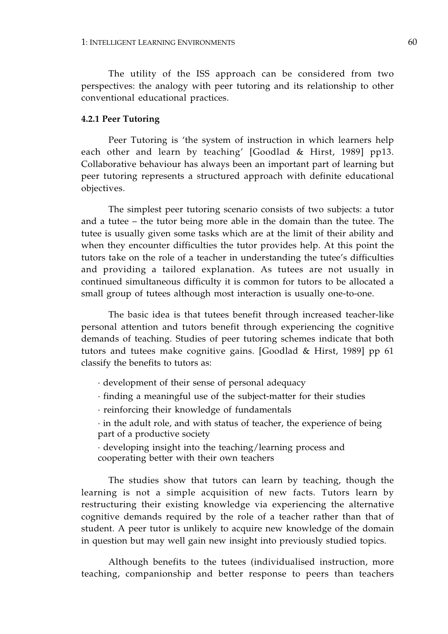The utility of the ISS approach can be considered from two perspectives: the analogy with peer tutoring and its relationship to other conventional educational practices.

## **4.2.1 Peer Tutoring**

Peer Tutoring is 'the system of instruction in which learners help each other and learn by teaching' [Goodlad & Hirst, 1989] pp13. Collaborative behaviour has always been an important part of learning but peer tutoring represents a structured approach with definite educational objectives.

The simplest peer tutoring scenario consists of two subjects: a tutor and a tutee – the tutor being more able in the domain than the tutee. The tutee is usually given some tasks which are at the limit of their ability and when they encounter difficulties the tutor provides help. At this point the tutors take on the role of a teacher in understanding the tutee's difficulties and providing a tailored explanation. As tutees are not usually in continued simultaneous difficulty it is common for tutors to be allocated a small group of tutees although most interaction is usually one-to-one.

The basic idea is that tutees benefit through increased teacher-like personal attention and tutors benefit through experiencing the cognitive demands of teaching. Studies of peer tutoring schemes indicate that both tutors and tutees make cognitive gains. [Goodlad & Hirst, 1989] pp 61 classify the benefits to tutors as:

- · development of their sense of personal adequacy
- · finding a meaningful use of the subject-matter for their studies
- · reinforcing their knowledge of fundamentals

· in the adult role, and with status of teacher, the experience of being part of a productive society

· developing insight into the teaching/learning process and cooperating better with their own teachers

The studies show that tutors can learn by teaching, though the learning is not a simple acquisition of new facts. Tutors learn by restructuring their existing knowledge via experiencing the alternative cognitive demands required by the role of a teacher rather than that of student. A peer tutor is unlikely to acquire new knowledge of the domain in question but may well gain new insight into previously studied topics.

Although benefits to the tutees (individualised instruction, more teaching, companionship and better response to peers than teachers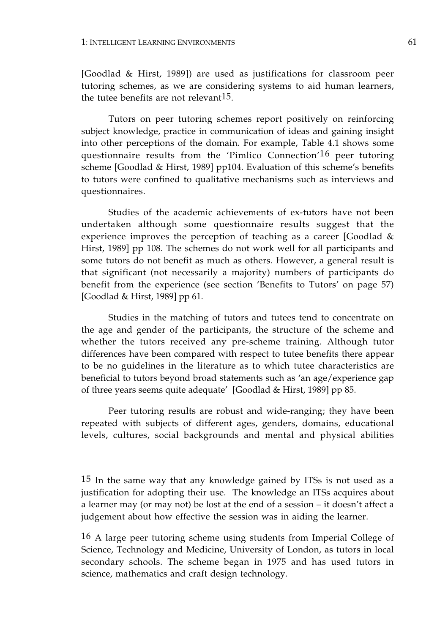[Goodlad & Hirst, 1989]) are used as justifications for classroom peer tutoring schemes, as we are considering systems to aid human learners, the tutee benefits are not relevant  $15$ .

Tutors on peer tutoring schemes report positively on reinforcing subject knowledge, practice in communication of ideas and gaining insight into other perceptions of the domain. For example, Table 4.1 shows some questionnaire results from the 'Pimlico Connection'16 peer tutoring scheme [Goodlad & Hirst, 1989] pp104. Evaluation of this scheme's benefits to tutors were confined to qualitative mechanisms such as interviews and questionnaires.

Studies of the academic achievements of ex-tutors have not been undertaken although some questionnaire results suggest that the experience improves the perception of teaching as a career [Goodlad & Hirst, 1989] pp 108. The schemes do not work well for all participants and some tutors do not benefit as much as others. However, a general result is that significant (not necessarily a majority) numbers of participants do benefit from the experience (see section 'Benefits to Tutors' on page 57) [Goodlad & Hirst, 1989] pp 61.

Studies in the matching of tutors and tutees tend to concentrate on the age and gender of the participants, the structure of the scheme and whether the tutors received any pre-scheme training. Although tutor differences have been compared with respect to tutee benefits there appear to be no guidelines in the literature as to which tutee characteristics are beneficial to tutors beyond broad statements such as 'an age/experience gap of three years seems quite adequate' [Goodlad & Hirst, 1989] pp 85.

Peer tutoring results are robust and wide-ranging; they have been repeated with subjects of different ages, genders, domains, educational levels, cultures, social backgrounds and mental and physical abilities

<sup>15</sup> In the same way that any knowledge gained by ITSs is not used as a justification for adopting their use. The knowledge an ITSs acquires about a learner may (or may not) be lost at the end of a session – it doesn't affect a judgement about how effective the session was in aiding the learner.

<sup>16</sup> A large peer tutoring scheme using students from Imperial College of Science, Technology and Medicine, University of London, as tutors in local secondary schools. The scheme began in 1975 and has used tutors in science, mathematics and craft design technology.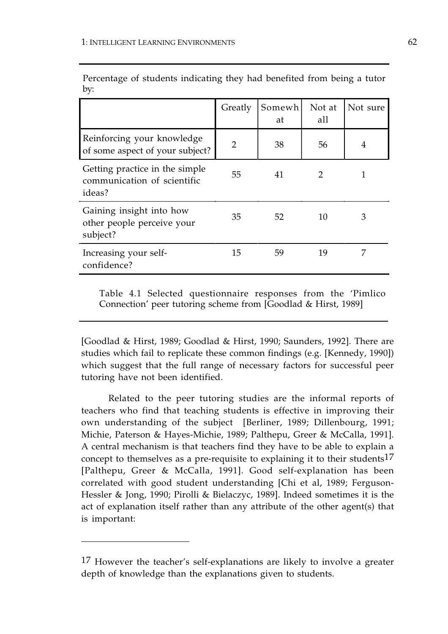|                                                                         | Greatly       | Somewh<br>at | Not at<br>all | Not sure |
|-------------------------------------------------------------------------|---------------|--------------|---------------|----------|
| Reinforcing your knowledge<br>of some aspect of your subject?           | $\mathcal{P}$ | 38           | 56            | 4        |
| Getting practice in the simple<br>communication of scientific<br>ideas? | 55            | 41           | $\mathcal{P}$ |          |
| Gaining insight into how<br>other people perceive your<br>subject?      | 35            | 52           | 10            | 3        |
| Increasing your self-<br>confidence?                                    | 15            | 59           | 19            | 7        |

Percentage of students indicating they had benefited from being a tutor by:

Table 4.1 Selected questionnaire responses from the 'Pimlico Connection' peer tutoring scheme from [Goodlad & Hirst, 1989]

[Goodlad & Hirst, 1989; Goodlad & Hirst, 1990; Saunders, 1992]. There are studies which fail to replicate these common findings (e.g. [Kennedy, 1990]) which suggest that the full range of necessary factors for successful peer tutoring have not been identified.

Related to the peer tutoring studies are the informal reports of teachers who find that teaching students is effective in improving their own understanding of the subject [Berliner, 1989; Dillenbourg, 1991; Michie, Paterson & Hayes-Michie, 1989; Palthepu, Greer & McCalla, 1991]. A central mechanism is that teachers find they have to be able to explain a concept to themselves as a pre-requisite to explaining it to their students17 [Palthepu, Greer & McCalla, 1991]. Good self-explanation has been correlated with good student understanding [Chi et al, 1989; Ferguson-Hessler & Jong, 1990; Pirolli & Bielaczyc, 1989]. Indeed sometimes it is the act of explanation itself rather than any attribute of the other agent(s) that is important:

<sup>17</sup> However the teacher's self-explanations are likely to involve a greater depth of knowledge than the explanations given to students.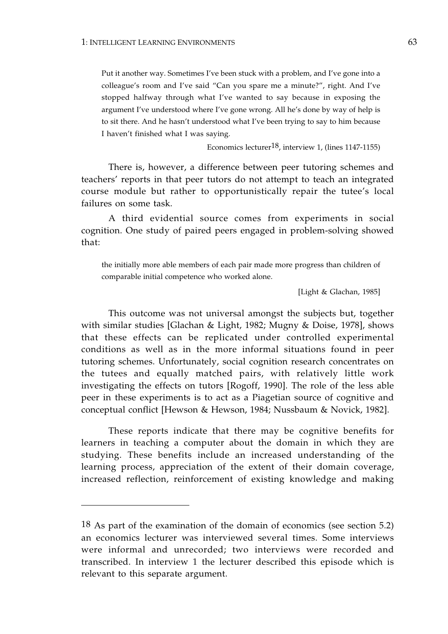Put it another way. Sometimes I've been stuck with a problem, and I've gone into a colleague's room and I've said "Can you spare me a minute?", right. And I've stopped halfway through what I've wanted to say because in exposing the argument I've understood where I've gone wrong. All he's done by way of help is to sit there. And he hasn't understood what I've been trying to say to him because I haven't finished what I was saying.

Economics lecturer18, interview 1, (lines 1147-1155)

There is, however, a difference between peer tutoring schemes and teachers' reports in that peer tutors do not attempt to teach an integrated course module but rather to opportunistically repair the tutee's local failures on some task.

A third evidential source comes from experiments in social cognition. One study of paired peers engaged in problem-solving showed that:

the initially more able members of each pair made more progress than children of comparable initial competence who worked alone.

[Light & Glachan, 1985]

This outcome was not universal amongst the subjects but, together with similar studies [Glachan & Light, 1982; Mugny & Doise, 1978], shows that these effects can be replicated under controlled experimental conditions as well as in the more informal situations found in peer tutoring schemes. Unfortunately, social cognition research concentrates on the tutees and equally matched pairs, with relatively little work investigating the effects on tutors [Rogoff, 1990]. The role of the less able peer in these experiments is to act as a Piagetian source of cognitive and conceptual conflict [Hewson & Hewson, 1984; Nussbaum & Novick, 1982].

These reports indicate that there may be cognitive benefits for learners in teaching a computer about the domain in which they are studying. These benefits include an increased understanding of the learning process, appreciation of the extent of their domain coverage, increased reflection, reinforcement of existing knowledge and making

<sup>18</sup> As part of the examination of the domain of economics (see section 5.2) an economics lecturer was interviewed several times. Some interviews were informal and unrecorded; two interviews were recorded and transcribed. In interview 1 the lecturer described this episode which is relevant to this separate argument.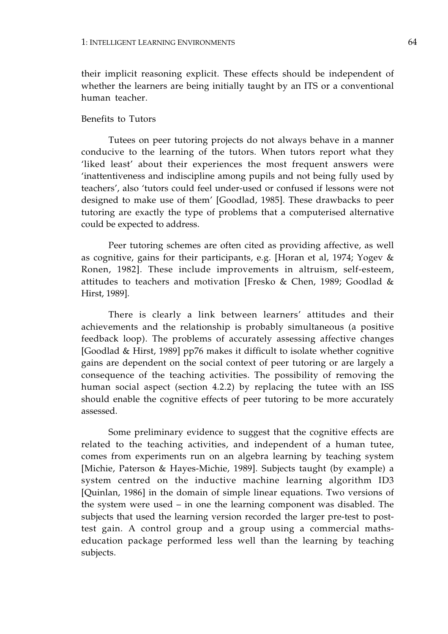their implicit reasoning explicit. These effects should be independent of whether the learners are being initially taught by an ITS or a conventional human teacher.

## Benefits to Tutors

Tutees on peer tutoring projects do not always behave in a manner conducive to the learning of the tutors. When tutors report what they 'liked least' about their experiences the most frequent answers were 'inattentiveness and indiscipline among pupils and not being fully used by teachers', also 'tutors could feel under-used or confused if lessons were not designed to make use of them' [Goodlad, 1985]. These drawbacks to peer tutoring are exactly the type of problems that a computerised alternative could be expected to address.

Peer tutoring schemes are often cited as providing affective, as well as cognitive, gains for their participants, e.g. [Horan et al, 1974; Yogev & Ronen, 1982]. These include improvements in altruism, self-esteem, attitudes to teachers and motivation [Fresko & Chen, 1989; Goodlad & Hirst, 1989].

There is clearly a link between learners' attitudes and their achievements and the relationship is probably simultaneous (a positive feedback loop). The problems of accurately assessing affective changes [Goodlad & Hirst, 1989] pp76 makes it difficult to isolate whether cognitive gains are dependent on the social context of peer tutoring or are largely a consequence of the teaching activities. The possibility of removing the human social aspect (section 4.2.2) by replacing the tutee with an ISS should enable the cognitive effects of peer tutoring to be more accurately assessed.

Some preliminary evidence to suggest that the cognitive effects are related to the teaching activities, and independent of a human tutee, comes from experiments run on an algebra learning by teaching system [Michie, Paterson & Hayes-Michie, 1989]. Subjects taught (by example) a system centred on the inductive machine learning algorithm ID3 [Quinlan, 1986] in the domain of simple linear equations. Two versions of the system were used – in one the learning component was disabled. The subjects that used the learning version recorded the larger pre-test to posttest gain. A control group and a group using a commercial mathseducation package performed less well than the learning by teaching subjects.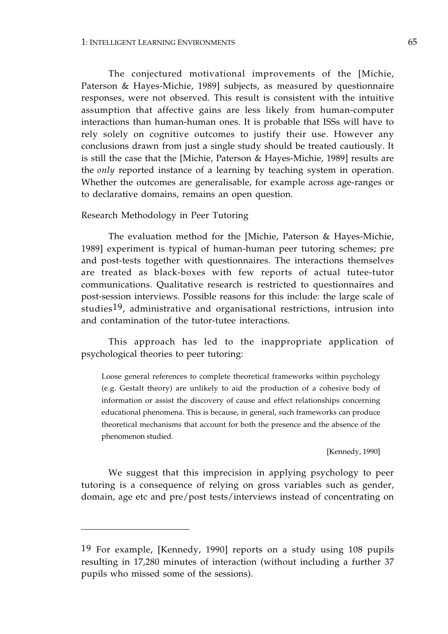The conjectured motivational improvements of the [Michie, Paterson & Hayes-Michie, 1989] subjects, as measured by questionnaire responses, were not observed. This result is consistent with the intuitive assumption that affective gains are less likely from human-computer interactions than human-human ones. It is probable that ISSs will have to rely solely on cognitive outcomes to justify their use. However any conclusions drawn from just a single study should be treated cautiously. It is still the case that the [Michie, Paterson & Hayes-Michie, 1989] results are the *only* reported instance of a learning by teaching system in operation. Whether the outcomes are generalisable, for example across age-ranges or to declarative domains, remains an open question.

## Research Methodology in Peer Tutoring

The evaluation method for the [Michie, Paterson & Hayes-Michie, 1989] experiment is typical of human-human peer tutoring schemes; pre and post-tests together with questionnaires. The interactions themselves are treated as black-boxes with few reports of actual tutee-tutor communications. Qualitative research is restricted to questionnaires and post-session interviews. Possible reasons for this include: the large scale of studies19, administrative and organisational restrictions, intrusion into and contamination of the tutor-tutee interactions.

This approach has led to the inappropriate application of psychological theories to peer tutoring:

Loose general references to complete theoretical frameworks within psychology (e.g. Gestalt theory) are unlikely to aid the production of a cohesive body of information or assist the discovery of cause and effect relationships concerning educational phenomena. This is because, in general, such frameworks can produce theoretical mechanisms that account for both the presence and the absence of the phenomenon studied.

[Kennedy, 1990]

We suggest that this imprecision in applying psychology to peer tutoring is a consequence of relying on gross variables such as gender, domain, age etc and pre/post tests/interviews instead of concentrating on

<sup>19</sup> For example, [Kennedy, 1990] reports on a study using 108 pupils resulting in 17,280 minutes of interaction (without including a further 37 pupils who missed some of the sessions).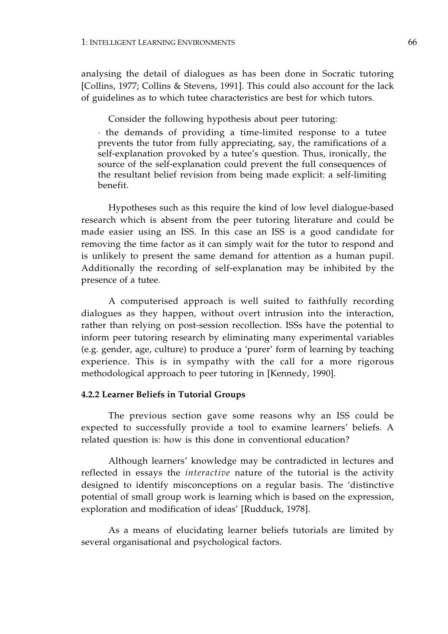analysing the detail of dialogues as has been done in Socratic tutoring [Collins, 1977; Collins & Stevens, 1991]. This could also account for the lack of guidelines as to which tutee characteristics are best for which tutors.

Consider the following hypothesis about peer tutoring:

· the demands of providing a time-limited response to a tutee prevents the tutor from fully appreciating, say, the ramifications of a self-explanation provoked by a tutee's question. Thus, ironically, the source of the self-explanation could prevent the full consequences of the resultant belief revision from being made explicit: a self-limiting benefit.

Hypotheses such as this require the kind of low level dialogue-based research which is absent from the peer tutoring literature and could be made easier using an ISS. In this case an ISS is a good candidate for removing the time factor as it can simply wait for the tutor to respond and is unlikely to present the same demand for attention as a human pupil. Additionally the recording of self-explanation may be inhibited by the presence of a tutee.

A computerised approach is well suited to faithfully recording dialogues as they happen, without overt intrusion into the interaction, rather than relying on post-session recollection. ISSs have the potential to inform peer tutoring research by eliminating many experimental variables (e.g. gender, age, culture) to produce a 'purer' form of learning by teaching experience. This is in sympathy with the call for a more rigorous methodological approach to peer tutoring in [Kennedy, 1990].

## **4.2.2 Learner Beliefs in Tutorial Groups**

The previous section gave some reasons why an ISS could be expected to successfully provide a tool to examine learners' beliefs. A related question is: how is this done in conventional education?

Although learners' knowledge may be contradicted in lectures and reflected in essays the *interactive* nature of the tutorial is the activity designed to identify misconceptions on a regular basis. The 'distinctive potential of small group work is learning which is based on the expression, exploration and modification of ideas' [Rudduck, 1978].

As a means of elucidating learner beliefs tutorials are limited by several organisational and psychological factors.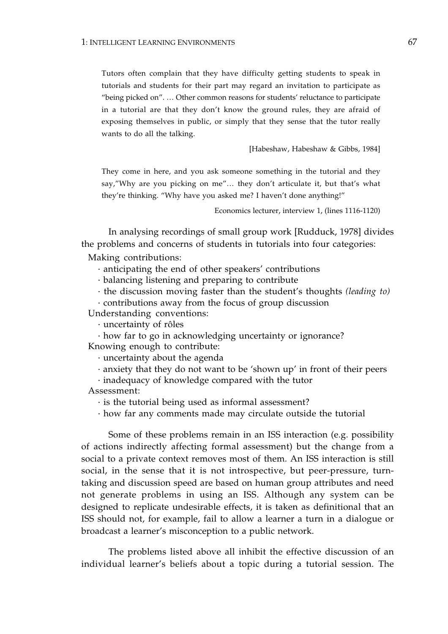Tutors often complain that they have difficulty getting students to speak in tutorials and students for their part may regard an invitation to participate as "being picked on". … Other common reasons for students' reluctance to participate in a tutorial are that they don't know the ground rules, they are afraid of exposing themselves in public, or simply that they sense that the tutor really wants to do all the talking.

[Habeshaw, Habeshaw & Gibbs, 1984]

They come in here, and you ask someone something in the tutorial and they say,"Why are you picking on me"… they don't articulate it, but that's what they're thinking. "Why have you asked me? I haven't done anything!"

Economics lecturer, interview 1, (lines 1116-1120)

In analysing recordings of small group work [Rudduck, 1978] divides the problems and concerns of students in tutorials into four categories:

Making contributions:

· anticipating the end of other speakers' contributions

· balancing listening and preparing to contribute

· the discussion moving faster than the student's thoughts *(leading to)* 

· contributions away from the focus of group discussion

Understanding conventions:

· uncertainty of rôles

· how far to go in acknowledging uncertainty or ignorance? Knowing enough to contribute:

· uncertainty about the agenda

· anxiety that they do not want to be 'shown up' in front of their peers

· inadequacy of knowledge compared with the tutor

Assessment:

· is the tutorial being used as informal assessment?

· how far any comments made may circulate outside the tutorial

Some of these problems remain in an ISS interaction (e.g. possibility of actions indirectly affecting formal assessment) but the change from a social to a private context removes most of them. An ISS interaction is still social, in the sense that it is not introspective, but peer-pressure, turntaking and discussion speed are based on human group attributes and need not generate problems in using an ISS. Although any system can be designed to replicate undesirable effects, it is taken as definitional that an ISS should not, for example, fail to allow a learner a turn in a dialogue or broadcast a learner's misconception to a public network.

The problems listed above all inhibit the effective discussion of an individual learner's beliefs about a topic during a tutorial session. The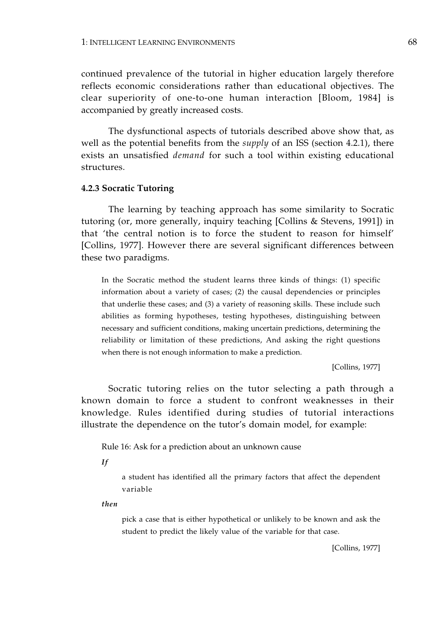continued prevalence of the tutorial in higher education largely therefore reflects economic considerations rather than educational objectives. The clear superiority of one-to-one human interaction [Bloom, 1984] is accompanied by greatly increased costs.

The dysfunctional aspects of tutorials described above show that, as well as the potential benefits from the *supply* of an ISS (section 4.2.1), there exists an unsatisfied *demand* for such a tool within existing educational structures.

### **4.2.3 Socratic Tutoring**

The learning by teaching approach has some similarity to Socratic tutoring (or, more generally, inquiry teaching [Collins & Stevens, 1991]) in that 'the central notion is to force the student to reason for himself' [Collins, 1977]. However there are several significant differences between these two paradigms.

In the Socratic method the student learns three kinds of things: (1) specific information about a variety of cases; (2) the causal dependencies or principles that underlie these cases; and (3) a variety of reasoning skills. These include such abilities as forming hypotheses, testing hypotheses, distinguishing between necessary and sufficient conditions, making uncertain predictions, determining the reliability or limitation of these predictions, And asking the right questions when there is not enough information to make a prediction.

[Collins, 1977]

Socratic tutoring relies on the tutor selecting a path through a known domain to force a student to confront weaknesses in their knowledge. Rules identified during studies of tutorial interactions illustrate the dependence on the tutor's domain model, for example:

Rule 16: Ask for a prediction about an unknown cause

*If*

a student has identified all the primary factors that affect the dependent variable

*then*

pick a case that is either hypothetical or unlikely to be known and ask the student to predict the likely value of the variable for that case.

[Collins, 1977]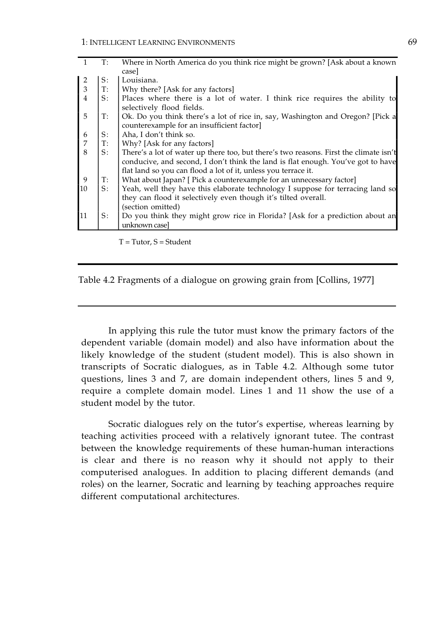| casel<br>Louisiana.<br>$S$ :<br>$\frac{2}{3}$<br>T:<br>  Why there? [Ask for any factors]<br>$S$ :<br>selectively flood fields.<br>5<br>T:<br>counterexample for an insufficient factor]<br>S:<br>Aha, I don't think so.<br>6<br>$\overline{7}$<br>$T$ :<br>Why? [Ask for any factors]<br>8<br>S:<br>flat land so you can flood a lot of it, unless you terrace it.<br>9<br>What about Japan? [ Pick a counterexample for an unnecessary factor]<br>T:<br>S:<br>10<br>they can flood it selectively even though it's tilted overall.<br>(section omitted)<br>11<br>S:<br>unknown case] | $T$ : | Where in North America do you think rice might be grown? [Ask about a known           |
|----------------------------------------------------------------------------------------------------------------------------------------------------------------------------------------------------------------------------------------------------------------------------------------------------------------------------------------------------------------------------------------------------------------------------------------------------------------------------------------------------------------------------------------------------------------------------------------|-------|---------------------------------------------------------------------------------------|
|                                                                                                                                                                                                                                                                                                                                                                                                                                                                                                                                                                                        |       |                                                                                       |
|                                                                                                                                                                                                                                                                                                                                                                                                                                                                                                                                                                                        |       |                                                                                       |
|                                                                                                                                                                                                                                                                                                                                                                                                                                                                                                                                                                                        |       |                                                                                       |
|                                                                                                                                                                                                                                                                                                                                                                                                                                                                                                                                                                                        |       | Places where there is a lot of water. I think rice requires the ability to            |
|                                                                                                                                                                                                                                                                                                                                                                                                                                                                                                                                                                                        |       |                                                                                       |
|                                                                                                                                                                                                                                                                                                                                                                                                                                                                                                                                                                                        |       | Ok. Do you think there's a lot of rice in, say, Washington and Oregon? [Pick a        |
|                                                                                                                                                                                                                                                                                                                                                                                                                                                                                                                                                                                        |       |                                                                                       |
|                                                                                                                                                                                                                                                                                                                                                                                                                                                                                                                                                                                        |       |                                                                                       |
|                                                                                                                                                                                                                                                                                                                                                                                                                                                                                                                                                                                        |       |                                                                                       |
|                                                                                                                                                                                                                                                                                                                                                                                                                                                                                                                                                                                        |       | There's a lot of water up there too, but there's two reasons. First the climate isn't |
|                                                                                                                                                                                                                                                                                                                                                                                                                                                                                                                                                                                        |       | conducive, and second, I don't think the land is flat enough. You've got to have      |
|                                                                                                                                                                                                                                                                                                                                                                                                                                                                                                                                                                                        |       |                                                                                       |
|                                                                                                                                                                                                                                                                                                                                                                                                                                                                                                                                                                                        |       |                                                                                       |
|                                                                                                                                                                                                                                                                                                                                                                                                                                                                                                                                                                                        |       | Yeah, well they have this elaborate technology I suppose for terracing land so        |
|                                                                                                                                                                                                                                                                                                                                                                                                                                                                                                                                                                                        |       |                                                                                       |
|                                                                                                                                                                                                                                                                                                                                                                                                                                                                                                                                                                                        |       |                                                                                       |
|                                                                                                                                                                                                                                                                                                                                                                                                                                                                                                                                                                                        |       | Do you think they might grow rice in Florida? [Ask for a prediction about an          |
|                                                                                                                                                                                                                                                                                                                                                                                                                                                                                                                                                                                        |       |                                                                                       |

 $T = Tutor, S = Student$ 

| Table 4.2 Fragments of a dialogue on growing grain from [Collins, 1977] |  |  |
|-------------------------------------------------------------------------|--|--|
|                                                                         |  |  |

In applying this rule the tutor must know the primary factors of the dependent variable (domain model) and also have information about the likely knowledge of the student (student model). This is also shown in transcripts of Socratic dialogues, as in Table 4.2. Although some tutor questions, lines 3 and 7, are domain independent others, lines 5 and 9, require a complete domain model. Lines 1 and 11 show the use of a student model by the tutor.

Socratic dialogues rely on the tutor's expertise, whereas learning by teaching activities proceed with a relatively ignorant tutee. The contrast between the knowledge requirements of these human-human interactions is clear and there is no reason why it should not apply to their computerised analogues. In addition to placing different demands (and roles) on the learner, Socratic and learning by teaching approaches require different computational architectures.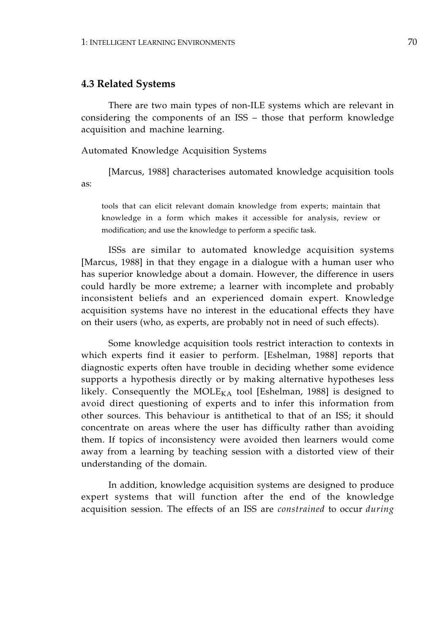# **4.3 Related Systems**

There are two main types of non-ILE systems which are relevant in considering the components of an ISS – those that perform knowledge acquisition and machine learning.

Automated Knowledge Acquisition Systems

[Marcus, 1988] characterises automated knowledge acquisition tools as:

tools that can elicit relevant domain knowledge from experts; maintain that knowledge in a form which makes it accessible for analysis, review or modification; and use the knowledge to perform a specific task.

ISSs are similar to automated knowledge acquisition systems [Marcus, 1988] in that they engage in a dialogue with a human user who has superior knowledge about a domain. However, the difference in users could hardly be more extreme; a learner with incomplete and probably inconsistent beliefs and an experienced domain expert. Knowledge acquisition systems have no interest in the educational effects they have on their users (who, as experts, are probably not in need of such effects).

Some knowledge acquisition tools restrict interaction to contexts in which experts find it easier to perform. [Eshelman, 1988] reports that diagnostic experts often have trouble in deciding whether some evidence supports a hypothesis directly or by making alternative hypotheses less likely. Consequently the  $MOLE_{KA}$  tool [Eshelman, 1988] is designed to avoid direct questioning of experts and to infer this information from other sources. This behaviour is antithetical to that of an ISS; it should concentrate on areas where the user has difficulty rather than avoiding them. If topics of inconsistency were avoided then learners would come away from a learning by teaching session with a distorted view of their understanding of the domain.

In addition, knowledge acquisition systems are designed to produce expert systems that will function after the end of the knowledge acquisition session. The effects of an ISS are *constrained* to occur *during*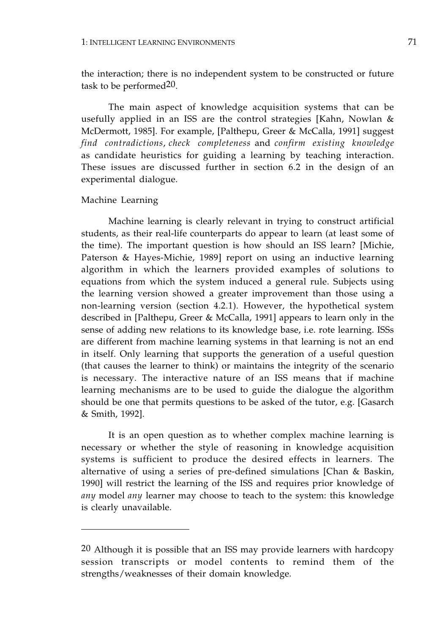the interaction; there is no independent system to be constructed or future task to be performed20.

The main aspect of knowledge acquisition systems that can be usefully applied in an ISS are the control strategies [Kahn, Nowlan & McDermott, 1985]. For example, [Palthepu, Greer & McCalla, 1991] suggest *find contradictions*, *check completeness* and *confirm existing knowledge*  as candidate heuristics for guiding a learning by teaching interaction. These issues are discussed further in section 6.2 in the design of an experimental dialogue.

## Machine Learning

Machine learning is clearly relevant in trying to construct artificial students, as their real-life counterparts do appear to learn (at least some of the time). The important question is how should an ISS learn? [Michie, Paterson & Hayes-Michie, 1989] report on using an inductive learning algorithm in which the learners provided examples of solutions to equations from which the system induced a general rule. Subjects using the learning version showed a greater improvement than those using a non-learning version (section 4.2.1). However, the hypothetical system described in [Palthepu, Greer & McCalla, 1991] appears to learn only in the sense of adding new relations to its knowledge base, i.e. rote learning. ISSs are different from machine learning systems in that learning is not an end in itself. Only learning that supports the generation of a useful question (that causes the learner to think) or maintains the integrity of the scenario is necessary. The interactive nature of an ISS means that if machine learning mechanisms are to be used to guide the dialogue the algorithm should be one that permits questions to be asked of the tutor, e.g. [Gasarch & Smith, 1992].

It is an open question as to whether complex machine learning is necessary or whether the style of reasoning in knowledge acquisition systems is sufficient to produce the desired effects in learners. The alternative of using a series of pre-defined simulations [Chan & Baskin, 1990] will restrict the learning of the ISS and requires prior knowledge of *any* model *any* learner may choose to teach to the system: this knowledge is clearly unavailable.

<sup>20</sup> Although it is possible that an ISS may provide learners with hardcopy session transcripts or model contents to remind them of the strengths/weaknesses of their domain knowledge.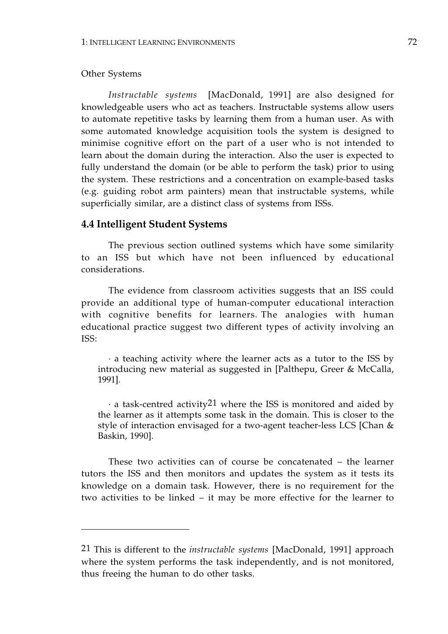## Other Systems

*Instructable systems* [MacDonald, 1991] are also designed for knowledgeable users who act as teachers. Instructable systems allow users to automate repetitive tasks by learning them from a human user. As with some automated knowledge acquisition tools the system is designed to minimise cognitive effort on the part of a user who is not intended to learn about the domain during the interaction. Also the user is expected to fully understand the domain (or be able to perform the task) prior to using the system. These restrictions and a concentration on example-based tasks (e.g. guiding robot arm painters) mean that instructable systems, while superficially similar, are a distinct class of systems from ISSs.

# **4.4 Intelligent Student Systems**

The previous section outlined systems which have some similarity to an ISS but which have not been influenced by educational considerations.

The evidence from classroom activities suggests that an ISS could provide an additional type of human-computer educational interaction with cognitive benefits for learners. The analogies with human educational practice suggest two different types of activity involving an ISS:

· a teaching activity where the learner acts as a tutor to the ISS by introducing new material as suggested in [Palthepu, Greer & McCalla, 1991].

 $\cdot$  a task-centred activity<sup>21</sup> where the ISS is monitored and aided by the learner as it attempts some task in the domain. This is closer to the style of interaction envisaged for a two-agent teacher-less LCS [Chan & Baskin, 1990].

These two activities can of course be concatenated – the learner tutors the ISS and then monitors and updates the system as it tests its knowledge on a domain task. However, there is no requirement for the two activities to be linked – it may be more effective for the learner to

<sup>21</sup> This is different to the *instructable systems* [MacDonald, 1991] approach where the system performs the task independently, and is not monitored, thus freeing the human to do other tasks.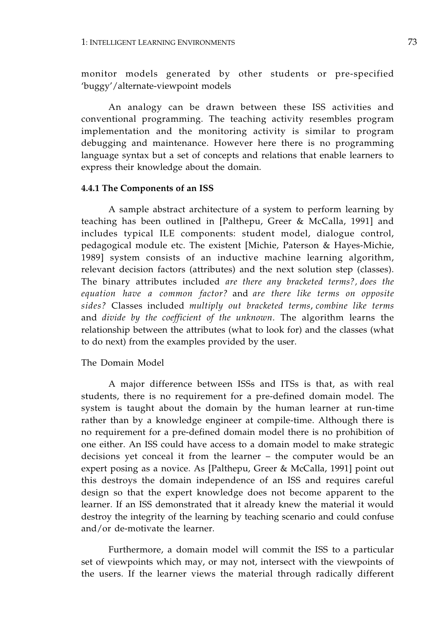monitor models generated by other students or pre-specified 'buggy'/alternate-viewpoint models

An analogy can be drawn between these ISS activities and conventional programming. The teaching activity resembles program implementation and the monitoring activity is similar to program debugging and maintenance. However here there is no programming language syntax but a set of concepts and relations that enable learners to express their knowledge about the domain.

## **4.4.1 The Components of an ISS**

A sample abstract architecture of a system to perform learning by teaching has been outlined in [Palthepu, Greer & McCalla, 1991] and includes typical ILE components: student model, dialogue control, pedagogical module etc. The existent [Michie, Paterson & Hayes-Michie, 1989] system consists of an inductive machine learning algorithm, relevant decision factors (attributes) and the next solution step (classes). The binary attributes included *are there any bracketed terms?, does the equation have a common factor?* and *are there like terms on opposite sides?* Classes included *multiply out bracketed terms*, *combine like terms*  and *divide by the coefficient of the unknown*. The algorithm learns the relationship between the attributes (what to look for) and the classes (what to do next) from the examples provided by the user.

## The Domain Model

A major difference between ISSs and ITSs is that, as with real students, there is no requirement for a pre-defined domain model. The system is taught about the domain by the human learner at run-time rather than by a knowledge engineer at compile-time. Although there is no requirement for a pre-defined domain model there is no prohibition of one either. An ISS could have access to a domain model to make strategic decisions yet conceal it from the learner – the computer would be an expert posing as a novice. As [Palthepu, Greer & McCalla, 1991] point out this destroys the domain independence of an ISS and requires careful design so that the expert knowledge does not become apparent to the learner. If an ISS demonstrated that it already knew the material it would destroy the integrity of the learning by teaching scenario and could confuse and/or de-motivate the learner.

Furthermore, a domain model will commit the ISS to a particular set of viewpoints which may, or may not, intersect with the viewpoints of the users. If the learner views the material through radically different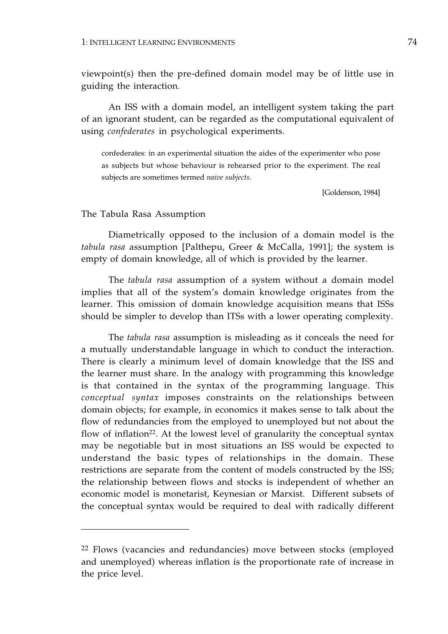viewpoint(s) then the pre-defined domain model may be of little use in guiding the interaction.

An ISS with a domain model, an intelligent system taking the part of an ignorant student, can be regarded as the computational equivalent of using *confederates* in psychological experiments.

confederates: in an experimental situation the aides of the experimenter who pose as subjects but whose behaviour is rehearsed prior to the experiment. The real subjects are sometimes termed *naive subjects*.

[Goldenson, 1984]

## The Tabula Rasa Assumption

Diametrically opposed to the inclusion of a domain model is the *tabula rasa* assumption [Palthepu, Greer & McCalla, 1991]; the system is empty of domain knowledge, all of which is provided by the learner.

The *tabula rasa* assumption of a system without a domain model implies that all of the system's domain knowledge originates from the learner. This omission of domain knowledge acquisition means that ISSs should be simpler to develop than ITSs with a lower operating complexity.

The *tabula rasa* assumption is misleading as it conceals the need for a mutually understandable language in which to conduct the interaction. There is clearly a minimum level of domain knowledge that the ISS and the learner must share. In the analogy with programming this knowledge is that contained in the syntax of the programming language. This *conceptual syntax* imposes constraints on the relationships between domain objects; for example, in economics it makes sense to talk about the flow of redundancies from the employed to unemployed but not about the flow of inflation<sup>22</sup>. At the lowest level of granularity the conceptual syntax may be negotiable but in most situations an ISS would be expected to understand the basic types of relationships in the domain. These restrictions are separate from the content of models constructed by the lSS; the relationship between flows and stocks is independent of whether an economic model is monetarist, Keynesian or Marxist. Different subsets of the conceptual syntax would be required to deal with radically different

<sup>&</sup>lt;sup>22</sup> Flows (vacancies and redundancies) move between stocks (employed and unemployed) whereas inflation is the proportionate rate of increase in the price level.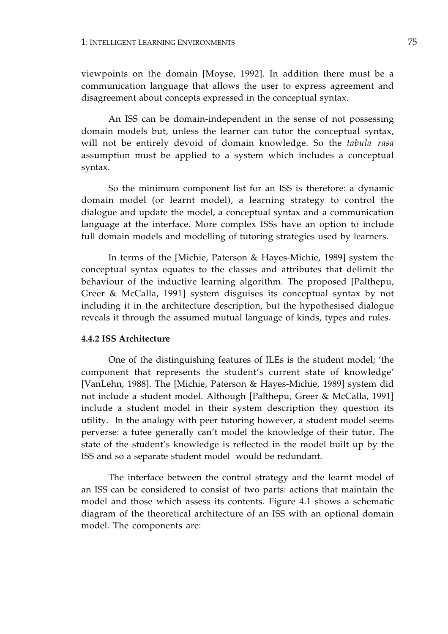viewpoints on the domain [Moyse, 1992]. In addition there must be a communication language that allows the user to express agreement and disagreement about concepts expressed in the conceptual syntax.

An ISS can be domain-independent in the sense of not possessing domain models but, unless the learner can tutor the conceptual syntax, will not be entirely devoid of domain knowledge. So the *tabula rasa*  assumption must be applied to a system which includes a conceptual syntax.

So the minimum component list for an ISS is therefore: a dynamic domain model (or learnt model), a learning strategy to control the dialogue and update the model, a conceptual syntax and a communication language at the interface. More complex ISSs have an option to include full domain models and modelling of tutoring strategies used by learners.

In terms of the [Michie, Paterson & Hayes-Michie, 1989] system the conceptual syntax equates to the classes and attributes that delimit the behaviour of the inductive learning algorithm. The proposed [Palthepu, Greer & McCalla, 1991] system disguises its conceptual syntax by not including it in the architecture description, but the hypothesised dialogue reveals it through the assumed mutual language of kinds, types and rules.

## **4.4.2 ISS Architecture**

One of the distinguishing features of ILEs is the student model; 'the component that represents the student's current state of knowledge' [VanLehn, 1988]. The [Michie, Paterson & Hayes-Michie, 1989] system did not include a student model. Although [Palthepu, Greer & McCalla, 1991] include a student model in their system description they question its utility. In the analogy with peer tutoring however, a student model seems perverse: a tutee generally can't model the knowledge of their tutor. The state of the student's knowledge is reflected in the model built up by the ISS and so a separate student model would be redundant.

The interface between the control strategy and the learnt model of an ISS can be considered to consist of two parts: actions that maintain the model and those which assess its contents. Figure 4.1 shows a schematic diagram of the theoretical architecture of an ISS with an optional domain model. The components are: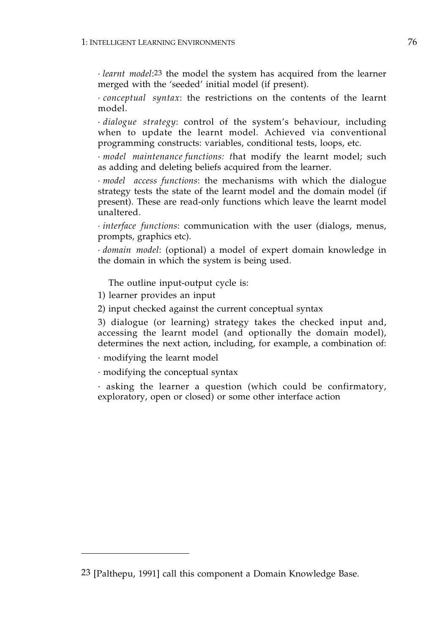· *learnt model*:23 the model the system has acquired from the learner merged with the 'seeded' initial model (if present).

· *conceptual syntax*: the restrictions on the contents of the learnt model.

· *dialogue strategy*: control of the system's behaviour, including when to update the learnt model. Achieved via conventional programming constructs: variables, conditional tests, loops, etc.

· *model maintenance functions: t*hat modify the learnt model; such as adding and deleting beliefs acquired from the learner.

· *model access functions*: the mechanisms with which the dialogue strategy tests the state of the learnt model and the domain model (if present). These are read-only functions which leave the learnt model unaltered.

· *interface functions*: communication with the user (dialogs, menus, prompts, graphics etc).

· *domain model*: (optional) a model of expert domain knowledge in the domain in which the system is being used.

The outline input-output cycle is:

1) learner provides an input

2) input checked against the current conceptual syntax

3) dialogue (or learning) strategy takes the checked input and, accessing the learnt model (and optionally the domain model), determines the next action, including, for example, a combination of:

· modifying the learnt model

· modifying the conceptual syntax

· asking the learner a question (which could be confirmatory, exploratory, open or closed) or some other interface action

<sup>23 [</sup>Palthepu, 1991] call this component a Domain Knowledge Base.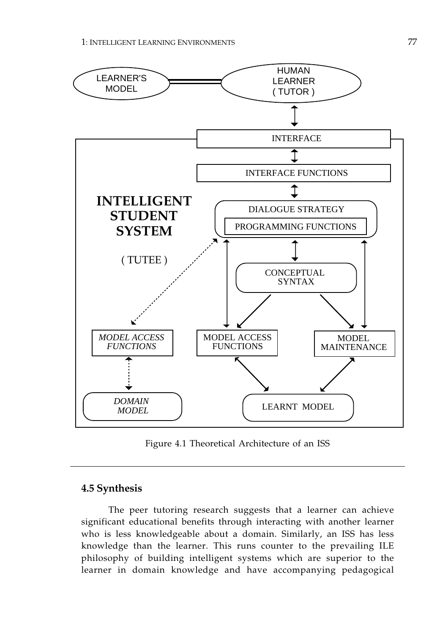

Figure 4.1 Theoretical Architecture of an ISS

# **4.5 Synthesis**

The peer tutoring research suggests that a learner can achieve significant educational benefits through interacting with another learner who is less knowledgeable about a domain. Similarly, an ISS has less knowledge than the learner. This runs counter to the prevailing ILE philosophy of building intelligent systems which are superior to the learner in domain knowledge and have accompanying pedagogical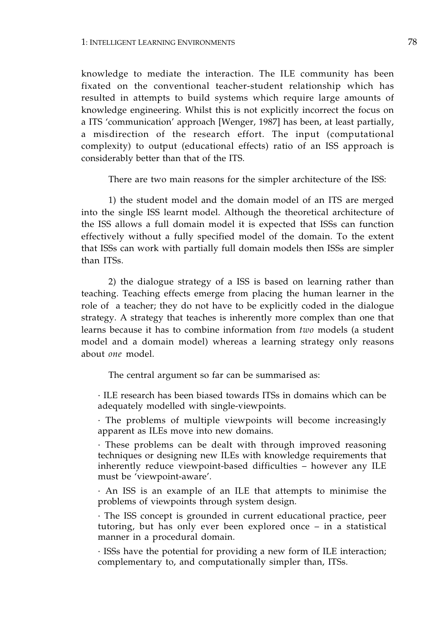knowledge to mediate the interaction. The ILE community has been fixated on the conventional teacher-student relationship which has resulted in attempts to build systems which require large amounts of knowledge engineering. Whilst this is not explicitly incorrect the focus on a ITS 'communication' approach [Wenger, 1987] has been, at least partially, a misdirection of the research effort. The input (computational complexity) to output (educational effects) ratio of an ISS approach is considerably better than that of the ITS.

There are two main reasons for the simpler architecture of the ISS:

1) the student model and the domain model of an ITS are merged into the single ISS learnt model. Although the theoretical architecture of the ISS allows a full domain model it is expected that ISSs can function effectively without a fully specified model of the domain. To the extent that ISSs can work with partially full domain models then ISSs are simpler than ITSs.

2) the dialogue strategy of a ISS is based on learning rather than teaching. Teaching effects emerge from placing the human learner in the role of a teacher; they do not have to be explicitly coded in the dialogue strategy. A strategy that teaches is inherently more complex than one that learns because it has to combine information from *two* models (a student model and a domain model) whereas a learning strategy only reasons about *one* model.

The central argument so far can be summarised as:

· ILE research has been biased towards ITSs in domains which can be adequately modelled with single-viewpoints.

· The problems of multiple viewpoints will become increasingly apparent as ILEs move into new domains.

· These problems can be dealt with through improved reasoning techniques or designing new ILEs with knowledge requirements that inherently reduce viewpoint-based difficulties – however any ILE must be 'viewpoint-aware'.

· An ISS is an example of an ILE that attempts to minimise the problems of viewpoints through system design.

· The ISS concept is grounded in current educational practice, peer tutoring, but has only ever been explored once – in a statistical manner in a procedural domain.

· ISSs have the potential for providing a new form of ILE interaction; complementary to, and computationally simpler than, ITSs.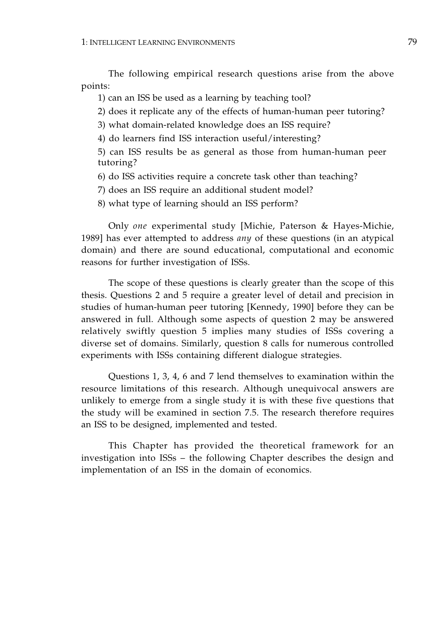The following empirical research questions arise from the above points:

- 1) can an ISS be used as a learning by teaching tool?
- 2) does it replicate any of the effects of human-human peer tutoring?
- 3) what domain-related knowledge does an ISS require?
- 4) do learners find ISS interaction useful/interesting?
- 5) can ISS results be as general as those from human-human peer tutoring?
- 6) do ISS activities require a concrete task other than teaching?
- 7) does an ISS require an additional student model?
- 8) what type of learning should an ISS perform?

Only *one* experimental study [Michie, Paterson & Hayes-Michie, 1989] has ever attempted to address *any* of these questions (in an atypical domain) and there are sound educational, computational and economic reasons for further investigation of ISSs.

The scope of these questions is clearly greater than the scope of this thesis. Questions 2 and 5 require a greater level of detail and precision in studies of human-human peer tutoring [Kennedy, 1990] before they can be answered in full. Although some aspects of question 2 may be answered relatively swiftly question 5 implies many studies of ISSs covering a diverse set of domains. Similarly, question 8 calls for numerous controlled experiments with ISSs containing different dialogue strategies.

Questions 1, 3, 4, 6 and 7 lend themselves to examination within the resource limitations of this research. Although unequivocal answers are unlikely to emerge from a single study it is with these five questions that the study will be examined in section 7.5. The research therefore requires an ISS to be designed, implemented and tested.

This Chapter has provided the theoretical framework for an investigation into ISSs – the following Chapter describes the design and implementation of an ISS in the domain of economics.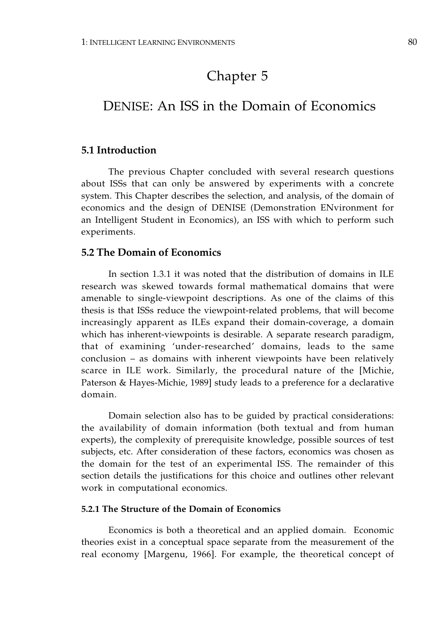# Chapter 5

# DENISE: An ISS in the Domain of Economics

# **5.1 Introduction**

The previous Chapter concluded with several research questions about ISSs that can only be answered by experiments with a concrete system. This Chapter describes the selection, and analysis, of the domain of economics and the design of DENISE (Demonstration ENvironment for an Intelligent Student in Economics), an ISS with which to perform such experiments.

# **5.2 The Domain of Economics**

In section 1.3.1 it was noted that the distribution of domains in ILE research was skewed towards formal mathematical domains that were amenable to single-viewpoint descriptions. As one of the claims of this thesis is that ISSs reduce the viewpoint-related problems, that will become increasingly apparent as ILEs expand their domain-coverage, a domain which has inherent-viewpoints is desirable. A separate research paradigm, that of examining 'under-researched' domains, leads to the same conclusion – as domains with inherent viewpoints have been relatively scarce in ILE work. Similarly, the procedural nature of the [Michie, Paterson & Hayes-Michie, 1989] study leads to a preference for a declarative domain.

Domain selection also has to be guided by practical considerations: the availability of domain information (both textual and from human experts), the complexity of prerequisite knowledge, possible sources of test subjects, etc. After consideration of these factors, economics was chosen as the domain for the test of an experimental ISS. The remainder of this section details the justifications for this choice and outlines other relevant work in computational economics.

# **5.2.1 The Structure of the Domain of Economics**

Economics is both a theoretical and an applied domain. Economic theories exist in a conceptual space separate from the measurement of the real economy [Margenu, 1966]. For example, the theoretical concept of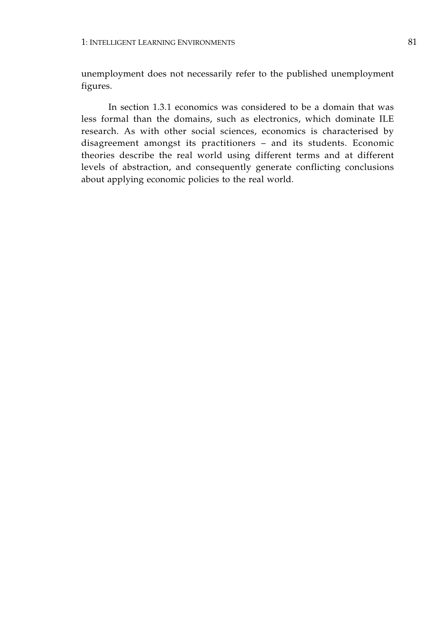unemployment does not necessarily refer to the published unemployment figures.

In section 1.3.1 economics was considered to be a domain that was less formal than the domains, such as electronics, which dominate ILE research. As with other social sciences, economics is characterised by disagreement amongst its practitioners – and its students. Economic theories describe the real world using different terms and at different levels of abstraction, and consequently generate conflicting conclusions about applying economic policies to the real world.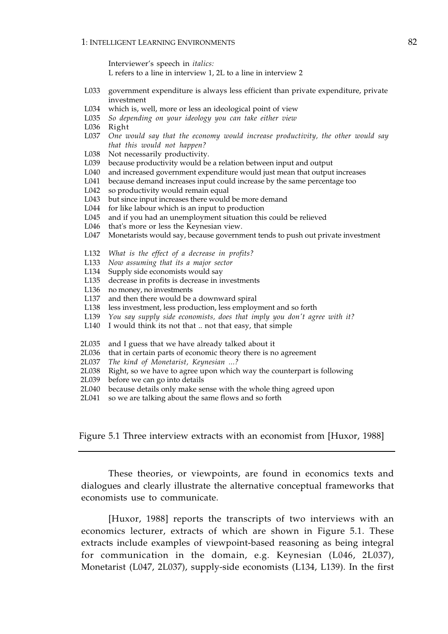Interviewer's speech in *italics:* L refers to a line in interview 1, 2L to a line in interview 2

- L033 government expenditure is always less efficient than private expenditure, private investment
- L034 which is, well, more or less an ideological point of view
- L035 *So depending on your ideology you can take either view*
- L036 Right
- L037 *One would say that the economy would increase productivity, the other would say that this would not happen?*
- L038 Not necessarily productivity.
- L039 because productivity would be a relation between input and output
- L040 and increased government expenditure would just mean that output increases<br>L041 because demand increases input could increase by the same percentage too
- because demand increases input could increase by the same percentage too
- L042 so productivity would remain equal
- L043 but since input increases there would be more demand<br>L044 for like labour which is an input to production
- for like labour which is an input to production
- L045 and if you had an unemployment situation this could be relieved
- L046 that's more or less the Keynesian view.
- L047 Monetarists would say, because government tends to push out private investment
- L132 *What is the effect of a decrease in profits?*
- L133 *Now assuming that its a major sector*
- L134 Supply side economists would say
- L135 decrease in profits is decrease in investments
- L136 no money, no investments
- L137 and then there would be a downward spiral
- L138 less investment, less production, less employment and so forth
- L139 *You say supply side economists, does that imply you don't agree with it?*
- L140 I would think its not that .. not that easy, that simple
- 2L035 and I guess that we have already talked about it
- 2L036 that in certain parts of economic theory there is no agreement
- 2L037 *The kind of Monetarist, Keynesian ...?*
- 2L038 Right, so we have to agree upon which way the counterpart is following
- 2L039 before we can go into details
- 2L040 because details only make sense with the whole thing agreed upon
- 2L041 so we are talking about the same flows and so forth

Figure 5.1 Three interview extracts with an economist from [Huxor, 1988]

These theories, or viewpoints, are found in economics texts and dialogues and clearly illustrate the alternative conceptual frameworks that economists use to communicate.

[Huxor, 1988] reports the transcripts of two interviews with an economics lecturer, extracts of which are shown in Figure 5.1. These extracts include examples of viewpoint-based reasoning as being integral for communication in the domain, e.g. Keynesian (L046, 2L037), Monetarist (L047, 2L037), supply-side economists (L134, L139). In the first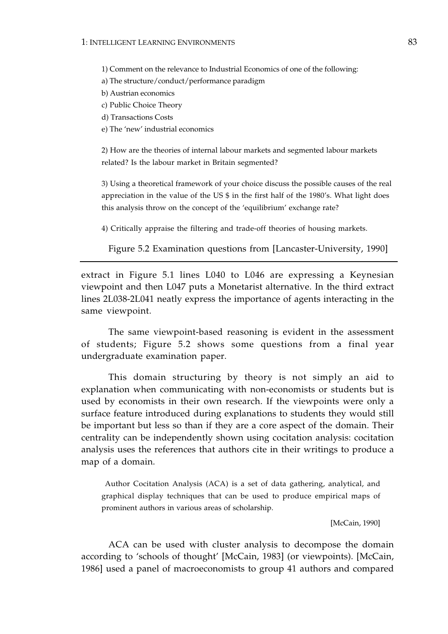1) Comment on the relevance to Industrial Economics of one of the following:

- a) The structure/conduct/performance paradigm
- b) Austrian economics
- c) Public Choice Theory
- d) Transactions Costs
- e) The 'new' industrial economics

2) How are the theories of internal labour markets and segmented labour markets related? Is the labour market in Britain segmented?

3) Using a theoretical framework of your choice discuss the possible causes of the real appreciation in the value of the US \$ in the first half of the 1980's. What light does this analysis throw on the concept of the 'equilibrium' exchange rate?

4) Critically appraise the filtering and trade-off theories of housing markets.

Figure 5.2 Examination questions from [Lancaster-University, 1990]

extract in Figure 5.1 lines L040 to L046 are expressing a Keynesian viewpoint and then L047 puts a Monetarist alternative. In the third extract lines 2L038-2L041 neatly express the importance of agents interacting in the same viewpoint.

The same viewpoint-based reasoning is evident in the assessment of students; Figure 5.2 shows some questions from a final year undergraduate examination paper.

This domain structuring by theory is not simply an aid to explanation when communicating with non-economists or students but is used by economists in their own research. If the viewpoints were only a surface feature introduced during explanations to students they would still be important but less so than if they are a core aspect of the domain. Their centrality can be independently shown using cocitation analysis: cocitation analysis uses the references that authors cite in their writings to produce a map of a domain.

 Author Cocitation Analysis (ACA) is a set of data gathering, analytical, and graphical display techniques that can be used to produce empirical maps of prominent authors in various areas of scholarship.

[McCain, 1990]

ACA can be used with cluster analysis to decompose the domain according to 'schools of thought' [McCain, 1983] (or viewpoints). [McCain, 1986] used a panel of macroeconomists to group 41 authors and compared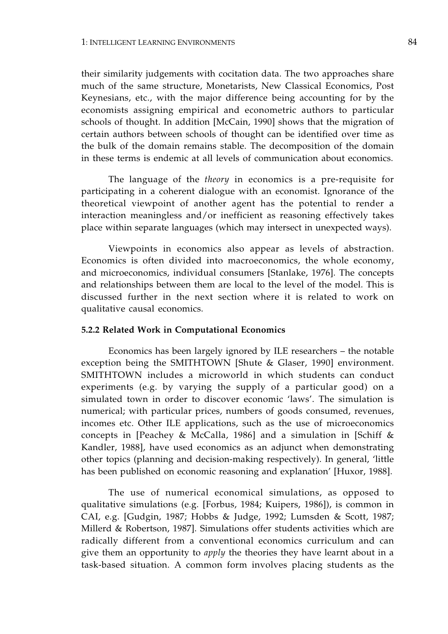their similarity judgements with cocitation data. The two approaches share much of the same structure, Monetarists, New Classical Economics, Post Keynesians, etc., with the major difference being accounting for by the economists assigning empirical and econometric authors to particular schools of thought. In addition [McCain, 1990] shows that the migration of certain authors between schools of thought can be identified over time as the bulk of the domain remains stable. The decomposition of the domain in these terms is endemic at all levels of communication about economics.

The language of the *theory* in economics is a pre-requisite for participating in a coherent dialogue with an economist. Ignorance of the theoretical viewpoint of another agent has the potential to render a interaction meaningless and/or inefficient as reasoning effectively takes place within separate languages (which may intersect in unexpected ways).

Viewpoints in economics also appear as levels of abstraction. Economics is often divided into macroeconomics, the whole economy, and microeconomics, individual consumers [Stanlake, 1976]. The concepts and relationships between them are local to the level of the model. This is discussed further in the next section where it is related to work on qualitative causal economics.

## **5.2.2 Related Work in Computational Economics**

Economics has been largely ignored by ILE researchers – the notable exception being the SMITHTOWN [Shute & Glaser, 1990] environment. SMITHTOWN includes a microworld in which students can conduct experiments (e.g. by varying the supply of a particular good) on a simulated town in order to discover economic 'laws'. The simulation is numerical; with particular prices, numbers of goods consumed, revenues, incomes etc. Other ILE applications, such as the use of microeconomics concepts in [Peachey & McCalla, 1986] and a simulation in [Schiff & Kandler, 1988], have used economics as an adjunct when demonstrating other topics (planning and decision-making respectively). In general, 'little has been published on economic reasoning and explanation' [Huxor, 1988].

The use of numerical economical simulations, as opposed to qualitative simulations (e.g. [Forbus, 1984; Kuipers, 1986]), is common in CAI, e.g. [Gudgin, 1987; Hobbs & Judge, 1992; Lumsden & Scott, 1987; Millerd & Robertson, 1987]. Simulations offer students activities which are radically different from a conventional economics curriculum and can give them an opportunity to *apply* the theories they have learnt about in a task-based situation. A common form involves placing students as the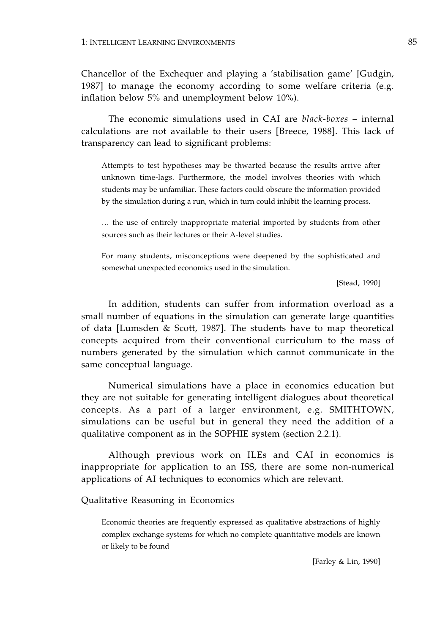Chancellor of the Exchequer and playing a 'stabilisation game' [Gudgin, 1987] to manage the economy according to some welfare criteria (e.g. inflation below 5% and unemployment below 10%).

The economic simulations used in CAI are *black-boxes* – internal calculations are not available to their users [Breece, 1988]. This lack of transparency can lead to significant problems:

Attempts to test hypotheses may be thwarted because the results arrive after unknown time-lags. Furthermore, the model involves theories with which students may be unfamiliar. These factors could obscure the information provided by the simulation during a run, which in turn could inhibit the learning process.

… the use of entirely inappropriate material imported by students from other sources such as their lectures or their A-level studies.

For many students, misconceptions were deepened by the sophisticated and somewhat unexpected economics used in the simulation.

[Stead, 1990]

In addition, students can suffer from information overload as a small number of equations in the simulation can generate large quantities of data [Lumsden & Scott, 1987]. The students have to map theoretical concepts acquired from their conventional curriculum to the mass of numbers generated by the simulation which cannot communicate in the same conceptual language.

Numerical simulations have a place in economics education but they are not suitable for generating intelligent dialogues about theoretical concepts. As a part of a larger environment, e.g. SMITHTOWN, simulations can be useful but in general they need the addition of a qualitative component as in the SOPHIE system (section 2.2.1).

Although previous work on ILEs and CAI in economics is inappropriate for application to an ISS, there are some non-numerical applications of AI techniques to economics which are relevant.

Qualitative Reasoning in Economics

Economic theories are frequently expressed as qualitative abstractions of highly complex exchange systems for which no complete quantitative models are known or likely to be found

[Farley & Lin, 1990]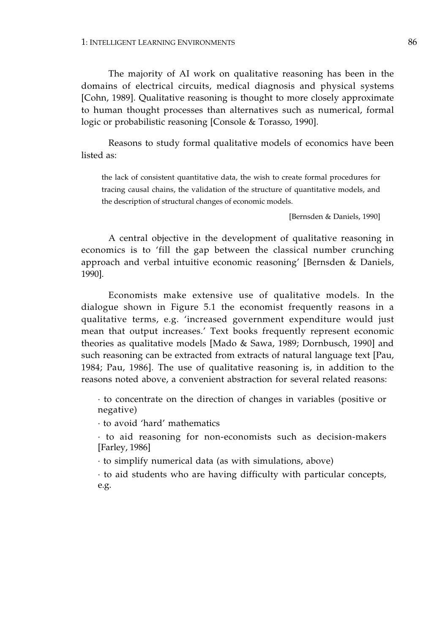#### 1: INTELLIGENT LEARNING ENVIRONMENTS 86

The majority of AI work on qualitative reasoning has been in the domains of electrical circuits, medical diagnosis and physical systems [Cohn, 1989]. Qualitative reasoning is thought to more closely approximate to human thought processes than alternatives such as numerical, formal logic or probabilistic reasoning [Console & Torasso, 1990].

Reasons to study formal qualitative models of economics have been listed as:

the lack of consistent quantitative data, the wish to create formal procedures for tracing causal chains, the validation of the structure of quantitative models, and the description of structural changes of economic models.

[Bernsden & Daniels, 1990]

A central objective in the development of qualitative reasoning in economics is to 'fill the gap between the classical number crunching approach and verbal intuitive economic reasoning' [Bernsden & Daniels, 1990].

Economists make extensive use of qualitative models. In the dialogue shown in Figure 5.1 the economist frequently reasons in a qualitative terms, e.g. 'increased government expenditure would just mean that output increases.' Text books frequently represent economic theories as qualitative models [Mado & Sawa, 1989; Dornbusch, 1990] and such reasoning can be extracted from extracts of natural language text [Pau, 1984; Pau, 1986]. The use of qualitative reasoning is, in addition to the reasons noted above, a convenient abstraction for several related reasons:

· to concentrate on the direction of changes in variables (positive or negative)

· to avoid 'hard' mathematics

· to aid reasoning for non-economists such as decision-makers [Farley, 1986]

· to simplify numerical data (as with simulations, above)

· to aid students who are having difficulty with particular concepts, e.g.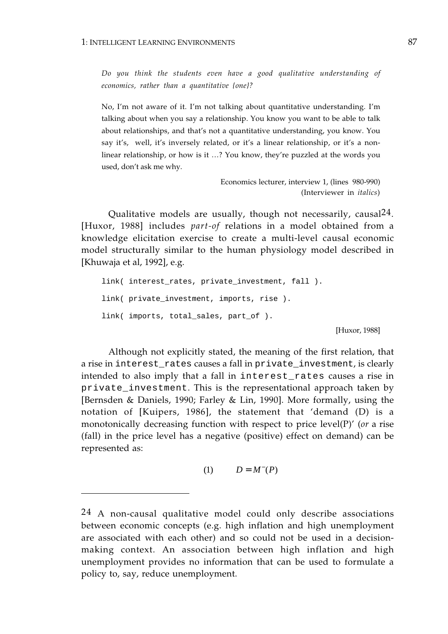*Do you think the students even have a good qualitative understanding of economics, rather than a quantitative {one}?* 

No, I'm not aware of it. I'm not talking about quantitative understanding. I'm talking about when you say a relationship. You know you want to be able to talk about relationships, and that's not a quantitative understanding, you know. You say it's, well, it's inversely related, or it's a linear relationship, or it's a nonlinear relationship, or how is it …? You know, they're puzzled at the words you used, don't ask me why.

> Economics lecturer, interview 1, (lines 980-990) (Interviewer in *italics*)

Qualitative models are usually, though not necessarily, causal24. [Huxor, 1988] includes *part-of* relations in a model obtained from a knowledge elicitation exercise to create a multi-level causal economic model structurally similar to the human physiology model described in [Khuwaja et al, 1992], e.g.

```
link( interest_rates, private_investment, fall ).
link( private investment, imports, rise ).
link( imports, total_sales, part_of ).
```
[Huxor, 1988]

Although not explicitly stated, the meaning of the first relation, that a rise in interest\_rates causes a fall in private\_investment, is clearly intended to also imply that a fall in interest\_rates causes a rise in private\_investment. This is the representational approach taken by [Bernsden & Daniels, 1990; Farley & Lin, 1990]. More formally, using the notation of [Kuipers, 1986], the statement that 'demand (D) is a monotonically decreasing function with respect to price level(P)' (*or* a rise (fall) in the price level has a negative (positive) effect on demand) can be represented as:

$$
(1) \qquad D = M^-(P)
$$

<sup>24</sup> A non-causal qualitative model could only describe associations between economic concepts (e.g. high inflation and high unemployment are associated with each other) and so could not be used in a decisionmaking context. An association between high inflation and high unemployment provides no information that can be used to formulate a policy to, say, reduce unemployment.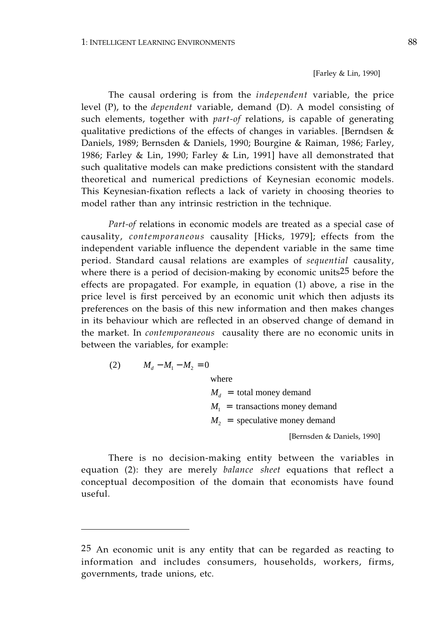[Farley & Lin, 1990]

The causal ordering is from the *independent* variable, the price level (P), to the *dependent* variable, demand (D). A model consisting of such elements, together with *part-of* relations, is capable of generating qualitative predictions of the effects of changes in variables. [Berndsen & Daniels, 1989; Bernsden & Daniels, 1990; Bourgine & Raiman, 1986; Farley, 1986; Farley & Lin, 1990; Farley & Lin, 1991] have all demonstrated that such qualitative models can make predictions consistent with the standard theoretical and numerical predictions of Keynesian economic models. This Keynesian-fixation reflects a lack of variety in choosing theories to model rather than any intrinsic restriction in the technique.

*Part-of* relations in economic models are treated as a special case of causality, *contemporaneous* causality [Hicks, 1979]; effects from the independent variable influence the dependent variable in the same time period. Standard causal relations are examples of *sequential* causality, where there is a period of decision-making by economic units25 before the effects are propagated. For example, in equation (1) above, a rise in the price level is first perceived by an economic unit which then adjusts its preferences on the basis of this new information and then makes changes in its behaviour which are reflected in an observed change of demand in the market. In *contemporaneous* causality there are no economic units in between the variables, for example:

(2) 
$$
M_d - M_1 - M_2 = 0
$$

where

 $M_d$  = total money demand  $M_1$  = transactions money demand  $M<sub>2</sub>$  = speculative money demand

[Bernsden & Daniels, 1990]

There is no decision-making entity between the variables in equation (2): they are merely *balance sheet* equations that reflect a conceptual decomposition of the domain that economists have found useful.

<sup>25</sup> An economic unit is any entity that can be regarded as reacting to information and includes consumers, households, workers, firms, governments, trade unions, etc.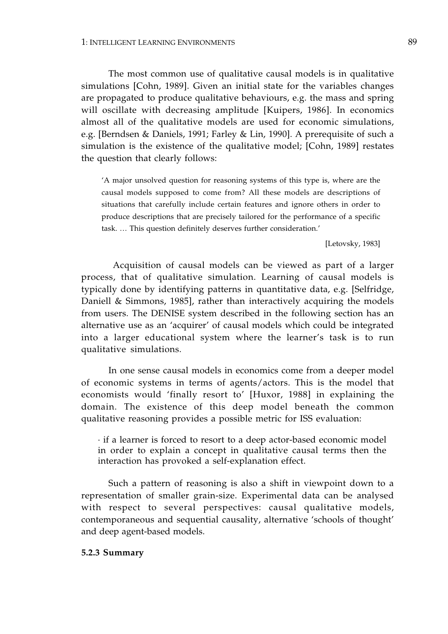The most common use of qualitative causal models is in qualitative simulations [Cohn, 1989]. Given an initial state for the variables changes are propagated to produce qualitative behaviours, e.g. the mass and spring will oscillate with decreasing amplitude [Kuipers, 1986]. In economics almost all of the qualitative models are used for economic simulations, e.g. [Berndsen & Daniels, 1991; Farley & Lin, 1990]. A prerequisite of such a simulation is the existence of the qualitative model; [Cohn, 1989] restates the question that clearly follows:

'A major unsolved question for reasoning systems of this type is, where are the causal models supposed to come from? All these models are descriptions of situations that carefully include certain features and ignore others in order to produce descriptions that are precisely tailored for the performance of a specific task. … This question definitely deserves further consideration.'

[Letovsky, 1983]

 Acquisition of causal models can be viewed as part of a larger process, that of qualitative simulation. Learning of causal models is typically done by identifying patterns in quantitative data, e.g. [Selfridge, Daniell & Simmons, 1985], rather than interactively acquiring the models from users. The DENISE system described in the following section has an alternative use as an 'acquirer' of causal models which could be integrated into a larger educational system where the learner's task is to run qualitative simulations.

In one sense causal models in economics come from a deeper model of economic systems in terms of agents/actors. This is the model that economists would 'finally resort to' [Huxor, 1988] in explaining the domain. The existence of this deep model beneath the common qualitative reasoning provides a possible metric for ISS evaluation:

· if a learner is forced to resort to a deep actor-based economic model in order to explain a concept in qualitative causal terms then the interaction has provoked a self-explanation effect.

Such a pattern of reasoning is also a shift in viewpoint down to a representation of smaller grain-size. Experimental data can be analysed with respect to several perspectives: causal qualitative models, contemporaneous and sequential causality, alternative 'schools of thought' and deep agent-based models.

## **5.2.3 Summary**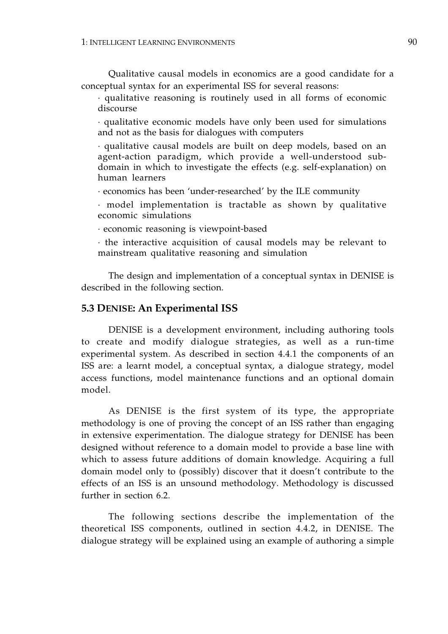Qualitative causal models in economics are a good candidate for a conceptual syntax for an experimental ISS for several reasons:

· qualitative reasoning is routinely used in all forms of economic discourse

· qualitative economic models have only been used for simulations and not as the basis for dialogues with computers

· qualitative causal models are built on deep models, based on an agent-action paradigm, which provide a well-understood subdomain in which to investigate the effects (e.g. self-explanation) on human learners

· economics has been 'under-researched' by the ILE community

· model implementation is tractable as shown by qualitative economic simulations

· economic reasoning is viewpoint-based

· the interactive acquisition of causal models may be relevant to mainstream qualitative reasoning and simulation

The design and implementation of a conceptual syntax in DENISE is described in the following section.

# **5.3 DENISE: An Experimental ISS**

DENISE is a development environment, including authoring tools to create and modify dialogue strategies, as well as a run-time experimental system. As described in section 4.4.1 the components of an ISS are: a learnt model, a conceptual syntax, a dialogue strategy, model access functions, model maintenance functions and an optional domain model.

As DENISE is the first system of its type, the appropriate methodology is one of proving the concept of an ISS rather than engaging in extensive experimentation. The dialogue strategy for DENISE has been designed without reference to a domain model to provide a base line with which to assess future additions of domain knowledge. Acquiring a full domain model only to (possibly) discover that it doesn't contribute to the effects of an ISS is an unsound methodology. Methodology is discussed further in section 6.2.

The following sections describe the implementation of the theoretical ISS components, outlined in section 4.4.2, in DENISE. The dialogue strategy will be explained using an example of authoring a simple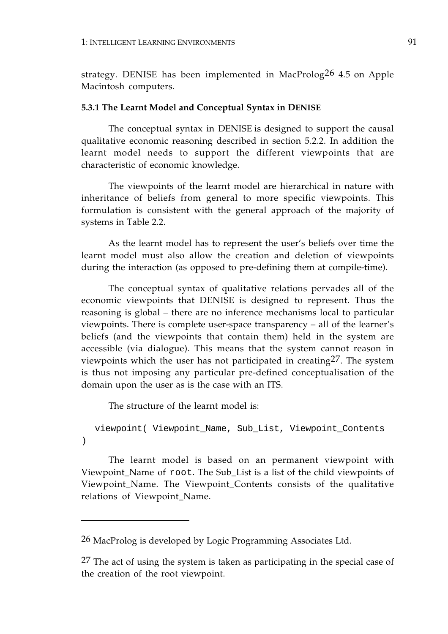strategy. DENISE has been implemented in MacProlog<sup>26</sup> 4.5 on Apple Macintosh computers.

## **5.3.1 The Learnt Model and Conceptual Syntax in DENISE**

The conceptual syntax in DENISE is designed to support the causal qualitative economic reasoning described in section 5.2.2. In addition the learnt model needs to support the different viewpoints that are characteristic of economic knowledge.

The viewpoints of the learnt model are hierarchical in nature with inheritance of beliefs from general to more specific viewpoints. This formulation is consistent with the general approach of the majority of systems in Table 2.2.

As the learnt model has to represent the user's beliefs over time the learnt model must also allow the creation and deletion of viewpoints during the interaction (as opposed to pre-defining them at compile-time).

The conceptual syntax of qualitative relations pervades all of the economic viewpoints that DENISE is designed to represent. Thus the reasoning is global – there are no inference mechanisms local to particular viewpoints. There is complete user-space transparency – all of the learner's beliefs (and the viewpoints that contain them) held in the system are accessible (via dialogue). This means that the system cannot reason in viewpoints which the user has not participated in creating27. The system is thus not imposing any particular pre-defined conceptualisation of the domain upon the user as is the case with an ITS.

The structure of the learnt model is:

```
viewpoint( Viewpoint_Name, Sub_List, Viewpoint_Contents
)
```
The learnt model is based on an permanent viewpoint with Viewpoint\_Name of root. The Sub\_List is a list of the child viewpoints of Viewpoint\_Name. The Viewpoint\_Contents consists of the qualitative relations of Viewpoint\_Name.

<sup>26</sup> MacProlog is developed by Logic Programming Associates Ltd.

<sup>&</sup>lt;sup>27</sup> The act of using the system is taken as participating in the special case of the creation of the root viewpoint.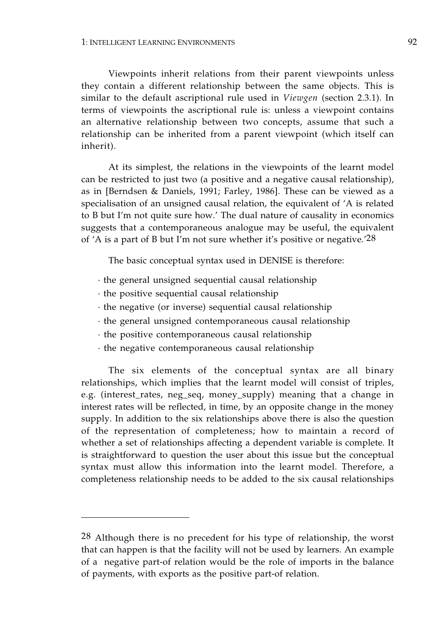Viewpoints inherit relations from their parent viewpoints unless they contain a different relationship between the same objects. This is similar to the default ascriptional rule used in *Viewgen* (section 2.3.1). In terms of viewpoints the ascriptional rule is: unless a viewpoint contains an alternative relationship between two concepts, assume that such a relationship can be inherited from a parent viewpoint (which itself can inherit).

At its simplest, the relations in the viewpoints of the learnt model can be restricted to just two (a positive and a negative causal relationship), as in [Berndsen & Daniels, 1991; Farley, 1986]. These can be viewed as a specialisation of an unsigned causal relation, the equivalent of 'A is related to B but I'm not quite sure how.' The dual nature of causality in economics suggests that a contemporaneous analogue may be useful, the equivalent of 'A is a part of B but I'm not sure whether it's positive or negative.'28

The basic conceptual syntax used in DENISE is therefore:

- · the general unsigned sequential causal relationship
- · the positive sequential causal relationship
- · the negative (or inverse) sequential causal relationship
- · the general unsigned contemporaneous causal relationship
- · the positive contemporaneous causal relationship
- · the negative contemporaneous causal relationship

The six elements of the conceptual syntax are all binary relationships, which implies that the learnt model will consist of triples, e.g. (interest\_rates, neg\_seq, money\_supply) meaning that a change in interest rates will be reflected, in time, by an opposite change in the money supply. In addition to the six relationships above there is also the question of the representation of completeness; how to maintain a record of whether a set of relationships affecting a dependent variable is complete. It is straightforward to question the user about this issue but the conceptual syntax must allow this information into the learnt model. Therefore, a completeness relationship needs to be added to the six causal relationships

<sup>28</sup> Although there is no precedent for his type of relationship, the worst that can happen is that the facility will not be used by learners. An example of a negative part-of relation would be the role of imports in the balance of payments, with exports as the positive part-of relation.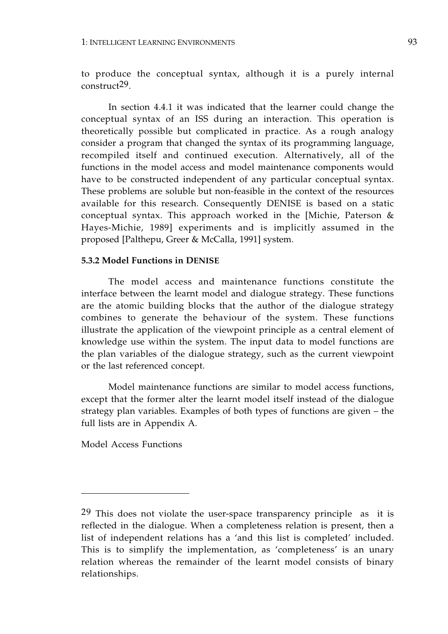to produce the conceptual syntax, although it is a purely internal construct29.

In section 4.4.1 it was indicated that the learner could change the conceptual syntax of an ISS during an interaction. This operation is theoretically possible but complicated in practice. As a rough analogy consider a program that changed the syntax of its programming language, recompiled itself and continued execution. Alternatively, all of the functions in the model access and model maintenance components would have to be constructed independent of any particular conceptual syntax. These problems are soluble but non-feasible in the context of the resources available for this research. Consequently DENISE is based on a static conceptual syntax. This approach worked in the [Michie, Paterson & Hayes-Michie, 1989] experiments and is implicitly assumed in the proposed [Palthepu, Greer & McCalla, 1991] system.

# **5.3.2 Model Functions in DENISE**

The model access and maintenance functions constitute the interface between the learnt model and dialogue strategy. These functions are the atomic building blocks that the author of the dialogue strategy combines to generate the behaviour of the system. These functions illustrate the application of the viewpoint principle as a central element of knowledge use within the system. The input data to model functions are the plan variables of the dialogue strategy, such as the current viewpoint or the last referenced concept.

Model maintenance functions are similar to model access functions, except that the former alter the learnt model itself instead of the dialogue strategy plan variables. Examples of both types of functions are given – the full lists are in Appendix A.

Model Access Functions

<sup>29</sup> This does not violate the user-space transparency principle as it is reflected in the dialogue. When a completeness relation is present, then a list of independent relations has a 'and this list is completed' included. This is to simplify the implementation, as 'completeness' is an unary relation whereas the remainder of the learnt model consists of binary relationships.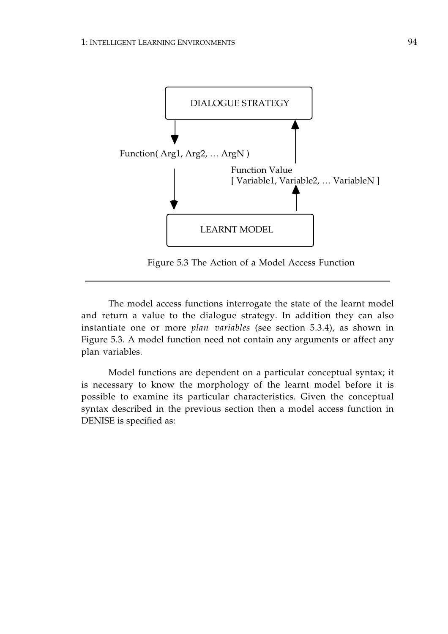

Figure 5.3 The Action of a Model Access Function

The model access functions interrogate the state of the learnt model and return a value to the dialogue strategy. In addition they can also instantiate one or more *plan variables* (see section 5.3.4), as shown in Figure 5.3. A model function need not contain any arguments or affect any plan variables.

Model functions are dependent on a particular conceptual syntax; it is necessary to know the morphology of the learnt model before it is possible to examine its particular characteristics. Given the conceptual syntax described in the previous section then a model access function in DENISE is specified as: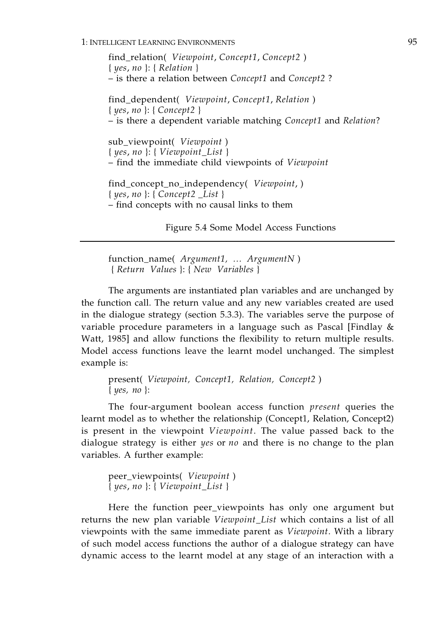## 1: INTELLIGENT LEARNING ENVIRONMENTS 95

find\_relation( *Viewpoint*, *Concept1*, *Concept2* ) { *yes*, *no* }: { *Relation* } – is there a relation between *Concept1* and *Concept2* ? find\_dependent( *Viewpoint*, *Concept1*, *Relation* ) { *yes*, *no* }: { *Concept2* } – is there a dependent variable matching *Concept1* and *Relation*? sub\_viewpoint( *Viewpoint* ) { *yes*, *no* }: { *Viewpoint\_List* } – find the immediate child viewpoints of *Viewpoint*  find\_concept\_no\_independency( *Viewpoint*, ) { *yes*, *no* }: { *Concept2 \_List* } – find concepts with no causal links to them

Figure 5.4 Some Model Access Functions

function\_name( *Argument1, … ArgumentN* ) { *Return Values* }: { *New Variables* }

The arguments are instantiated plan variables and are unchanged by the function call. The return value and any new variables created are used in the dialogue strategy (section 5.3.3). The variables serve the purpose of variable procedure parameters in a language such as Pascal [Findlay & Watt, 1985] and allow functions the flexibility to return multiple results. Model access functions leave the learnt model unchanged. The simplest example is:

present( *Viewpoint, Concept1, Relation, Concept2* ) { *yes, no* }:

The four-argument boolean access function *present* queries the learnt model as to whether the relationship (Concept1, Relation, Concept2) is present in the viewpoint *Viewpoint*. The value passed back to the dialogue strategy is either *yes* or *no* and there is no change to the plan variables. A further example:

peer\_viewpoints( *Viewpoint* ) { *yes*, *no* }: { *Viewpoint\_List* }

Here the function peer\_viewpoints has only one argument but returns the new plan variable *Viewpoint\_List* which contains a list of all viewpoints with the same immediate parent as *Viewpoint*. With a library of such model access functions the author of a dialogue strategy can have dynamic access to the learnt model at any stage of an interaction with a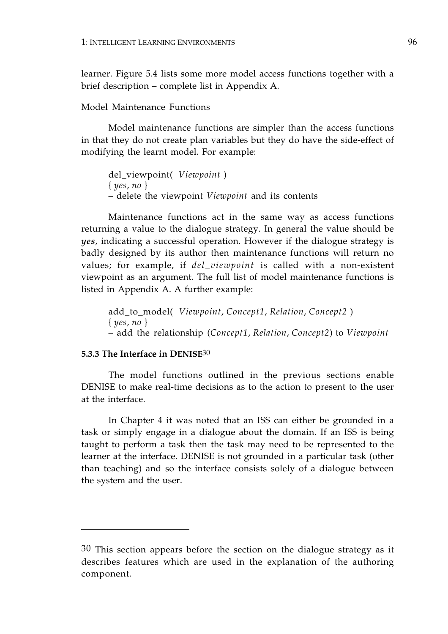learner. Figure 5.4 lists some more model access functions together with a brief description – complete list in Appendix A.

# Model Maintenance Functions

Model maintenance functions are simpler than the access functions in that they do not create plan variables but they do have the side-effect of modifying the learnt model. For example:

del\_viewpoint( *Viewpoint* ) { *yes*, *no* } – delete the viewpoint *Viewpoint* and its contents

Maintenance functions act in the same way as access functions returning a value to the dialogue strategy. In general the value should be *yes*, indicating a successful operation. However if the dialogue strategy is badly designed by its author then maintenance functions will return no values; for example, if *del\_viewpoint* is called with a non-existent viewpoint as an argument. The full list of model maintenance functions is listed in Appendix A. A further example:

add\_to\_model( *Viewpoint*, *Concept1*, *Relation*, *Concept2* ) { *yes*, *no* } – add the relationship (*Concept1*, *Relation*, *Concept2*) to *Viewpoint* 

# **5.3.3 The Interface in DENISE**30

The model functions outlined in the previous sections enable DENISE to make real-time decisions as to the action to present to the user at the interface.

In Chapter 4 it was noted that an ISS can either be grounded in a task or simply engage in a dialogue about the domain. If an ISS is being taught to perform a task then the task may need to be represented to the learner at the interface. DENISE is not grounded in a particular task (other than teaching) and so the interface consists solely of a dialogue between the system and the user.

<sup>30</sup> This section appears before the section on the dialogue strategy as it describes features which are used in the explanation of the authoring component.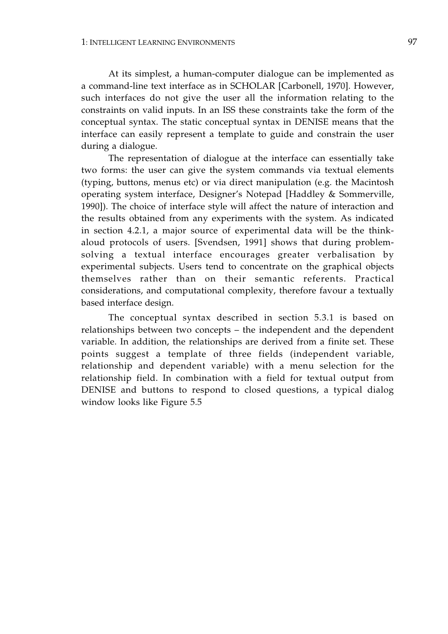At its simplest, a human-computer dialogue can be implemented as a command-line text interface as in SCHOLAR [Carbonell, 1970]. However, such interfaces do not give the user all the information relating to the constraints on valid inputs. In an ISS these constraints take the form of the conceptual syntax. The static conceptual syntax in DENISE means that the interface can easily represent a template to guide and constrain the user during a dialogue.

The representation of dialogue at the interface can essentially take two forms: the user can give the system commands via textual elements (typing, buttons, menus etc) or via direct manipulation (e.g. the Macintosh operating system interface, Designer's Notepad [Haddley & Sommerville, 1990]). The choice of interface style will affect the nature of interaction and the results obtained from any experiments with the system. As indicated in section 4.2.1, a major source of experimental data will be the thinkaloud protocols of users. [Svendsen, 1991] shows that during problemsolving a textual interface encourages greater verbalisation by experimental subjects. Users tend to concentrate on the graphical objects themselves rather than on their semantic referents. Practical considerations, and computational complexity, therefore favour a textually based interface design.

The conceptual syntax described in section 5.3.1 is based on relationships between two concepts – the independent and the dependent variable. In addition, the relationships are derived from a finite set. These points suggest a template of three fields (independent variable, relationship and dependent variable) with a menu selection for the relationship field. In combination with a field for textual output from DENISE and buttons to respond to closed questions, a typical dialog window looks like Figure 5.5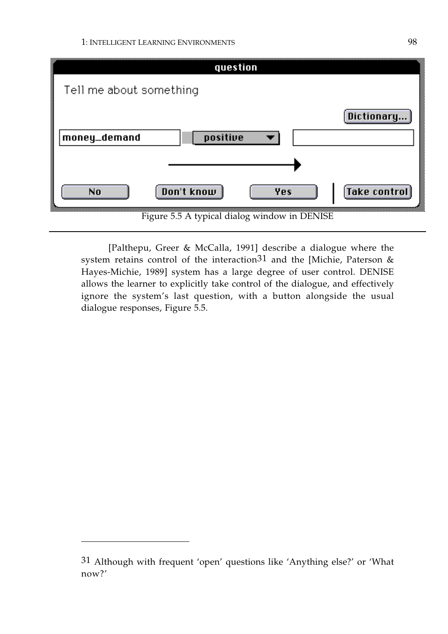| question                                       |
|------------------------------------------------|
| Tell me about something                        |
| Dictionary                                     |
| money_demand<br>positive                       |
|                                                |
| <b>Take control</b><br>Don't know<br>Yes<br>No |
| Figure 5.5 A typical dialog window in DENISE   |

[Palthepu, Greer & McCalla, 1991] describe a dialogue where the system retains control of the interaction<sup>31</sup> and the [Michie, Paterson  $\&$ Hayes-Michie, 1989] system has a large degree of user control. DENISE allows the learner to explicitly take control of the dialogue, and effectively ignore the system's last question, with a button alongside the usual dialogue responses, Figure 5.5.

<sup>31</sup> Although with frequent 'open' questions like 'Anything else?' or 'What now?'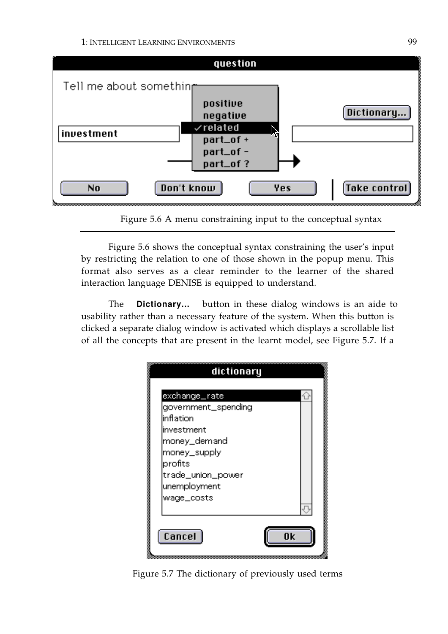1: INTELLIGENT LEARNING ENVIRONMENTS 99



Figure 5.6 A menu constraining input to the conceptual syntax

Figure 5.6 shows the conceptual syntax constraining the user's input by restricting the relation to one of those shown in the popup menu. This format also serves as a clear reminder to the learner of the shared interaction language DENISE is equipped to understand.

The **Dictionary...** button in these dialog windows is an aide to usability rather than a necessary feature of the system. When this button is clicked a separate dialog window is activated which displays a scrollable list of all the concepts that are present in the learnt model, see Figure 5.7. If a

| dictionary          |    |  |
|---------------------|----|--|
| exchange_rate       |    |  |
| government_spending |    |  |
| linflation          |    |  |
| investment          |    |  |
| money_demand        |    |  |
| money_supply        |    |  |
| profits             |    |  |
| trade_union_power   |    |  |
| unemployment        |    |  |
| wage_costs          |    |  |
|                     |    |  |
|                     |    |  |
| <b>Cancel</b>       | Ωk |  |
|                     |    |  |

Figure 5.7 The dictionary of previously used terms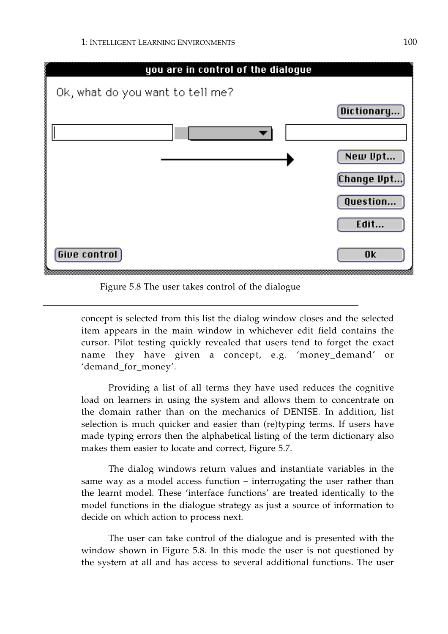

Figure 5.8 The user takes control of the dialogue

concept is selected from this list the dialog window closes and the selected item appears in the main window in whichever edit field contains the cursor. Pilot testing quickly revealed that users tend to forget the exact name they have given a concept, e.g. 'money\_demand' or 'demand\_for\_money'.

Providing a list of all terms they have used reduces the cognitive load on learners in using the system and allows them to concentrate on the domain rather than on the mechanics of DENISE. In addition, list selection is much quicker and easier than (re)typing terms. If users have made typing errors then the alphabetical listing of the term dictionary also makes them easier to locate and correct, Figure 5.7.

The dialog windows return values and instantiate variables in the same way as a model access function – interrogating the user rather than the learnt model. These 'interface functions' are treated identically to the model functions in the dialogue strategy as just a source of information to decide on which action to process next.

The user can take control of the dialogue and is presented with the window shown in Figure 5.8. In this mode the user is not questioned by the system at all and has access to several additional functions. The user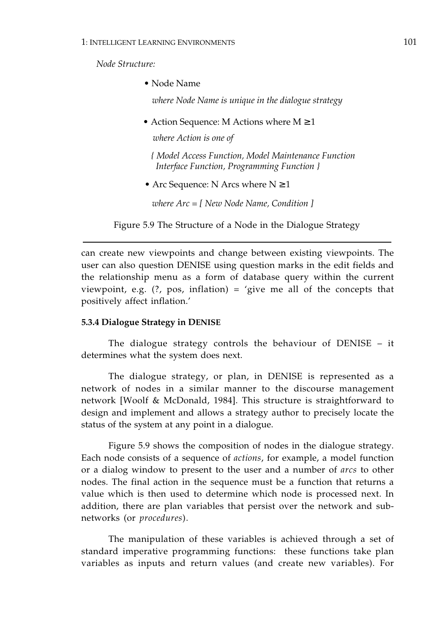*Node Structure:* 

• Node Name

*where Node Name is unique in the dialogue strategy* 

• Action Sequence: M Actions where  $M \geq 1$ 

*where Action is one of* 

*{ Model Access Function, Model Maintenance Function Interface Function, Programming Function }* 

• Arc Sequence: N Arcs where  $N \geq 1$ 

*where Arc = [ New Node Name, Condition ]* 

Figure 5.9 The Structure of a Node in the Dialogue Strategy

can create new viewpoints and change between existing viewpoints. The user can also question DENISE using question marks in the edit fields and the relationship menu as a form of database query within the current viewpoint, e.g.  $(?, pos, inflation) = 'give me all of the concepts that$ positively affect inflation.'

### **5.3.4 Dialogue Strategy in DENISE**

The dialogue strategy controls the behaviour of DENISE – it determines what the system does next.

The dialogue strategy, or plan, in DENISE is represented as a network of nodes in a similar manner to the discourse management network [Woolf & McDonald, 1984]. This structure is straightforward to design and implement and allows a strategy author to precisely locate the status of the system at any point in a dialogue.

Figure 5.9 shows the composition of nodes in the dialogue strategy. Each node consists of a sequence of *actions*, for example, a model function or a dialog window to present to the user and a number of *arcs* to other nodes. The final action in the sequence must be a function that returns a value which is then used to determine which node is processed next. In addition, there are plan variables that persist over the network and subnetworks (or *procedures*).

The manipulation of these variables is achieved through a set of standard imperative programming functions: these functions take plan variables as inputs and return values (and create new variables). For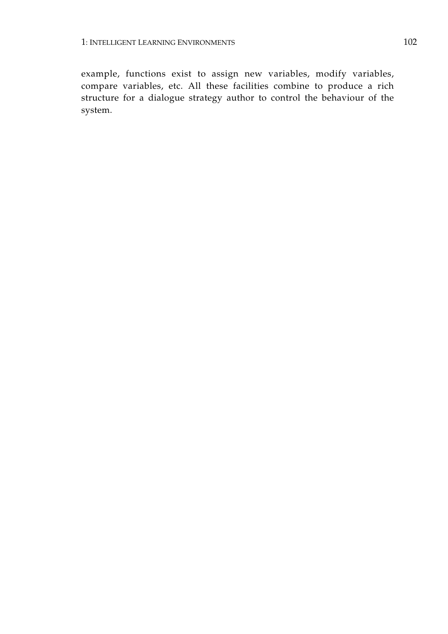example, functions exist to assign new variables, modify variables, compare variables, etc. All these facilities combine to produce a rich structure for a dialogue strategy author to control the behaviour of the system.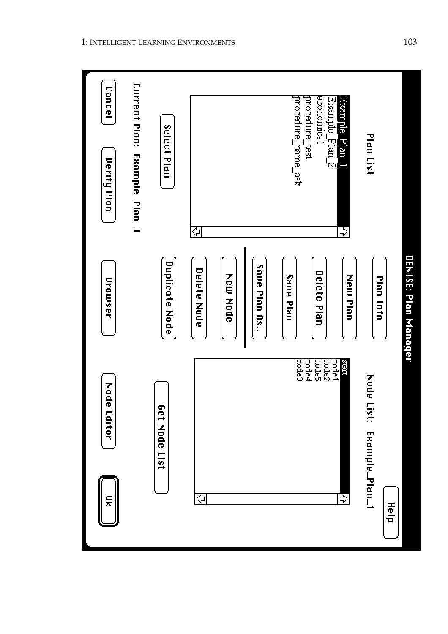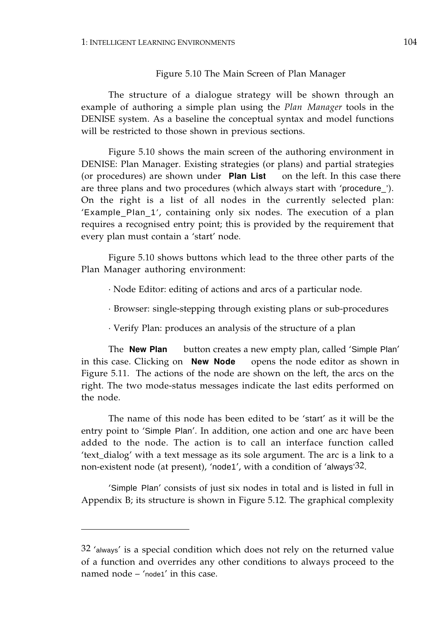#### Figure 5.10 The Main Screen of Plan Manager

The structure of a dialogue strategy will be shown through an example of authoring a simple plan using the *Plan Manager* tools in the DENISE system. As a baseline the conceptual syntax and model functions will be restricted to those shown in previous sections.

Figure 5.10 shows the main screen of the authoring environment in DENISE: Plan Manager. Existing strategies (or plans) and partial strategies (or procedures) are shown under Plan List on the left. In this case there are three plans and two procedures (which always start with 'procedure\_'). On the right is a list of all nodes in the currently selected plan: 'Example\_Plan\_1', containing only six nodes. The execution of a plan requires a recognised entry point; this is provided by the requirement that every plan must contain a 'start' node.

Figure 5.10 shows buttons which lead to the three other parts of the Plan Manager authoring environment:

· Node Editor: editing of actions and arcs of a particular node.

· Browser: single-stepping through existing plans or sub-procedures

· Verify Plan: produces an analysis of the structure of a plan

The **New Plan** button creates a new empty plan, called 'Simple Plan' in this case. Clicking on **New Node** opens the node editor as shown in Figure 5.11. The actions of the node are shown on the left, the arcs on the right. The two mode-status messages indicate the last edits performed on the node.

The name of this node has been edited to be 'start' as it will be the entry point to 'Simple Plan'. In addition, one action and one arc have been added to the node. The action is to call an interface function called 'text\_dialog' with a text message as its sole argument. The arc is a link to a non-existent node (at present), 'node1', with a condition of 'always'32.

'Simple Plan' consists of just six nodes in total and is listed in full in Appendix B; its structure is shown in Figure 5.12. The graphical complexity

<sup>32 &#</sup>x27;always' is a special condition which does not rely on the returned value of a function and overrides any other conditions to always proceed to the named node – 'node1' in this case.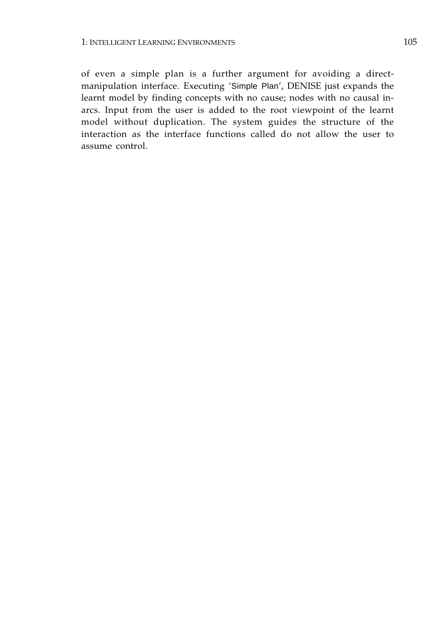of even a simple plan is a further argument for avoiding a directmanipulation interface. Executing 'Simple Plan', DENISE just expands the learnt model by finding concepts with no cause; nodes with no causal inarcs. Input from the user is added to the root viewpoint of the learnt model without duplication. The system guides the structure of the interaction as the interface functions called do not allow the user to assume control.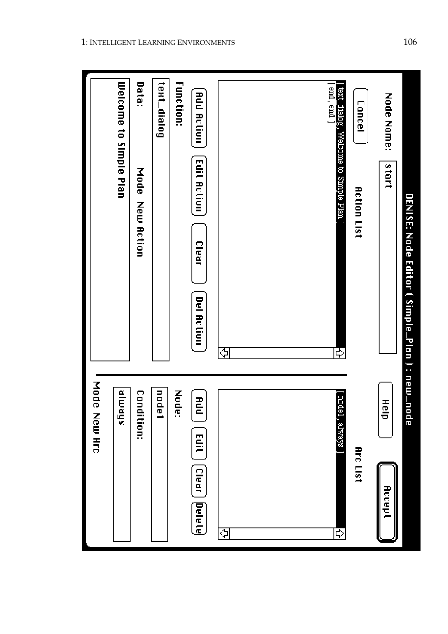| <b>Node</b><br>New Arc                     |                                                                |
|--------------------------------------------|----------------------------------------------------------------|
| sheme                                      | Welcome to Simple Plan                                         |
| <b>Condition:</b>                          | Data:<br>Mode<br><b>New Action</b>                             |
| nodel                                      | text_dialog                                                    |
| Node:                                      | <b>Function:</b>                                               |
| add<br>D<br>Edit<br><b>Clear</b><br>Delete | <b>Add Action</b><br>Edit Action<br>Clear<br><b>Del Action</b> |
| ⇦                                          | ⇦                                                              |
| aboit<br>1, always<br>₿                    | end, end ]<br>ext_dialog, Welcome to Simple Plan ]<br>₿        |
| Arc List                                   | Cancel<br><b>Action List</b>                                   |
| 電<br>ਚ<br>Accept                           | Node Name:<br>start                                            |
| Йe                                         | DENISE: Node Editor ( Simple_Plan ) : new_no                   |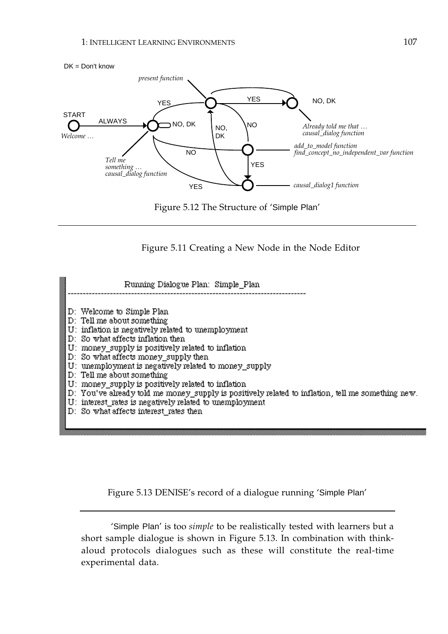

Figure 5.11 Creating a New Node in the Node Editor

Running Dialogue Plan: Simple Plan D: Welcome to Simple Plan D: Tell me about something U: inflation is negatively related to unemployment D: So what affects inflation then U: money\_supply is positively related to inflation D: So what affects money\_supply then U: unemployment is negatively related to money\_supply D: Tell me about something U: money\_supply is positively related to inflation D: You've already told me money\_supply is positively related to inflation, tell me something new. U: interest\_rates is negatively related to unemployment D: So what affects interest rates then

Figure 5.13 DENISE's record of a dialogue running 'Simple Plan'

 'Simple Plan' is too *simple* to be realistically tested with learners but a short sample dialogue is shown in Figure 5.13. In combination with thinkaloud protocols dialogues such as these will constitute the real-time experimental data.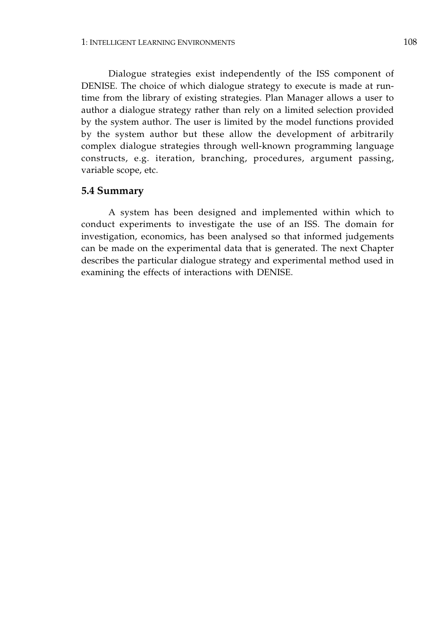Dialogue strategies exist independently of the ISS component of DENISE. The choice of which dialogue strategy to execute is made at runtime from the library of existing strategies. Plan Manager allows a user to author a dialogue strategy rather than rely on a limited selection provided by the system author. The user is limited by the model functions provided by the system author but these allow the development of arbitrarily complex dialogue strategies through well-known programming language constructs, e.g. iteration, branching, procedures, argument passing, variable scope, etc.

#### **5.4 Summary**

A system has been designed and implemented within which to conduct experiments to investigate the use of an ISS. The domain for investigation, economics, has been analysed so that informed judgements can be made on the experimental data that is generated. The next Chapter describes the particular dialogue strategy and experimental method used in examining the effects of interactions with DENISE.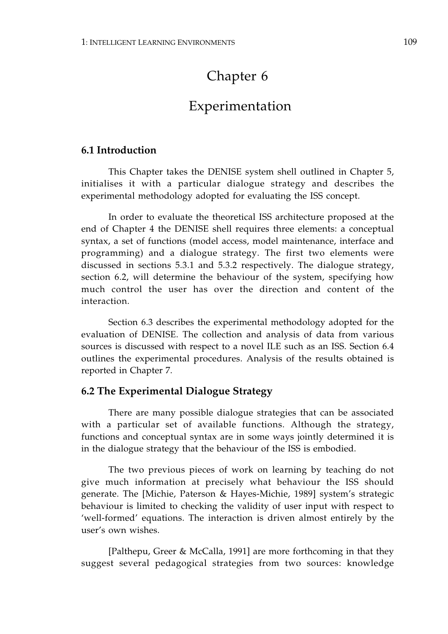# Chapter 6

## Experimentation

## **6.1 Introduction**

This Chapter takes the DENISE system shell outlined in Chapter 5, initialises it with a particular dialogue strategy and describes the experimental methodology adopted for evaluating the ISS concept.

In order to evaluate the theoretical ISS architecture proposed at the end of Chapter 4 the DENISE shell requires three elements: a conceptual syntax, a set of functions (model access, model maintenance, interface and programming) and a dialogue strategy. The first two elements were discussed in sections 5.3.1 and 5.3.2 respectively. The dialogue strategy, section 6.2, will determine the behaviour of the system, specifying how much control the user has over the direction and content of the interaction.

Section 6.3 describes the experimental methodology adopted for the evaluation of DENISE. The collection and analysis of data from various sources is discussed with respect to a novel ILE such as an ISS. Section 6.4 outlines the experimental procedures. Analysis of the results obtained is reported in Chapter 7.

## **6.2 The Experimental Dialogue Strategy**

There are many possible dialogue strategies that can be associated with a particular set of available functions. Although the strategy, functions and conceptual syntax are in some ways jointly determined it is in the dialogue strategy that the behaviour of the ISS is embodied.

The two previous pieces of work on learning by teaching do not give much information at precisely what behaviour the ISS should generate. The [Michie, Paterson & Hayes-Michie, 1989] system's strategic behaviour is limited to checking the validity of user input with respect to 'well-formed' equations. The interaction is driven almost entirely by the user's own wishes.

[Palthepu, Greer & McCalla, 1991] are more forthcoming in that they suggest several pedagogical strategies from two sources: knowledge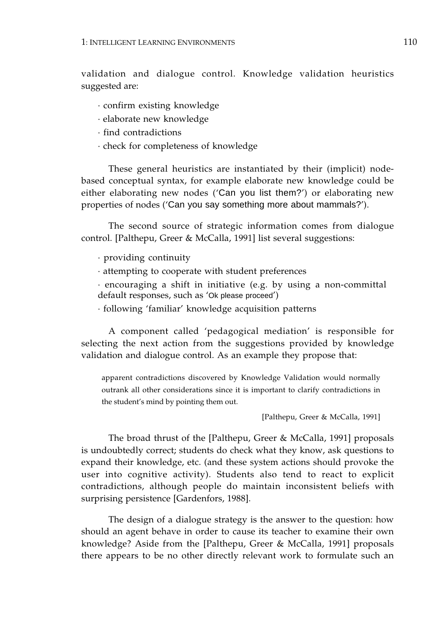validation and dialogue control. Knowledge validation heuristics suggested are:

- · confirm existing knowledge
- · elaborate new knowledge
- · find contradictions
- · check for completeness of knowledge

These general heuristics are instantiated by their (implicit) nodebased conceptual syntax, for example elaborate new knowledge could be either elaborating new nodes ('Can you list them?') or elaborating new properties of nodes ('Can you say something more about mammals?').

The second source of strategic information comes from dialogue control. [Palthepu, Greer & McCalla, 1991] list several suggestions:

· providing continuity

· attempting to cooperate with student preferences

· encouraging a shift in initiative (e.g. by using a non-committal default responses, such as 'Ok please proceed')

· following 'familiar' knowledge acquisition patterns

A component called 'pedagogical mediation' is responsible for selecting the next action from the suggestions provided by knowledge validation and dialogue control. As an example they propose that:

apparent contradictions discovered by Knowledge Validation would normally outrank all other considerations since it is important to clarify contradictions in the student's mind by pointing them out.

[Palthepu, Greer & McCalla, 1991]

The broad thrust of the [Palthepu, Greer & McCalla, 1991] proposals is undoubtedly correct; students do check what they know, ask questions to expand their knowledge, etc. (and these system actions should provoke the user into cognitive activity). Students also tend to react to explicit contradictions, although people do maintain inconsistent beliefs with surprising persistence [Gardenfors, 1988].

The design of a dialogue strategy is the answer to the question: how should an agent behave in order to cause its teacher to examine their own knowledge? Aside from the [Palthepu, Greer & McCalla, 1991] proposals there appears to be no other directly relevant work to formulate such an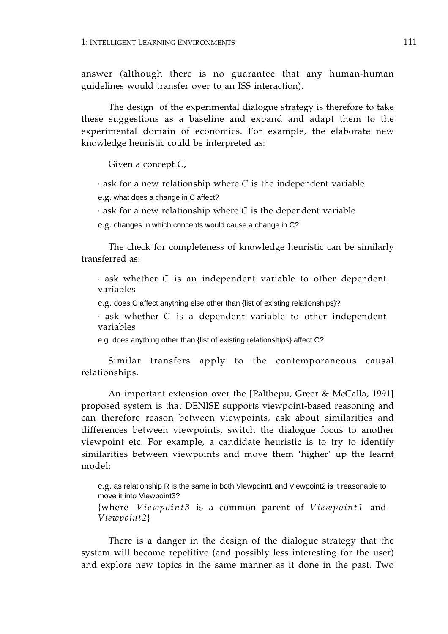answer (although there is no guarantee that any human-human guidelines would transfer over to an ISS interaction).

The design of the experimental dialogue strategy is therefore to take these suggestions as a baseline and expand and adapt them to the experimental domain of economics. For example, the elaborate new knowledge heuristic could be interpreted as:

Given a concept *C*,

· ask for a new relationship where *C* is the independent variable

e.g. what does a change in C affect?

· ask for a new relationship where *C* is the dependent variable

e.g. changes in which concepts would cause a change in C?

The check for completeness of knowledge heuristic can be similarly transferred as:

· ask whether *C* is an independent variable to other dependent variables

e.g. does C affect anything else other than {list of existing relationships}?

· ask whether *C* is a dependent variable to other independent variables

e.g. does anything other than {list of existing relationships} affect C?

Similar transfers apply to the contemporaneous causal relationships.

An important extension over the [Palthepu, Greer & McCalla, 1991] proposed system is that DENISE supports viewpoint-based reasoning and can therefore reason between viewpoints, ask about similarities and differences between viewpoints, switch the dialogue focus to another viewpoint etc. For example, a candidate heuristic is to try to identify similarities between viewpoints and move them 'higher' up the learnt model:

e.g. as relationship R is the same in both Viewpoint1 and Viewpoint2 is it reasonable to move it into Viewpoint3?

{where *Viewpoint3* is a common parent of *Viewpoint1* and *Viewpoint2*}

There is a danger in the design of the dialogue strategy that the system will become repetitive (and possibly less interesting for the user) and explore new topics in the same manner as it done in the past. Two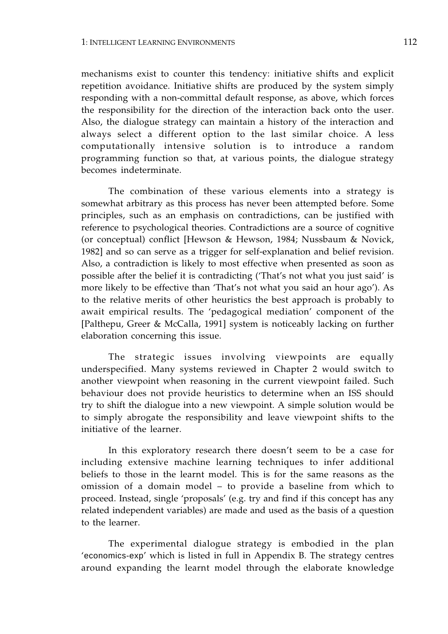mechanisms exist to counter this tendency: initiative shifts and explicit repetition avoidance. Initiative shifts are produced by the system simply responding with a non-committal default response, as above, which forces the responsibility for the direction of the interaction back onto the user. Also, the dialogue strategy can maintain a history of the interaction and always select a different option to the last similar choice. A less computationally intensive solution is to introduce a random programming function so that, at various points, the dialogue strategy becomes indeterminate.

The combination of these various elements into a strategy is somewhat arbitrary as this process has never been attempted before. Some principles, such as an emphasis on contradictions, can be justified with reference to psychological theories. Contradictions are a source of cognitive (or conceptual) conflict [Hewson & Hewson, 1984; Nussbaum & Novick, 1982] and so can serve as a trigger for self-explanation and belief revision. Also, a contradiction is likely to most effective when presented as soon as possible after the belief it is contradicting ('That's not what you just said' is more likely to be effective than 'That's not what you said an hour ago'). As to the relative merits of other heuristics the best approach is probably to await empirical results. The 'pedagogical mediation' component of the [Palthepu, Greer & McCalla, 1991] system is noticeably lacking on further elaboration concerning this issue.

The strategic issues involving viewpoints are equally underspecified. Many systems reviewed in Chapter 2 would switch to another viewpoint when reasoning in the current viewpoint failed. Such behaviour does not provide heuristics to determine when an ISS should try to shift the dialogue into a new viewpoint. A simple solution would be to simply abrogate the responsibility and leave viewpoint shifts to the initiative of the learner.

In this exploratory research there doesn't seem to be a case for including extensive machine learning techniques to infer additional beliefs to those in the learnt model. This is for the same reasons as the omission of a domain model – to provide a baseline from which to proceed. Instead, single 'proposals' (e.g. try and find if this concept has any related independent variables) are made and used as the basis of a question to the learner.

The experimental dialogue strategy is embodied in the plan 'economics-exp' which is listed in full in Appendix B. The strategy centres around expanding the learnt model through the elaborate knowledge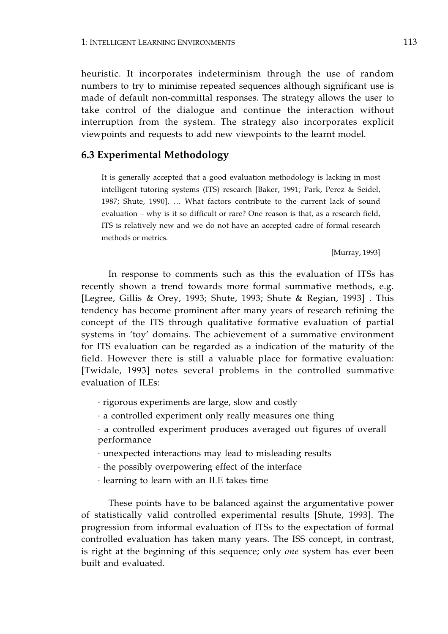heuristic. It incorporates indeterminism through the use of random numbers to try to minimise repeated sequences although significant use is made of default non-committal responses. The strategy allows the user to take control of the dialogue and continue the interaction without interruption from the system. The strategy also incorporates explicit viewpoints and requests to add new viewpoints to the learnt model.

## **6.3 Experimental Methodology**

It is generally accepted that a good evaluation methodology is lacking in most intelligent tutoring systems (ITS) research [Baker, 1991; Park, Perez & Seidel, 1987; Shute, 1990]. … What factors contribute to the current lack of sound evaluation – why is it so difficult or rare? One reason is that, as a research field, ITS is relatively new and we do not have an accepted cadre of formal research methods or metrics.

[Murray, 1993]

In response to comments such as this the evaluation of ITSs has recently shown a trend towards more formal summative methods, e.g. [Legree, Gillis & Orey, 1993; Shute, 1993; Shute & Regian, 1993] . This tendency has become prominent after many years of research refining the concept of the ITS through qualitative formative evaluation of partial systems in 'toy' domains. The achievement of a summative environment for ITS evaluation can be regarded as a indication of the maturity of the field. However there is still a valuable place for formative evaluation: [Twidale, 1993] notes several problems in the controlled summative evaluation of ILEs:

· rigorous experiments are large, slow and costly

- · a controlled experiment only really measures one thing
- · a controlled experiment produces averaged out figures of overall performance
- · unexpected interactions may lead to misleading results
- · the possibly overpowering effect of the interface
- · learning to learn with an ILE takes time

These points have to be balanced against the argumentative power of statistically valid controlled experimental results [Shute, 1993]. The progression from informal evaluation of ITSs to the expectation of formal controlled evaluation has taken many years. The ISS concept, in contrast, is right at the beginning of this sequence; only *one* system has ever been built and evaluated.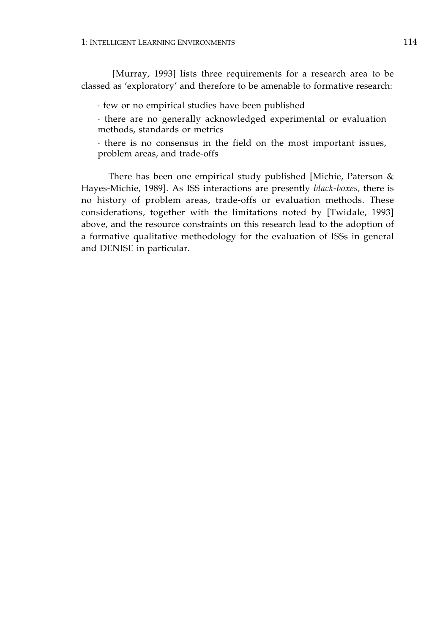[Murray, 1993] lists three requirements for a research area to be classed as 'exploratory' and therefore to be amenable to formative research:

· few or no empirical studies have been published

· there are no generally acknowledged experimental or evaluation methods, standards or metrics

· there is no consensus in the field on the most important issues, problem areas, and trade-offs

There has been one empirical study published [Michie, Paterson & Hayes-Michie, 1989]. As ISS interactions are presently *black-boxes,* there is no history of problem areas, trade-offs or evaluation methods. These considerations, together with the limitations noted by [Twidale, 1993] above, and the resource constraints on this research lead to the adoption of a formative qualitative methodology for the evaluation of ISSs in general and DENISE in particular.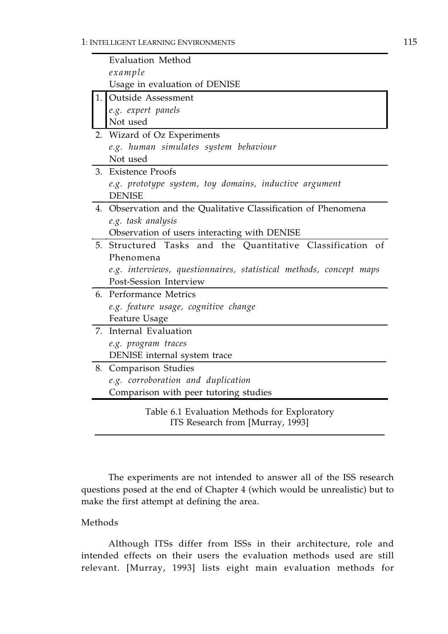|    | <b>Evaluation Method</b>                                                |
|----|-------------------------------------------------------------------------|
|    | example                                                                 |
|    | Usage in evaluation of DENISE                                           |
| 1. | <b>Outside Assessment</b>                                               |
|    | e.g. expert panels                                                      |
|    | Not used                                                                |
| 2. | Wizard of Oz Experiments                                                |
|    | e.g. human simulates system behaviour                                   |
|    | Not used                                                                |
| 3. | <b>Existence Proofs</b>                                                 |
|    | e.g. prototype system, toy domains, inductive argument<br><b>DENISE</b> |
| 4. | Observation and the Qualitative Classification of Phenomena             |
|    | e.g. task analysis                                                      |
|    | Observation of users interacting with DENISE                            |
| 5. | Structured Tasks and the Quantitative Classification of                 |
|    | Phenomena                                                               |
|    | e.g. interviews, questionnaires, statistical methods, concept maps      |
|    | Post-Session Interview                                                  |
| 6. | <b>Performance Metrics</b>                                              |
|    | e.g. feature usage, cognitive change                                    |
|    | Feature Usage                                                           |
| 7. | Internal Evaluation                                                     |
|    | e.g. program traces                                                     |
|    | DENISE internal system trace                                            |
| 8. | <b>Comparison Studies</b>                                               |
|    | e.g. corroboration and duplication                                      |
|    | Comparison with peer tutoring studies                                   |
|    | Table 6.1 Evaluation Methods for Exploratory                            |

ITS Research from [Murray, 1993]

The experiments are not intended to answer all of the ISS research questions posed at the end of Chapter 4 (which would be unrealistic) but to make the first attempt at defining the area.

## Methods

Although ITSs differ from ISSs in their architecture, role and intended effects on their users the evaluation methods used are still relevant. [Murray, 1993] lists eight main evaluation methods for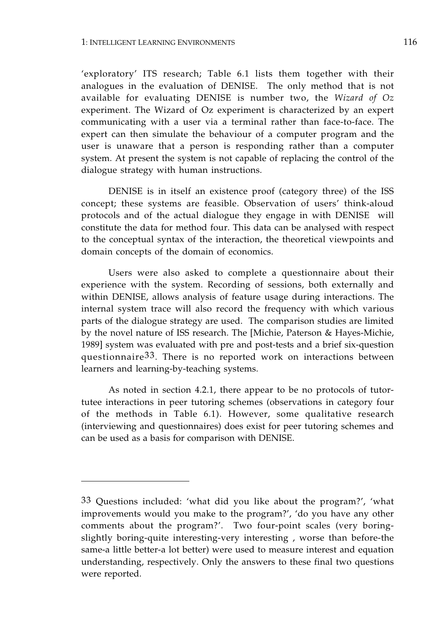'exploratory' ITS research; Table 6.1 lists them together with their analogues in the evaluation of DENISE. The only method that is not available for evaluating DENISE is number two, the *Wizard of Oz*  experiment. The Wizard of Oz experiment is characterized by an expert communicating with a user via a terminal rather than face-to-face. The expert can then simulate the behaviour of a computer program and the user is unaware that a person is responding rather than a computer system. At present the system is not capable of replacing the control of the dialogue strategy with human instructions.

DENISE is in itself an existence proof (category three) of the ISS concept; these systems are feasible. Observation of users' think-aloud protocols and of the actual dialogue they engage in with DENISE will constitute the data for method four. This data can be analysed with respect to the conceptual syntax of the interaction, the theoretical viewpoints and domain concepts of the domain of economics.

Users were also asked to complete a questionnaire about their experience with the system. Recording of sessions, both externally and within DENISE, allows analysis of feature usage during interactions. The internal system trace will also record the frequency with which various parts of the dialogue strategy are used. The comparison studies are limited by the novel nature of ISS research. The [Michie, Paterson & Hayes-Michie, 1989] system was evaluated with pre and post-tests and a brief six-question questionnaire33. There is no reported work on interactions between learners and learning-by-teaching systems.

As noted in section 4.2.1, there appear to be no protocols of tutortutee interactions in peer tutoring schemes (observations in category four of the methods in Table 6.1). However, some qualitative research (interviewing and questionnaires) does exist for peer tutoring schemes and can be used as a basis for comparison with DENISE.

<sup>33</sup> Questions included: 'what did you like about the program?', 'what improvements would you make to the program?', 'do you have any other comments about the program?'. Two four-point scales (very boringslightly boring-quite interesting-very interesting , worse than before-the same-a little better-a lot better) were used to measure interest and equation understanding, respectively. Only the answers to these final two questions were reported.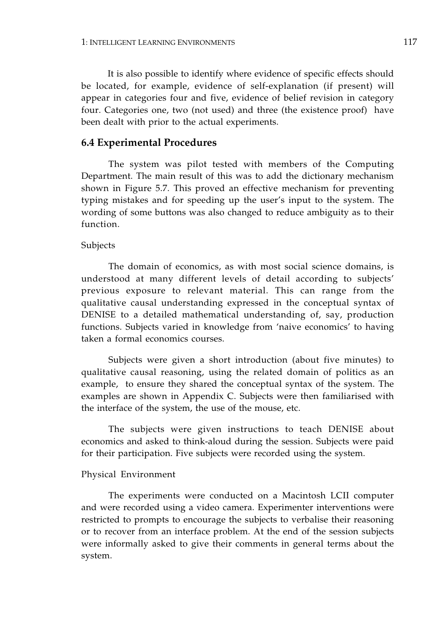It is also possible to identify where evidence of specific effects should be located, for example, evidence of self-explanation (if present) will appear in categories four and five, evidence of belief revision in category four. Categories one, two (not used) and three (the existence proof) have been dealt with prior to the actual experiments.

#### **6.4 Experimental Procedures**

The system was pilot tested with members of the Computing Department. The main result of this was to add the dictionary mechanism shown in Figure 5.7. This proved an effective mechanism for preventing typing mistakes and for speeding up the user's input to the system. The wording of some buttons was also changed to reduce ambiguity as to their function.

#### Subjects

The domain of economics, as with most social science domains, is understood at many different levels of detail according to subjects' previous exposure to relevant material. This can range from the qualitative causal understanding expressed in the conceptual syntax of DENISE to a detailed mathematical understanding of, say, production functions. Subjects varied in knowledge from 'naive economics' to having taken a formal economics courses.

Subjects were given a short introduction (about five minutes) to qualitative causal reasoning, using the related domain of politics as an example, to ensure they shared the conceptual syntax of the system. The examples are shown in Appendix C. Subjects were then familiarised with the interface of the system, the use of the mouse, etc.

The subjects were given instructions to teach DENISE about economics and asked to think-aloud during the session. Subjects were paid for their participation. Five subjects were recorded using the system.

#### Physical Environment

The experiments were conducted on a Macintosh LCII computer and were recorded using a video camera. Experimenter interventions were restricted to prompts to encourage the subjects to verbalise their reasoning or to recover from an interface problem. At the end of the session subjects were informally asked to give their comments in general terms about the system.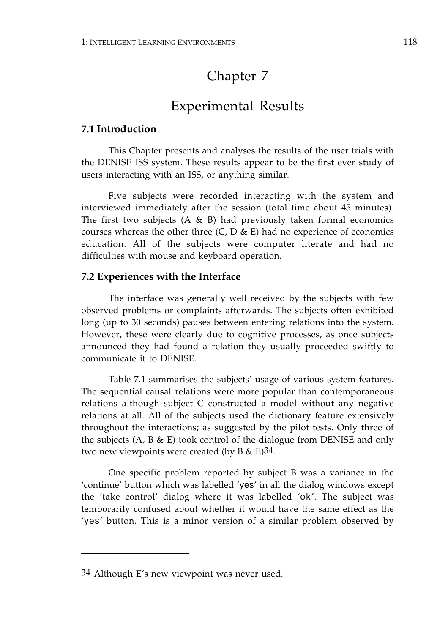# Chapter 7

## Experimental Results

## **7.1 Introduction**

This Chapter presents and analyses the results of the user trials with the DENISE ISS system. These results appear to be the first ever study of users interacting with an ISS, or anything similar.

Five subjects were recorded interacting with the system and interviewed immediately after the session (total time about 45 minutes). The first two subjects  $(A \& B)$  had previously taken formal economics courses whereas the other three  $(C, D \& E)$  had no experience of economics education. All of the subjects were computer literate and had no difficulties with mouse and keyboard operation.

## **7.2 Experiences with the Interface**

The interface was generally well received by the subjects with few observed problems or complaints afterwards. The subjects often exhibited long (up to 30 seconds) pauses between entering relations into the system. However, these were clearly due to cognitive processes, as once subjects announced they had found a relation they usually proceeded swiftly to communicate it to DENISE.

Table 7.1 summarises the subjects' usage of various system features. The sequential causal relations were more popular than contemporaneous relations although subject C constructed a model without any negative relations at all. All of the subjects used the dictionary feature extensively throughout the interactions; as suggested by the pilot tests. Only three of the subjects  $(A, B \& E)$  took control of the dialogue from DENISE and only two new viewpoints were created (by B  $\&$  E)<sup>34</sup>.

One specific problem reported by subject B was a variance in the 'continue' button which was labelled 'yes' in all the dialog windows except the 'take control' dialog where it was labelled 'ok'. The subject was temporarily confused about whether it would have the same effect as the 'yes' button. This is a minor version of a similar problem observed by

<sup>34</sup> Although E's new viewpoint was never used.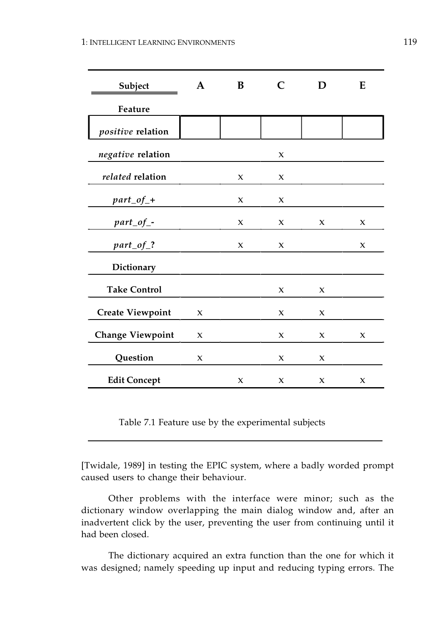| Subject                  | A            | B                   | $\mathsf{C}$        | D                   | E            |
|--------------------------|--------------|---------------------|---------------------|---------------------|--------------|
| Feature                  |              |                     |                     |                     |              |
| <i>positive</i> relation |              |                     |                     |                     |              |
| negative relation        |              |                     | $\pmb{\chi}$        |                     |              |
| related relation         |              | $\boldsymbol{\chi}$ | $\boldsymbol{\chi}$ |                     |              |
| $part\_of\_+$            |              | X                   | X                   |                     |              |
| $part\_of\_$ -           |              | $\boldsymbol{\chi}$ | $\mathbf{x}$        | $\boldsymbol{\chi}$ | $\mathbf{x}$ |
| $part\_of\_?$            |              | $\boldsymbol{\chi}$ | $\pmb{\chi}$        |                     | $\pmb{\chi}$ |
| Dictionary               |              |                     |                     |                     |              |
| <b>Take Control</b>      |              |                     | $\boldsymbol{\chi}$ | $\boldsymbol{\chi}$ |              |
| <b>Create Viewpoint</b>  | X            |                     | X                   | X                   |              |
| <b>Change Viewpoint</b>  | X            |                     | X                   | $\boldsymbol{\chi}$ | $\mathbf{x}$ |
| Question                 | $\pmb{\chi}$ |                     | $\boldsymbol{\chi}$ | X                   |              |
| <b>Edit Concept</b>      |              | X                   | X                   | X                   | $\pmb{\chi}$ |

Table 7.1 Feature use by the experimental subjects

[Twidale, 1989] in testing the EPIC system, where a badly worded prompt caused users to change their behaviour.

Other problems with the interface were minor; such as the dictionary window overlapping the main dialog window and, after an inadvertent click by the user, preventing the user from continuing until it had been closed.

The dictionary acquired an extra function than the one for which it was designed; namely speeding up input and reducing typing errors. The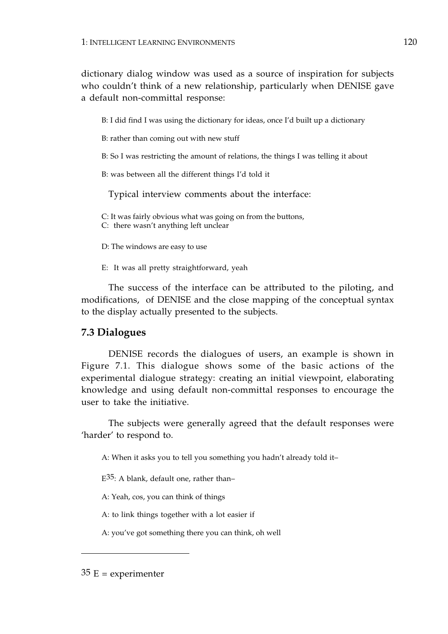dictionary dialog window was used as a source of inspiration for subjects who couldn't think of a new relationship, particularly when DENISE gave a default non-committal response:

B: I did find I was using the dictionary for ideas, once I'd built up a dictionary

B: rather than coming out with new stuff

B: So I was restricting the amount of relations, the things I was telling it about

B: was between all the different things I'd told it

Typical interview comments about the interface:

C: It was fairly obvious what was going on from the buttons,

C: there wasn't anything left unclear

D: The windows are easy to use

E: It was all pretty straightforward, yeah

The success of the interface can be attributed to the piloting, and modifications, of DENISE and the close mapping of the conceptual syntax to the display actually presented to the subjects.

## **7.3 Dialogues**

DENISE records the dialogues of users, an example is shown in Figure 7.1. This dialogue shows some of the basic actions of the experimental dialogue strategy: creating an initial viewpoint, elaborating knowledge and using default non-committal responses to encourage the user to take the initiative.

The subjects were generally agreed that the default responses were 'harder' to respond to.

A: When it asks you to tell you something you hadn't already told it–

 $E^{35}$ : A blank, default one, rather than-

A: Yeah, cos, you can think of things

A: to link things together with a lot easier if

A: you've got something there you can think, oh well

 $35 E =$  experimenter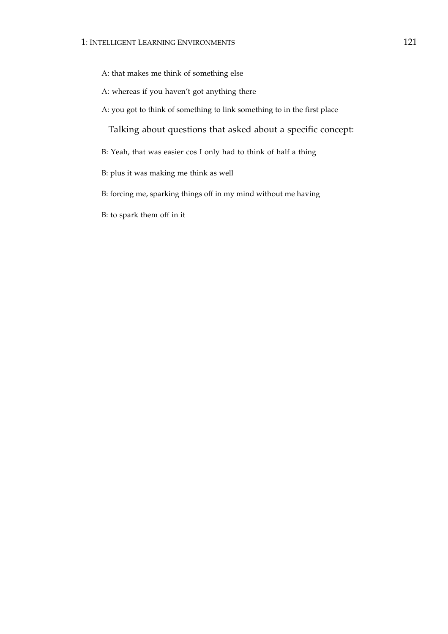A: that makes me think of something else

A: whereas if you haven't got anything there

A: you got to think of something to link something to in the first place

Talking about questions that asked about a specific concept:

- B: Yeah, that was easier cos I only had to think of half a thing
- B: plus it was making me think as well
- B: forcing me, sparking things off in my mind without me having
- B: to spark them off in it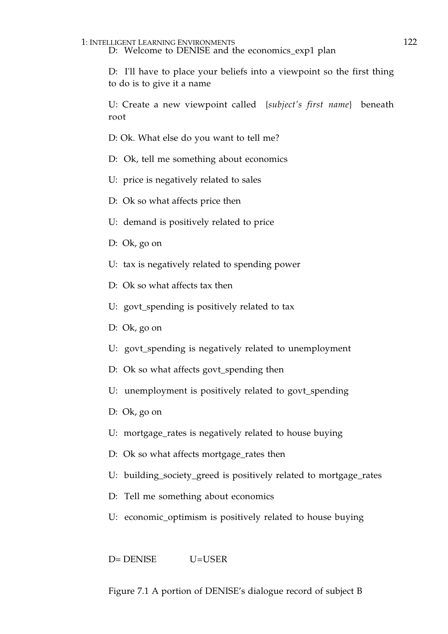## 1: INTELLIGENT LEARNING ENVIRONMENTS 122

D: Welcome to DENISE and the economics\_exp1 plan

D: I'll have to place your beliefs into a viewpoint so the first thing to do is to give it a name

U: Create a new viewpoint called {*subject's first name*} beneath root

D: Ok. What else do you want to tell me?

- D: Ok, tell me something about economics
- U: price is negatively related to sales
- D: Ok so what affects price then
- U: demand is positively related to price
- D: Ok, go on
- U: tax is negatively related to spending power
- D: Ok so what affects tax then
- U: govt\_spending is positively related to tax
- D: Ok, go on
- U: govt\_spending is negatively related to unemployment
- D: Ok so what affects govt\_spending then
- U: unemployment is positively related to govt\_spending
- D: Ok, go on
- U: mortgage\_rates is negatively related to house buying
- D: Ok so what affects mortgage\_rates then
- U: building\_society\_greed is positively related to mortgage\_rates
- D: Tell me something about economics
- U: economic\_optimism is positively related to house buying

D= DENISE U=USER

Figure 7.1 A portion of DENISE's dialogue record of subject B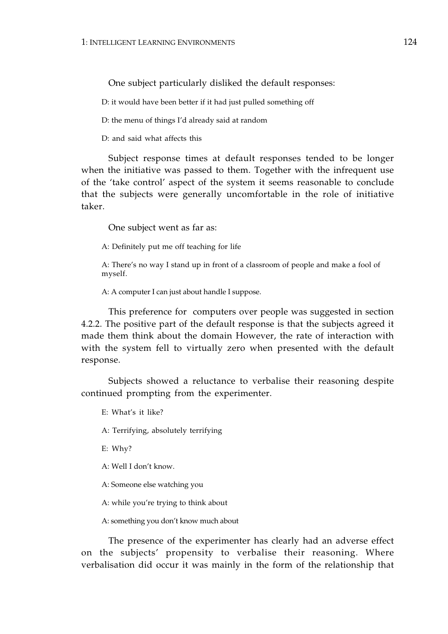One subject particularly disliked the default responses:

D: it would have been better if it had just pulled something off

D: the menu of things I'd already said at random

D: and said what affects this

Subject response times at default responses tended to be longer when the initiative was passed to them. Together with the infrequent use of the 'take control' aspect of the system it seems reasonable to conclude that the subjects were generally uncomfortable in the role of initiative taker.

One subject went as far as:

A: Definitely put me off teaching for life

A: There's no way I stand up in front of a classroom of people and make a fool of myself.

A: A computer I can just about handle I suppose.

This preference for computers over people was suggested in section 4.2.2. The positive part of the default response is that the subjects agreed it made them think about the domain However, the rate of interaction with with the system fell to virtually zero when presented with the default response.

Subjects showed a reluctance to verbalise their reasoning despite continued prompting from the experimenter.

E: What's it like?

A: Terrifying, absolutely terrifying

E: Why?

A: Well I don't know.

A: Someone else watching you

A: while you're trying to think about

A: something you don't know much about

The presence of the experimenter has clearly had an adverse effect on the subjects' propensity to verbalise their reasoning. Where verbalisation did occur it was mainly in the form of the relationship that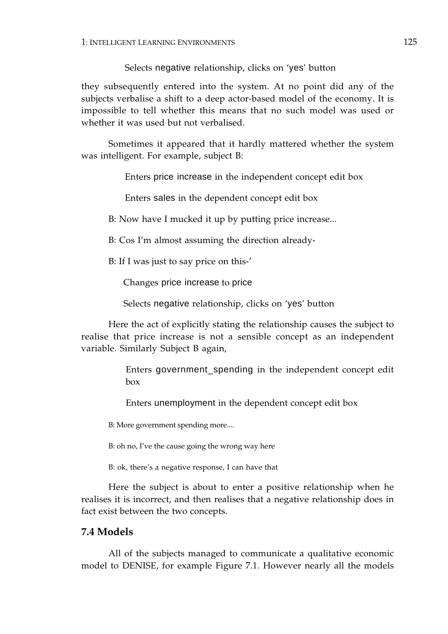Selects negative relationship, clicks on 'yes' button

they subsequently entered into the system. At no point did any of the subjects verbalise a shift to a deep actor-based model of the economy. It is impossible to tell whether this means that no such model was used or whether it was used but not verbalised.

Sometimes it appeared that it hardly mattered whether the system was intelligent. For example, subject B:

Enters price increase in the independent concept edit box

Enters sales in the dependent concept edit box

B: Now have I mucked it up by putting price increase...

B: Cos I'm almost assuming the direction already-

B: If I was just to say price on this-'

Changes price increase to price

Selects negative relationship, clicks on 'yes' button

Here the act of explicitly stating the relationship causes the subject to realise that price increase is not a sensible concept as an independent variable. Similarly Subject B again,

> Enters government\_spending in the independent concept edit box

Enters unemployment in the dependent concept edit box

B: More government spending more....

B: oh no, I've the cause going the wrong way here

B: ok, there's a negative response, I can have that

Here the subject is about to enter a positive relationship when he realises it is incorrect, and then realises that a negative relationship does in fact exist between the two concepts.

## **7.4 Models**

All of the subjects managed to communicate a qualitative economic model to DENISE, for example Figure 7.1. However nearly all the models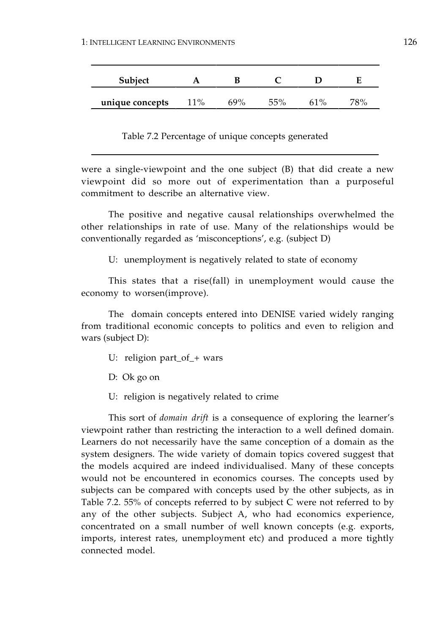| <b>Subject</b>  |     |     |        |       |  |
|-----------------|-----|-----|--------|-------|--|
| unique concepts | 11% | 69% | $55\%$ | $1\%$ |  |

Table 7.2 Percentage of unique concepts generated

were a single-viewpoint and the one subject (B) that did create a new viewpoint did so more out of experimentation than a purposeful commitment to describe an alternative view.

The positive and negative causal relationships overwhelmed the other relationships in rate of use. Many of the relationships would be conventionally regarded as 'misconceptions', e.g. (subject D)

U: unemployment is negatively related to state of economy

This states that a rise(fall) in unemployment would cause the economy to worsen(improve).

The domain concepts entered into DENISE varied widely ranging from traditional economic concepts to politics and even to religion and wars (subject D):

- U: religion part\_of\_+ wars
- D: Ok go on
- U: religion is negatively related to crime

This sort of *domain drift* is a consequence of exploring the learner's viewpoint rather than restricting the interaction to a well defined domain. Learners do not necessarily have the same conception of a domain as the system designers. The wide variety of domain topics covered suggest that the models acquired are indeed individualised. Many of these concepts would not be encountered in economics courses. The concepts used by subjects can be compared with concepts used by the other subjects, as in Table 7.2. 55% of concepts referred to by subject C were not referred to by any of the other subjects. Subject A, who had economics experience, concentrated on a small number of well known concepts (e.g. exports, imports, interest rates, unemployment etc) and produced a more tightly connected model.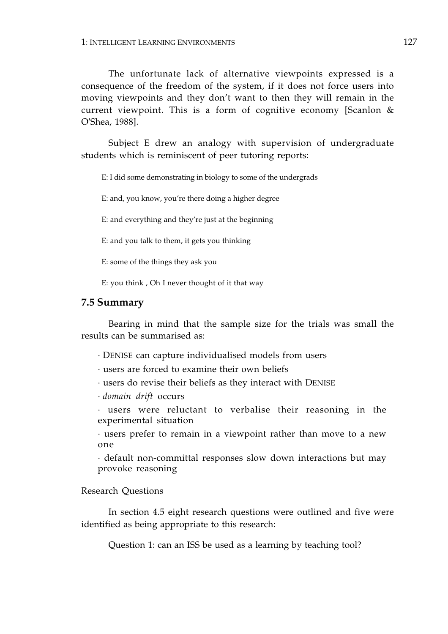The unfortunate lack of alternative viewpoints expressed is a consequence of the freedom of the system, if it does not force users into moving viewpoints and they don't want to then they will remain in the current viewpoint. This is a form of cognitive economy [Scanlon & O'Shea, 1988].

Subject E drew an analogy with supervision of undergraduate students which is reminiscent of peer tutoring reports:

E: I did some demonstrating in biology to some of the undergrads

E: and, you know, you're there doing a higher degree

E: and everything and they're just at the beginning

E: and you talk to them, it gets you thinking

E: some of the things they ask you

E: you think , Oh I never thought of it that way

#### **7.5 Summary**

Bearing in mind that the sample size for the trials was small the results can be summarised as:

- · DENISE can capture individualised models from users
- · users are forced to examine their own beliefs
- · users do revise their beliefs as they interact with DENISE
- · *domain drift* occurs

· users were reluctant to verbalise their reasoning in the experimental situation

· users prefer to remain in a viewpoint rather than move to a new one

· default non-committal responses slow down interactions but may provoke reasoning

#### Research Questions

In section 4.5 eight research questions were outlined and five were identified as being appropriate to this research:

Question 1: can an ISS be used as a learning by teaching tool?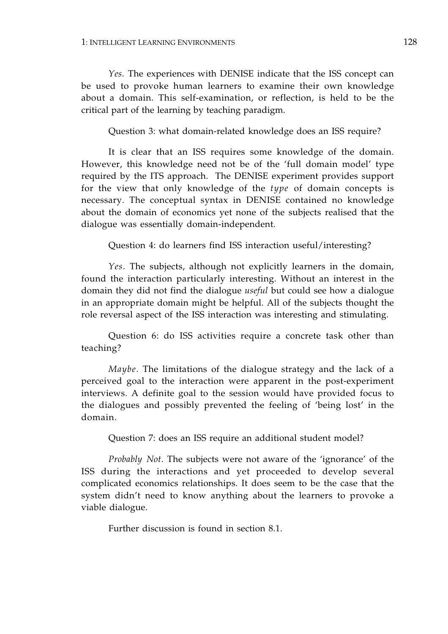*Yes.* The experiences with DENISE indicate that the ISS concept can be used to provoke human learners to examine their own knowledge about a domain. This self-examination, or reflection, is held to be the critical part of the learning by teaching paradigm.

Question 3: what domain-related knowledge does an ISS require?

It is clear that an ISS requires some knowledge of the domain. However, this knowledge need not be of the 'full domain model' type required by the ITS approach. The DENISE experiment provides support for the view that only knowledge of the *type* of domain concepts is necessary. The conceptual syntax in DENISE contained no knowledge about the domain of economics yet none of the subjects realised that the dialogue was essentially domain-independent.

Question 4: do learners find ISS interaction useful/interesting?

*Yes*. The subjects, although not explicitly learners in the domain, found the interaction particularly interesting. Without an interest in the domain they did not find the dialogue *useful* but could see how a dialogue in an appropriate domain might be helpful. All of the subjects thought the role reversal aspect of the ISS interaction was interesting and stimulating.

Question 6: do ISS activities require a concrete task other than teaching?

*Maybe*. The limitations of the dialogue strategy and the lack of a perceived goal to the interaction were apparent in the post-experiment interviews. A definite goal to the session would have provided focus to the dialogues and possibly prevented the feeling of 'being lost' in the domain.

Question 7: does an ISS require an additional student model?

*Probably Not*. The subjects were not aware of the 'ignorance' of the ISS during the interactions and yet proceeded to develop several complicated economics relationships. It does seem to be the case that the system didn't need to know anything about the learners to provoke a viable dialogue.

Further discussion is found in section 8.1.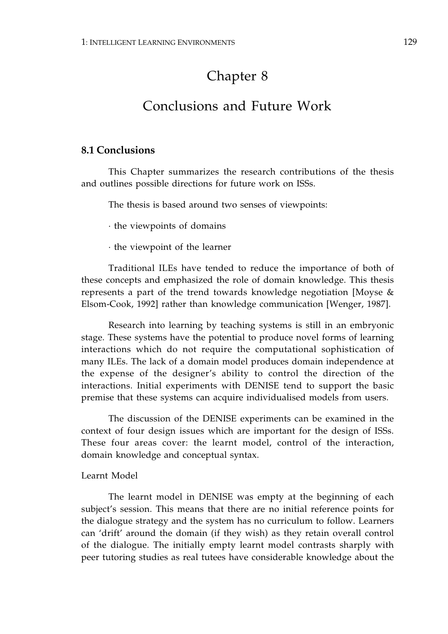# Chapter 8

## Conclusions and Future Work

## **8.1 Conclusions**

This Chapter summarizes the research contributions of the thesis and outlines possible directions for future work on ISSs.

The thesis is based around two senses of viewpoints:

· the viewpoints of domains

· the viewpoint of the learner

Traditional ILEs have tended to reduce the importance of both of these concepts and emphasized the role of domain knowledge. This thesis represents a part of the trend towards knowledge negotiation [Moyse & Elsom-Cook, 1992] rather than knowledge communication [Wenger, 1987].

Research into learning by teaching systems is still in an embryonic stage. These systems have the potential to produce novel forms of learning interactions which do not require the computational sophistication of many ILEs. The lack of a domain model produces domain independence at the expense of the designer's ability to control the direction of the interactions. Initial experiments with DENISE tend to support the basic premise that these systems can acquire individualised models from users.

The discussion of the DENISE experiments can be examined in the context of four design issues which are important for the design of ISSs. These four areas cover: the learnt model, control of the interaction, domain knowledge and conceptual syntax.

### Learnt Model

The learnt model in DENISE was empty at the beginning of each subject's session. This means that there are no initial reference points for the dialogue strategy and the system has no curriculum to follow. Learners can 'drift' around the domain (if they wish) as they retain overall control of the dialogue. The initially empty learnt model contrasts sharply with peer tutoring studies as real tutees have considerable knowledge about the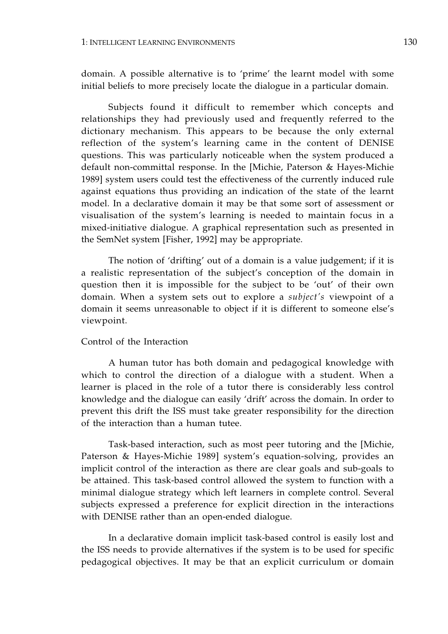domain. A possible alternative is to 'prime' the learnt model with some initial beliefs to more precisely locate the dialogue in a particular domain.

Subjects found it difficult to remember which concepts and relationships they had previously used and frequently referred to the dictionary mechanism. This appears to be because the only external reflection of the system's learning came in the content of DENISE questions. This was particularly noticeable when the system produced a default non-committal response. In the [Michie, Paterson & Hayes-Michie 1989] system users could test the effectiveness of the currently induced rule against equations thus providing an indication of the state of the learnt model. In a declarative domain it may be that some sort of assessment or visualisation of the system's learning is needed to maintain focus in a mixed-initiative dialogue. A graphical representation such as presented in the SemNet system [Fisher, 1992] may be appropriate.

The notion of 'drifting' out of a domain is a value judgement; if it is a realistic representation of the subject's conception of the domain in question then it is impossible for the subject to be 'out' of their own domain. When a system sets out to explore a *subject's* viewpoint of a domain it seems unreasonable to object if it is different to someone else's viewpoint.

### Control of the Interaction

A human tutor has both domain and pedagogical knowledge with which to control the direction of a dialogue with a student. When a learner is placed in the role of a tutor there is considerably less control knowledge and the dialogue can easily 'drift' across the domain. In order to prevent this drift the ISS must take greater responsibility for the direction of the interaction than a human tutee.

Task-based interaction, such as most peer tutoring and the [Michie, Paterson & Hayes-Michie 1989] system's equation-solving, provides an implicit control of the interaction as there are clear goals and sub-goals to be attained. This task-based control allowed the system to function with a minimal dialogue strategy which left learners in complete control. Several subjects expressed a preference for explicit direction in the interactions with DENISE rather than an open-ended dialogue.

In a declarative domain implicit task-based control is easily lost and the ISS needs to provide alternatives if the system is to be used for specific pedagogical objectives. It may be that an explicit curriculum or domain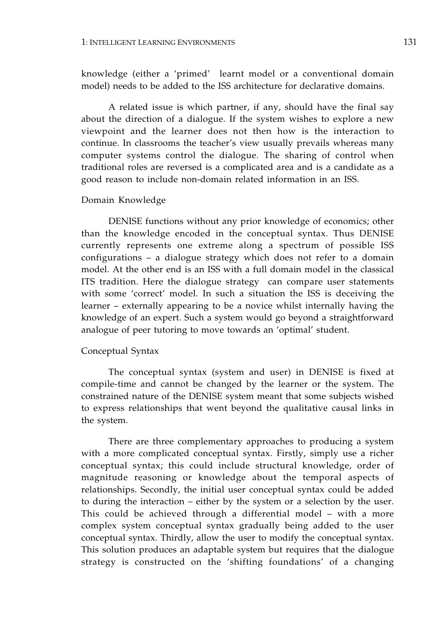knowledge (either a 'primed' learnt model or a conventional domain model) needs to be added to the ISS architecture for declarative domains.

A related issue is which partner, if any, should have the final say about the direction of a dialogue. If the system wishes to explore a new viewpoint and the learner does not then how is the interaction to continue. In classrooms the teacher's view usually prevails whereas many computer systems control the dialogue. The sharing of control when traditional roles are reversed is a complicated area and is a candidate as a good reason to include non-domain related information in an ISS.

#### Domain Knowledge

DENISE functions without any prior knowledge of economics; other than the knowledge encoded in the conceptual syntax. Thus DENISE currently represents one extreme along a spectrum of possible ISS configurations – a dialogue strategy which does not refer to a domain model. At the other end is an ISS with a full domain model in the classical ITS tradition. Here the dialogue strategy can compare user statements with some 'correct' model. In such a situation the ISS is deceiving the learner – externally appearing to be a novice whilst internally having the knowledge of an expert. Such a system would go beyond a straightforward analogue of peer tutoring to move towards an 'optimal' student.

#### Conceptual Syntax

The conceptual syntax (system and user) in DENISE is fixed at compile-time and cannot be changed by the learner or the system. The constrained nature of the DENISE system meant that some subjects wished to express relationships that went beyond the qualitative causal links in the system.

There are three complementary approaches to producing a system with a more complicated conceptual syntax. Firstly, simply use a richer conceptual syntax; this could include structural knowledge, order of magnitude reasoning or knowledge about the temporal aspects of relationships. Secondly, the initial user conceptual syntax could be added to during the interaction – either by the system or a selection by the user. This could be achieved through a differential model – with a more complex system conceptual syntax gradually being added to the user conceptual syntax. Thirdly, allow the user to modify the conceptual syntax. This solution produces an adaptable system but requires that the dialogue strategy is constructed on the 'shifting foundations' of a changing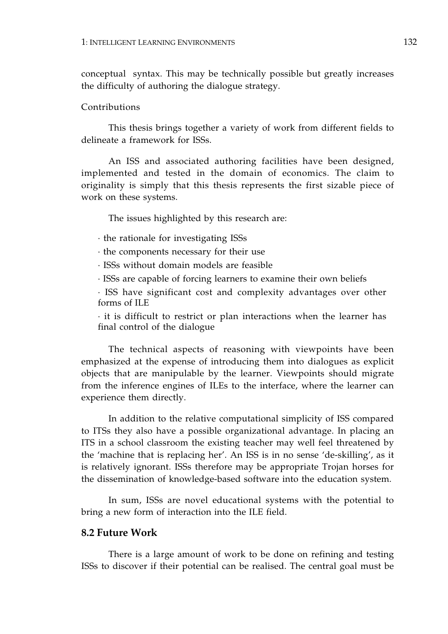conceptual syntax. This may be technically possible but greatly increases the difficulty of authoring the dialogue strategy.

#### Contributions

This thesis brings together a variety of work from different fields to delineate a framework for ISSs.

An ISS and associated authoring facilities have been designed, implemented and tested in the domain of economics. The claim to originality is simply that this thesis represents the first sizable piece of work on these systems.

The issues highlighted by this research are:

· the rationale for investigating ISSs

· the components necessary for their use

· ISSs without domain models are feasible

· ISSs are capable of forcing learners to examine their own beliefs

· ISS have significant cost and complexity advantages over other forms of ILE

· it is difficult to restrict or plan interactions when the learner has final control of the dialogue

The technical aspects of reasoning with viewpoints have been emphasized at the expense of introducing them into dialogues as explicit objects that are manipulable by the learner. Viewpoints should migrate from the inference engines of ILEs to the interface, where the learner can experience them directly.

In addition to the relative computational simplicity of ISS compared to ITSs they also have a possible organizational advantage. In placing an ITS in a school classroom the existing teacher may well feel threatened by the 'machine that is replacing her'. An ISS is in no sense 'de-skilling', as it is relatively ignorant. ISSs therefore may be appropriate Trojan horses for the dissemination of knowledge-based software into the education system.

In sum, ISSs are novel educational systems with the potential to bring a new form of interaction into the ILE field.

## **8.2 Future Work**

There is a large amount of work to be done on refining and testing ISSs to discover if their potential can be realised. The central goal must be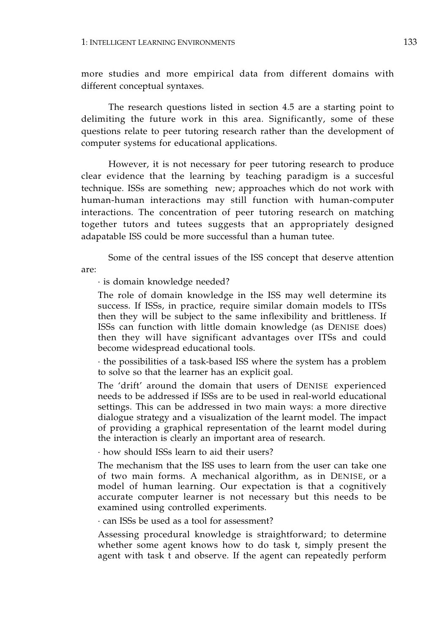more studies and more empirical data from different domains with different conceptual syntaxes.

The research questions listed in section 4.5 are a starting point to delimiting the future work in this area. Significantly, some of these questions relate to peer tutoring research rather than the development of computer systems for educational applications.

However, it is not necessary for peer tutoring research to produce clear evidence that the learning by teaching paradigm is a succesful technique. ISSs are something new; approaches which do not work with human-human interactions may still function with human-computer interactions. The concentration of peer tutoring research on matching together tutors and tutees suggests that an appropriately designed adapatable ISS could be more successful than a human tutee.

Some of the central issues of the ISS concept that deserve attention are:

· is domain knowledge needed?

The role of domain knowledge in the ISS may well determine its success. If ISSs, in practice, require similar domain models to ITSs then they will be subject to the same inflexibility and brittleness. If ISSs can function with little domain knowledge (as DENISE does) then they will have significant advantages over ITSs and could become widespread educational tools.

· the possibilities of a task-based ISS where the system has a problem to solve so that the learner has an explicit goal.

The 'drift' around the domain that users of DENISE experienced needs to be addressed if ISSs are to be used in real-world educational settings. This can be addressed in two main ways: a more directive dialogue strategy and a visualization of the learnt model. The impact of providing a graphical representation of the learnt model during the interaction is clearly an important area of research.

· how should ISSs learn to aid their users?

The mechanism that the ISS uses to learn from the user can take one of two main forms. A mechanical algorithm, as in DENISE, or a model of human learning. Our expectation is that a cognitively accurate computer learner is not necessary but this needs to be examined using controlled experiments.

· can ISSs be used as a tool for assessment?

Assessing procedural knowledge is straightforward; to determine whether some agent knows how to do task t, simply present the agent with task t and observe. If the agent can repeatedly perform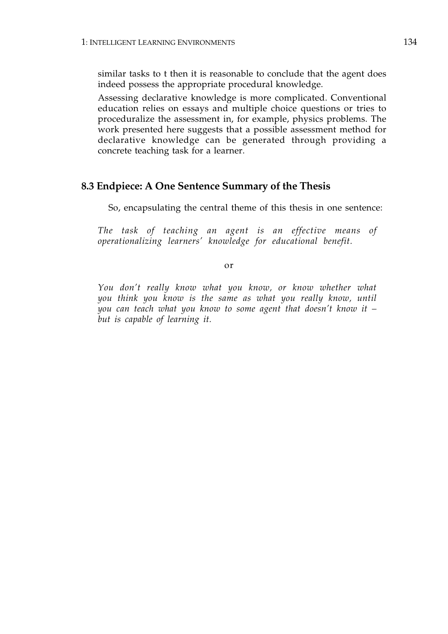similar tasks to t then it is reasonable to conclude that the agent does indeed possess the appropriate procedural knowledge.

Assessing declarative knowledge is more complicated. Conventional education relies on essays and multiple choice questions or tries to proceduralize the assessment in, for example, physics problems. The work presented here suggests that a possible assessment method for declarative knowledge can be generated through providing a concrete teaching task for a learner.

### **8.3 Endpiece: A One Sentence Summary of the Thesis**

So, encapsulating the central theme of this thesis in one sentence:

*The task of teaching an agent is an effective means of operationalizing learners' knowledge for educational benefit.* 

or

*You don't really know what you know, or know whether what you think you know is the same as what you really know, until you can teach what you know to some agent that doesn't know it – but is capable of learning it.*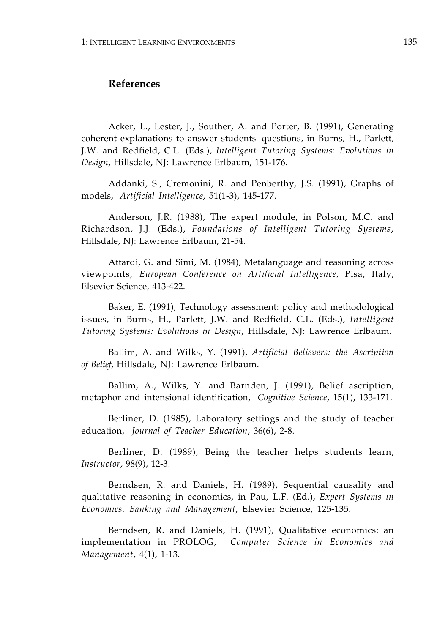### **References**

Acker, L., Lester, J., Souther, A. and Porter, B. (1991), Generating coherent explanations to answer students' questions, in Burns, H., Parlett, J.W. and Redfield, C.L. (Eds.), *Intelligent Tutoring Systems: Evolutions in Design*, Hillsdale, NJ: Lawrence Erlbaum, 151-176.

Addanki, S., Cremonini, R. and Penberthy, J.S. (1991), Graphs of models, *Artificial Intelligence*, 51(1-3), 145-177.

Anderson, J.R. (1988), The expert module, in Polson, M.C. and Richardson, J.J. (Eds.), *Foundations of Intelligent Tutoring Systems*, Hillsdale, NJ: Lawrence Erlbaum, 21-54.

Attardi, G. and Simi, M. (1984), Metalanguage and reasoning across viewpoints, *European Conference on Artificial Intelligence,* Pisa, Italy, Elsevier Science, 413-422.

Baker, E. (1991), Technology assessment: policy and methodological issues, in Burns, H., Parlett, J.W. and Redfield, C.L. (Eds.), *Intelligent Tutoring Systems: Evolutions in Design*, Hillsdale, NJ: Lawrence Erlbaum.

Ballim, A. and Wilks, Y. (1991), *Artificial Believers: the Ascription of Belief,* Hillsdale, NJ: Lawrence Erlbaum.

Ballim, A., Wilks, Y. and Barnden, J. (1991), Belief ascription, metaphor and intensional identification, *Cognitive Science*, 15(1), 133-171.

Berliner, D. (1985), Laboratory settings and the study of teacher education, *Journal of Teacher Education*, 36(6), 2-8.

Berliner, D. (1989), Being the teacher helps students learn, *Instructor*, 98(9), 12-3.

Berndsen, R. and Daniels, H. (1989), Sequential causality and qualitative reasoning in economics, in Pau, L.F. (Ed.), *Expert Systems in Economics, Banking and Management*, Elsevier Science, 125-135.

Berndsen, R. and Daniels, H. (1991), Qualitative economics: an implementation in PROLOG, *Computer Science in Economics and Management*, 4(1), 1-13.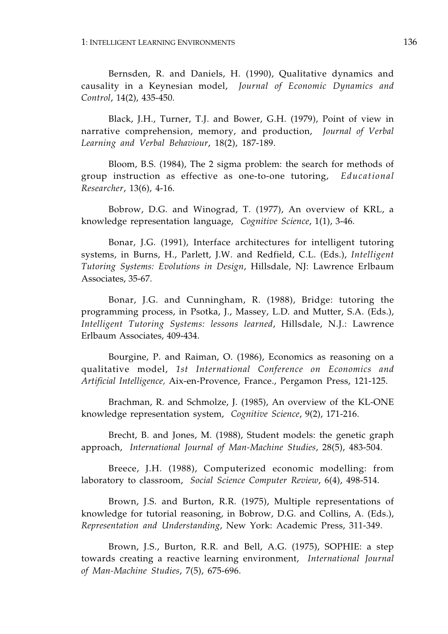Bernsden, R. and Daniels, H. (1990), Qualitative dynamics and causality in a Keynesian model, *Journal of Economic Dynamics and Control*, 14(2), 435-450.

Black, J.H., Turner, T.J. and Bower, G.H. (1979), Point of view in narrative comprehension, memory, and production, *Journal of Verbal Learning and Verbal Behaviour*, 18(2), 187-189.

Bloom, B.S. (1984), The 2 sigma problem: the search for methods of group instruction as effective as one-to-one tutoring, *Educational Researcher*, 13(6), 4-16.

Bobrow, D.G. and Winograd, T. (1977), An overview of KRL, a knowledge representation language, *Cognitive Science*, 1(1), 3-46.

Bonar, J.G. (1991), Interface architectures for intelligent tutoring systems, in Burns, H., Parlett, J.W. and Redfield, C.L. (Eds.), *Intelligent Tutoring Systems: Evolutions in Design*, Hillsdale, NJ: Lawrence Erlbaum Associates, 35-67.

Bonar, J.G. and Cunningham, R. (1988), Bridge: tutoring the programming process, in Psotka, J., Massey, L.D. and Mutter, S.A. (Eds.), *Intelligent Tutoring Systems: lessons learned*, Hillsdale, N.J.: Lawrence Erlbaum Associates, 409-434.

Bourgine, P. and Raiman, O. (1986), Economics as reasoning on a qualitative model, *1st International Conference on Economics and Artificial Intelligence,* Aix-en-Provence, France., Pergamon Press, 121-125.

Brachman, R. and Schmolze, J. (1985), An overview of the KL-ONE knowledge representation system, *Cognitive Science*, 9(2), 171-216.

Brecht, B. and Jones, M. (1988), Student models: the genetic graph approach, *International Journal of Man-Machine Studies*, 28(5), 483-504.

Breece, J.H. (1988), Computerized economic modelling: from laboratory to classroom, *Social Science Computer Review*, 6(4), 498-514.

Brown, J.S. and Burton, R.R. (1975), Multiple representations of knowledge for tutorial reasoning, in Bobrow, D.G. and Collins, A. (Eds.), *Representation and Understanding*, New York: Academic Press, 311-349.

Brown, J.S., Burton, R.R. and Bell, A.G. (1975), SOPHIE: a step towards creating a reactive learning environment, *International Journal of Man-Machine Studies*, 7(5), 675-696.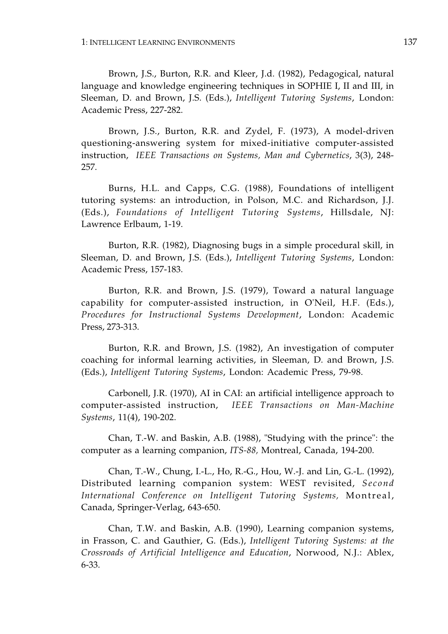Brown, J.S., Burton, R.R. and Kleer, J.d. (1982), Pedagogical, natural language and knowledge engineering techniques in SOPHIE I, II and III, in Sleeman, D. and Brown, J.S. (Eds.), *Intelligent Tutoring Systems*, London: Academic Press, 227-282.

Brown, J.S., Burton, R.R. and Zydel, F. (1973), A model-driven questioning-answering system for mixed-initiative computer-assisted instruction, *IEEE Transactions on Systems, Man and Cybernetics*, 3(3), 248 257.

Burns, H.L. and Capps, C.G. (1988), Foundations of intelligent tutoring systems: an introduction, in Polson, M.C. and Richardson, J.J. (Eds.), *Foundations of Intelligent Tutoring Systems*, Hillsdale, NJ: Lawrence Erlbaum, 1-19.

Burton, R.R. (1982), Diagnosing bugs in a simple procedural skill, in Sleeman, D. and Brown, J.S. (Eds.), *Intelligent Tutoring Systems*, London: Academic Press, 157-183.

Burton, R.R. and Brown, J.S. (1979), Toward a natural language capability for computer-assisted instruction, in O'Neil, H.F. (Eds.), *Procedures for Instructional Systems Development*, London: Academic Press, 273-313.

Burton, R.R. and Brown, J.S. (1982), An investigation of computer coaching for informal learning activities, in Sleeman, D. and Brown, J.S. (Eds.), *Intelligent Tutoring Systems*, London: Academic Press, 79-98.

Carbonell, J.R. (1970), AI in CAI: an artificial intelligence approach to computer-assisted instruction, *IEEE Transactions on Man-Machine Systems*, 11(4), 190-202.

Chan, T.-W. and Baskin, A.B. (1988), "Studying with the prince": the computer as a learning companion, *ITS-88,* Montreal, Canada, 194-200.

Chan, T.-W., Chung, I.-L., Ho, R.-G., Hou, W.-J. and Lin, G.-L. (1992), Distributed learning companion system: WEST revisited, *Second International Conference on Intelligent Tutoring Systems,* Montreal, Canada, Springer-Verlag, 643-650.

Chan, T.W. and Baskin, A.B. (1990), Learning companion systems, in Frasson, C. and Gauthier, G. (Eds.), *Intelligent Tutoring Systems: at the Crossroads of Artificial Intelligence and Education*, Norwood, N.J.: Ablex, 6-33.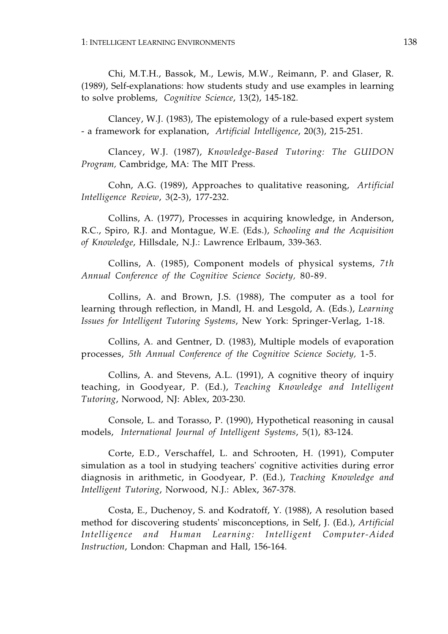Chi, M.T.H., Bassok, M., Lewis, M.W., Reimann, P. and Glaser, R. (1989), Self-explanations: how students study and use examples in learning to solve problems, *Cognitive Science*, 13(2), 145-182.

Clancey, W.J. (1983), The epistemology of a rule-based expert system - a framework for explanation, *Artificial Intelligence*, 20(3), 215-251.

Clancey, W.J. (1987), *Knowledge-Based Tutoring: The GUIDON Program,* Cambridge, MA: The MIT Press.

Cohn, A.G. (1989), Approaches to qualitative reasoning, *Artificial Intelligence Review*, 3(2-3), 177-232.

Collins, A. (1977), Processes in acquiring knowledge, in Anderson, R.C., Spiro, R.J. and Montague, W.E. (Eds.), *Schooling and the Acquisition of Knowledge*, Hillsdale, N.J.: Lawrence Erlbaum, 339-363.

Collins, A. (1985), Component models of physical systems, *7th Annual Conference of the Cognitive Science Society,* 80-89.

Collins, A. and Brown, J.S. (1988), The computer as a tool for learning through reflection, in Mandl, H. and Lesgold, A. (Eds.), *Learning Issues for Intelligent Tutoring Systems*, New York: Springer-Verlag, 1-18.

Collins, A. and Gentner, D. (1983), Multiple models of evaporation processes, *5th Annual Conference of the Cognitive Science Society,* 1-5.

Collins, A. and Stevens, A.L. (1991), A cognitive theory of inquiry teaching, in Goodyear, P. (Ed.), *Teaching Knowledge and Intelligent Tutoring*, Norwood, NJ: Ablex, 203-230.

Console, L. and Torasso, P. (1990), Hypothetical reasoning in causal models, *International Journal of Intelligent Systems*, 5(1), 83-124.

Corte, E.D., Verschaffel, L. and Schrooten, H. (1991), Computer simulation as a tool in studying teachers' cognitive activities during error diagnosis in arithmetic, in Goodyear, P. (Ed.), *Teaching Knowledge and Intelligent Tutoring*, Norwood, N.J.: Ablex, 367-378.

Costa, E., Duchenoy, S. and Kodratoff, Y. (1988), A resolution based method for discovering students' misconceptions, in Self, J. (Ed.), *Artificial Intelligence and Human Learning: Intelligent Computer-Aided Instruction*, London: Chapman and Hall, 156-164.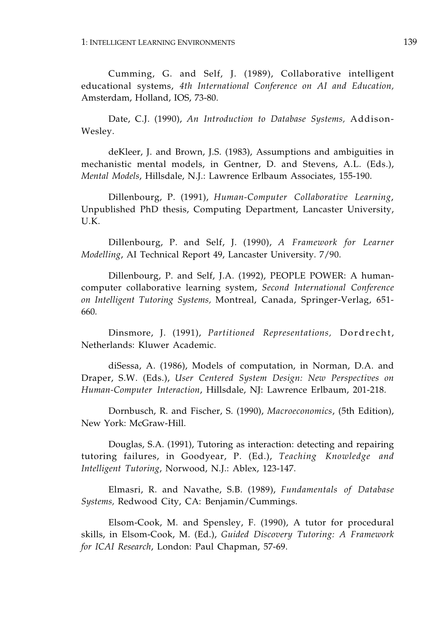Cumming, G. and Self, J. (1989), Collaborative intelligent educational systems, *4th International Conference on AI and Education,*  Amsterdam, Holland, IOS, 73-80.

Date, C.J. (1990), *An Introduction to Database Systems,* Addison-Wesley.

deKleer, J. and Brown, J.S. (1983), Assumptions and ambiguities in mechanistic mental models, in Gentner, D. and Stevens, A.L. (Eds.), *Mental Models*, Hillsdale, N.J.: Lawrence Erlbaum Associates, 155-190.

Dillenbourg, P. (1991), *Human-Computer Collaborative Learning*, Unpublished PhD thesis, Computing Department, Lancaster University, U.K.

Dillenbourg, P. and Self, J. (1990), *A Framework for Learner Modelling*, AI Technical Report 49, Lancaster University. 7/90.

Dillenbourg, P. and Self, J.A. (1992), PEOPLE POWER: A humancomputer collaborative learning system, *Second International Conference on Intelligent Tutoring Systems,* Montreal, Canada, Springer-Verlag, 651 660.

Dinsmore, J. (1991), *Partitioned Representations,* Dordrecht, Netherlands: Kluwer Academic.

diSessa, A. (1986), Models of computation, in Norman, D.A. and Draper, S.W. (Eds.), *User Centered System Design: New Perspectives on Human-Computer Interaction*, Hillsdale, NJ: Lawrence Erlbaum, 201-218.

Dornbusch, R. and Fischer, S. (1990), *Macroeconomics*, (5th Edition), New York: McGraw-Hill.

Douglas, S.A. (1991), Tutoring as interaction: detecting and repairing tutoring failures, in Goodyear, P. (Ed.), *Teaching Knowledge and Intelligent Tutoring*, Norwood, N.J.: Ablex, 123-147.

Elmasri, R. and Navathe, S.B. (1989), *Fundamentals of Database Systems,* Redwood City, CA: Benjamin/Cummings.

Elsom-Cook, M. and Spensley, F. (1990), A tutor for procedural skills, in Elsom-Cook, M. (Ed.), *Guided Discovery Tutoring: A Framework for ICAI Research*, London: Paul Chapman, 57-69.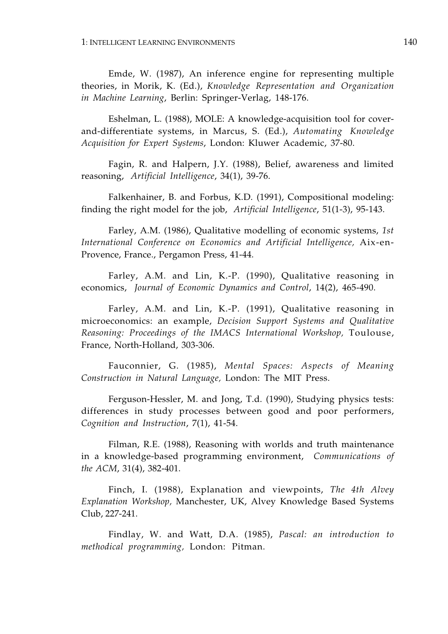Emde, W. (1987), An inference engine for representing multiple theories, in Morik, K. (Ed.), *Knowledge Representation and Organization in Machine Learning*, Berlin: Springer-Verlag, 148-176.

Eshelman, L. (1988), MOLE: A knowledge-acquisition tool for coverand-differentiate systems, in Marcus, S. (Ed.), *Automating Knowledge Acquisition for Expert Systems*, London: Kluwer Academic, 37-80.

Fagin, R. and Halpern, J.Y. (1988), Belief, awareness and limited reasoning, *Artificial Intelligence*, 34(1), 39-76.

Falkenhainer, B. and Forbus, K.D. (1991), Compositional modeling: finding the right model for the job, *Artificial Intelligence*, 51(1-3), 95-143.

Farley, A.M. (1986), Qualitative modelling of economic systems, *1st International Conference on Economics and Artificial Intelligence,* Aix-en-Provence, France., Pergamon Press, 41-44.

Farley, A.M. and Lin, K.-P. (1990), Qualitative reasoning in economics, *Journal of Economic Dynamics and Control*, 14(2), 465-490.

Farley, A.M. and Lin, K.-P. (1991), Qualitative reasoning in microeconomics: an example, *Decision Support Systems and Qualitative Reasoning: Proceedings of the IMACS International Workshop,* Toulouse, France, North-Holland, 303-306.

Fauconnier, G. (1985), *Mental Spaces: Aspects of Meaning Construction in Natural Language,* London: The MIT Press.

Ferguson-Hessler, M. and Jong, T.d. (1990), Studying physics tests: differences in study processes between good and poor performers, *Cognition and Instruction*, 7(1), 41-54.

Filman, R.E. (1988), Reasoning with worlds and truth maintenance in a knowledge-based programming environment, *Communications of the ACM*, 31(4), 382-401.

Finch, I. (1988), Explanation and viewpoints, *The 4th Alvey Explanation Workshop,* Manchester, UK, Alvey Knowledge Based Systems Club, 227-241.

Findlay, W. and Watt, D.A. (1985), *Pascal: an introduction to methodical programming,* London: Pitman.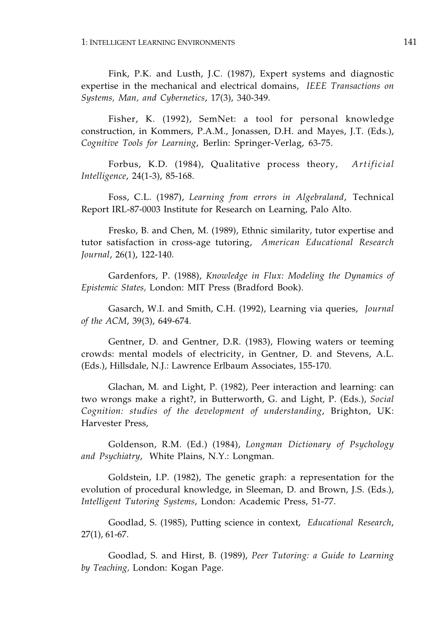Fink, P.K. and Lusth, J.C. (1987), Expert systems and diagnostic expertise in the mechanical and electrical domains, *IEEE Transactions on Systems, Man, and Cybernetics*, 17(3), 340-349.

Fisher, K. (1992), SemNet: a tool for personal knowledge construction, in Kommers, P.A.M., Jonassen, D.H. and Mayes, J.T. (Eds.), *Cognitive Tools for Learning*, Berlin: Springer-Verlag, 63-75.

Forbus, K.D. (1984), Qualitative process theory, *Artificial Intelligence*, 24(1-3), 85-168.

Foss, C.L. (1987), *Learning from errors in Algebraland*, Technical Report IRL-87-0003 Institute for Research on Learning, Palo Alto.

Fresko, B. and Chen, M. (1989), Ethnic similarity, tutor expertise and tutor satisfaction in cross-age tutoring, *American Educational Research Journal*, 26(1), 122-140.

Gardenfors, P. (1988), *Knowledge in Flux: Modeling the Dynamics of Epistemic States,* London: MIT Press (Bradford Book).

Gasarch, W.I. and Smith, C.H. (1992), Learning via queries, *Journal of the ACM*, 39(3), 649-674.

Gentner, D. and Gentner, D.R. (1983), Flowing waters or teeming crowds: mental models of electricity, in Gentner, D. and Stevens, A.L. (Eds.), Hillsdale, N.J.: Lawrence Erlbaum Associates, 155-170.

Glachan, M. and Light, P. (1982), Peer interaction and learning: can two wrongs make a right?, in Butterworth, G. and Light, P. (Eds.), *Social Cognition: studies of the development of understanding*, Brighton, UK: Harvester Press,

Goldenson, R.M. (Ed.) (1984), *Longman Dictionary of Psychology and Psychiatry*, White Plains, N.Y.: Longman.

Goldstein, I.P. (1982), The genetic graph: a representation for the evolution of procedural knowledge, in Sleeman, D. and Brown, J.S. (Eds.), *Intelligent Tutoring Systems*, London: Academic Press, 51-77.

Goodlad, S. (1985), Putting science in context, *Educational Research*, 27(1), 61-67.

Goodlad, S. and Hirst, B. (1989), *Peer Tutoring: a Guide to Learning by Teaching,* London: Kogan Page.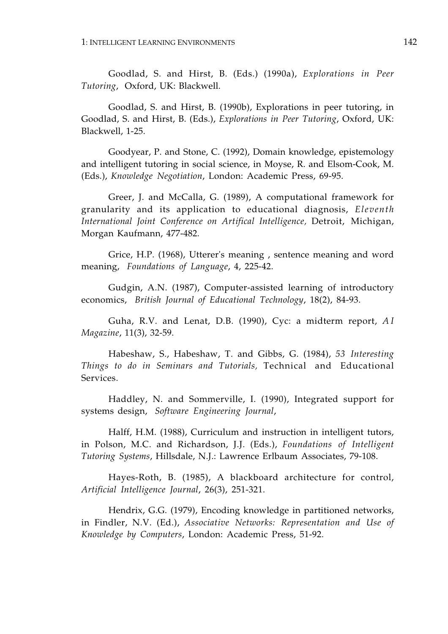Goodlad, S. and Hirst, B. (Eds.) (1990a), *Explorations in Peer Tutoring*, Oxford, UK: Blackwell.

Goodlad, S. and Hirst, B. (1990b), Explorations in peer tutoring, in Goodlad, S. and Hirst, B. (Eds.), *Explorations in Peer Tutoring*, Oxford, UK: Blackwell, 1-25.

Goodyear, P. and Stone, C. (1992), Domain knowledge, epistemology and intelligent tutoring in social science, in Moyse, R. and Elsom-Cook, M. (Eds.), *Knowledge Negotiation*, London: Academic Press, 69-95.

Greer, J. and McCalla, G. (1989), A computational framework for granularity and its application to educational diagnosis, *Eleventh International Joint Conference on Artifical Intelligence,* Detroit, Michigan, Morgan Kaufmann, 477-482.

Grice, H.P. (1968), Utterer's meaning , sentence meaning and word meaning, *Foundations of Language*, 4, 225-42.

Gudgin, A.N. (1987), Computer-assisted learning of introductory economics, *British Journal of Educational Technology*, 18(2), 84-93.

Guha, R.V. and Lenat, D.B. (1990), Cyc: a midterm report, *AI Magazine*, 11(3), 32-59.

Habeshaw, S., Habeshaw, T. and Gibbs, G. (1984), *53 Interesting Things to do in Seminars and Tutorials,* Technical and Educational Services.

Haddley, N. and Sommerville, I. (1990), Integrated support for systems design, *Software Engineering Journal*,

Halff, H.M. (1988), Curriculum and instruction in intelligent tutors, in Polson, M.C. and Richardson, J.J. (Eds.), *Foundations of Intelligent Tutoring Systems*, Hillsdale, N.J.: Lawrence Erlbaum Associates, 79-108.

Hayes-Roth, B. (1985), A blackboard architecture for control, *Artificial Intelligence Journal*, 26(3), 251-321.

Hendrix, G.G. (1979), Encoding knowledge in partitioned networks, in Findler, N.V. (Ed.), *Associative Networks: Representation and Use of Knowledge by Computers*, London: Academic Press, 51-92.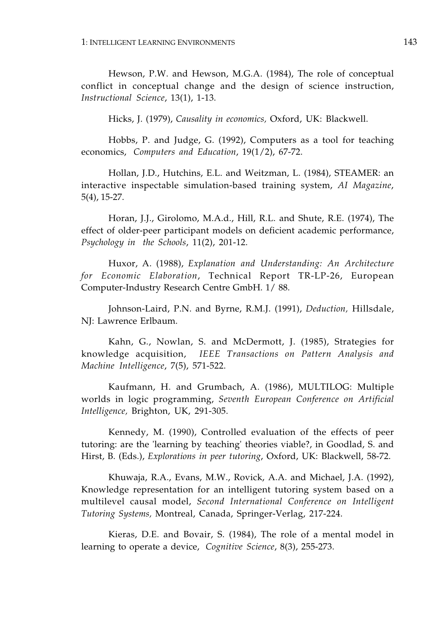Hewson, P.W. and Hewson, M.G.A. (1984), The role of conceptual conflict in conceptual change and the design of science instruction, *Instructional Science*, 13(1), 1-13.

Hicks, J. (1979), *Causality in economics,* Oxford, UK: Blackwell.

Hobbs, P. and Judge, G. (1992), Computers as a tool for teaching economics, *Computers and Education*, 19(1/2), 67-72.

Hollan, J.D., Hutchins, E.L. and Weitzman, L. (1984), STEAMER: an interactive inspectable simulation-based training system, *AI Magazine*, 5(4), 15-27.

Horan, J.J., Girolomo, M.A.d., Hill, R.L. and Shute, R.E. (1974), The effect of older-peer participant models on deficient academic performance, *Psychology in the Schools*, 11(2), 201-12.

Huxor, A. (1988), *Explanation and Understanding: An Architecture for Economic Elaboration*, Technical Report TR-LP-26, European Computer-Industry Research Centre GmbH. 1/ 88.

Johnson-Laird, P.N. and Byrne, R.M.J. (1991), *Deduction,* Hillsdale, NJ: Lawrence Erlbaum.

Kahn, G., Nowlan, S. and McDermott, J. (1985), Strategies for knowledge acquisition, *IEEE Transactions on Pattern Analysis and Machine Intelligence*, 7(5), 571-522.

Kaufmann, H. and Grumbach, A. (1986), MULTILOG: Multiple worlds in logic programming, *Seventh European Conference on Artificial Intelligence,* Brighton, UK, 291-305.

Kennedy, M. (1990), Controlled evaluation of the effects of peer tutoring: are the 'learning by teaching' theories viable?, in Goodlad, S. and Hirst, B. (Eds.), *Explorations in peer tutoring*, Oxford, UK: Blackwell, 58-72.

Khuwaja, R.A., Evans, M.W., Rovick, A.A. and Michael, J.A. (1992), Knowledge representation for an intelligent tutoring system based on a multilevel causal model, *Second International Conference on Intelligent Tutoring Systems,* Montreal, Canada, Springer-Verlag, 217-224.

Kieras, D.E. and Bovair, S. (1984), The role of a mental model in learning to operate a device, *Cognitive Science*, 8(3), 255-273.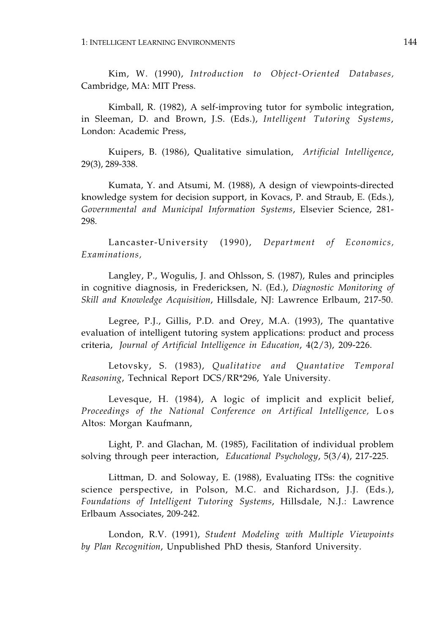Kim, W. (1990), *Introduction to Object-Oriented Databases,*  Cambridge, MA: MIT Press.

Kimball, R. (1982), A self-improving tutor for symbolic integration, in Sleeman, D. and Brown, J.S. (Eds.), *Intelligent Tutoring Systems*, London: Academic Press,

Kuipers, B. (1986), Qualitative simulation, *Artificial Intelligence*, 29(3), 289-338.

Kumata, Y. and Atsumi, M. (1988), A design of viewpoints-directed knowledge system for decision support, in Kovacs, P. and Straub, E. (Eds.), *Governmental and Municipal Information Systems*, Elsevier Science, 281 298.

Lancaster-University (1990), *Department of Economics, Examinations,* 

Langley, P., Wogulis, J. and Ohlsson, S. (1987), Rules and principles in cognitive diagnosis, in Fredericksen, N. (Ed.), *Diagnostic Monitoring of Skill and Knowledge Acquisition*, Hillsdale, NJ: Lawrence Erlbaum, 217-50.

Legree, P.J., Gillis, P.D. and Orey, M.A. (1993), The quantative evaluation of intelligent tutoring system applications: product and process criteria, *Journal of Artificial Intelligence in Education*, 4(2/3), 209-226.

Letovsky, S. (1983), *Qualitative and Quantative Temporal Reasoning*, Technical Report DCS/RR\*296, Yale University.

Levesque, H. (1984), A logic of implicit and explicit belief, *Proceedings of the National Conference on Artifical Intelligence,* Los Altos: Morgan Kaufmann,

Light, P. and Glachan, M. (1985), Facilitation of individual problem solving through peer interaction, *Educational Psychology*, 5(3/4), 217-225.

Littman, D. and Soloway, E. (1988), Evaluating ITSs: the cognitive science perspective, in Polson, M.C. and Richardson, J.J. (Eds.), *Foundations of Intelligent Tutoring Systems*, Hillsdale, N.J.: Lawrence Erlbaum Associates, 209-242.

London, R.V. (1991), *Student Modeling with Multiple Viewpoints by Plan Recognition*, Unpublished PhD thesis, Stanford University.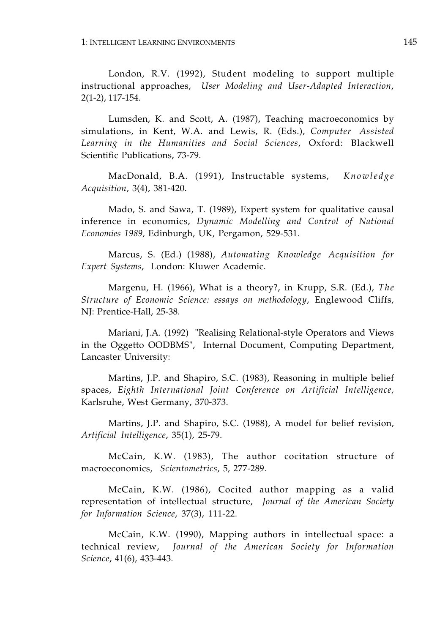London, R.V. (1992), Student modeling to support multiple instructional approaches, *User Modeling and User-Adapted Interaction*, 2(1-2), 117-154.

Lumsden, K. and Scott, A. (1987), Teaching macroeconomics by simulations, in Kent, W.A. and Lewis, R. (Eds.), *Computer Assisted Learning in the Humanities and Social Sciences*, Oxford: Blackwell Scientific Publications, 73-79.

MacDonald, B.A. (1991), Instructable systems, *Knowledge Acquisition*, 3(4), 381-420.

Mado, S. and Sawa, T. (1989), Expert system for qualitative causal inference in economics, *Dynamic Modelling and Control of National Economies 1989,* Edinburgh, UK, Pergamon, 529-531.

Marcus, S. (Ed.) (1988), *Automating Knowledge Acquisition for Expert Systems*, London: Kluwer Academic.

Margenu, H. (1966), What is a theory?, in Krupp, S.R. (Ed.), *The Structure of Economic Science: essays on methodology*, Englewood Cliffs, NJ: Prentice-Hall, 25-38.

Mariani, J.A. (1992) "Realising Relational-style Operators and Views in the Oggetto OODBMS", Internal Document, Computing Department, Lancaster University:

Martins, J.P. and Shapiro, S.C. (1983), Reasoning in multiple belief spaces, *Eighth International Joint Conference on Artificial Intelligence,*  Karlsruhe, West Germany, 370-373.

Martins, J.P. and Shapiro, S.C. (1988), A model for belief revision, *Artificial Intelligence*, 35(1), 25-79.

McCain, K.W. (1983), The author cocitation structure of macroeconomics, *Scientometrics*, 5, 277-289.

McCain, K.W. (1986), Cocited author mapping as a valid representation of intellectual structure, *Journal of the American Society for Information Science*, 37(3), 111-22.

McCain, K.W. (1990), Mapping authors in intellectual space: a technical review, *Journal of the American Society for Information Science*, 41(6), 433-443.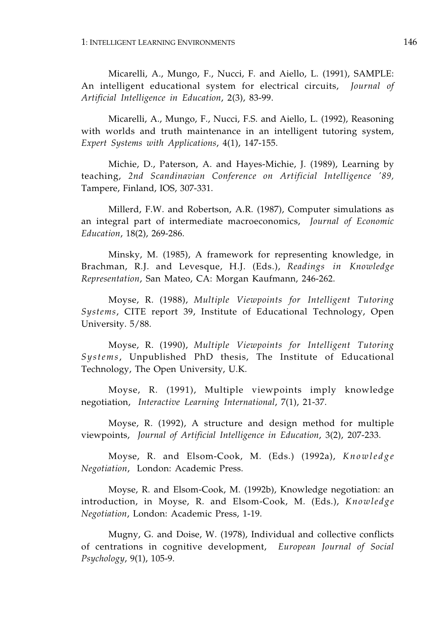Micarelli, A., Mungo, F., Nucci, F. and Aiello, L. (1991), SAMPLE: An intelligent educational system for electrical circuits, *Journal of Artificial Intelligence in Education*, 2(3), 83-99.

Micarelli, A., Mungo, F., Nucci, F.S. and Aiello, L. (1992), Reasoning with worlds and truth maintenance in an intelligent tutoring system, *Expert Systems with Applications*, 4(1), 147-155.

Michie, D., Paterson, A. and Hayes-Michie, J. (1989), Learning by teaching, *2nd Scandinavian Conference on Artificial Intelligence '89,*  Tampere, Finland, IOS, 307-331.

Millerd, F.W. and Robertson, A.R. (1987), Computer simulations as an integral part of intermediate macroeconomics, *Journal of Economic Education*, 18(2), 269-286.

Minsky, M. (1985), A framework for representing knowledge, in Brachman, R.J. and Levesque, H.J. (Eds.), *Readings in Knowledge Representation*, San Mateo, CA: Morgan Kaufmann, 246-262.

Moyse, R. (1988), *Multiple Viewpoints for Intelligent Tutoring Systems*, CITE report 39, Institute of Educational Technology, Open University. 5/88.

Moyse, R. (1990), *Multiple Viewpoints for Intelligent Tutoring Systems*, Unpublished PhD thesis, The Institute of Educational Technology, The Open University, U.K.

Moyse, R. (1991), Multiple viewpoints imply knowledge negotiation, *Interactive Learning International*, 7(1), 21-37.

Moyse, R. (1992), A structure and design method for multiple viewpoints, *Journal of Artificial Intelligence in Education*, 3(2), 207-233.

Moyse, R. and Elsom-Cook, M. (Eds.) (1992a), *Knowledge Negotiation*, London: Academic Press.

Moyse, R. and Elsom-Cook, M. (1992b), Knowledge negotiation: an introduction, in Moyse, R. and Elsom-Cook, M. (Eds.), *Knowledge Negotiation*, London: Academic Press, 1-19.

Mugny, G. and Doise, W. (1978), Individual and collective conflicts of centrations in cognitive development, *European Journal of Social Psychology*, 9(1), 105-9.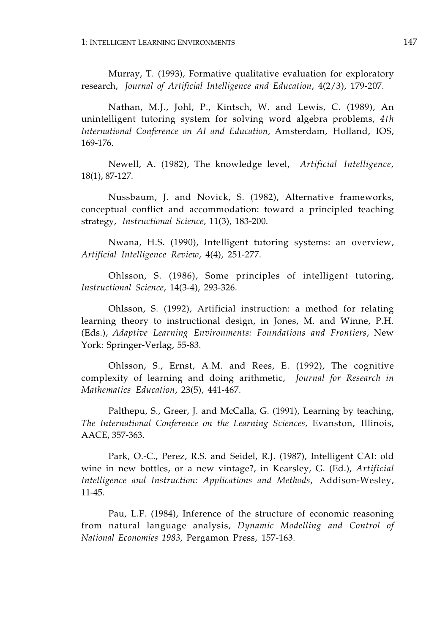Murray, T. (1993), Formative qualitative evaluation for exploratory research, *Journal of Artificial Intelligence and Education*, 4(2/3), 179-207.

Nathan, M.J., Johl, P., Kintsch, W. and Lewis, C. (1989), An unintelligent tutoring system for solving word algebra problems, *4th International Conference on AI and Education,* Amsterdam, Holland, IOS, 169-176.

Newell, A. (1982), The knowledge level, *Artificial Intelligence*, 18(1), 87-127.

Nussbaum, J. and Novick, S. (1982), Alternative frameworks, conceptual conflict and accommodation: toward a principled teaching strategy, *Instructional Science*, 11(3), 183-200.

Nwana, H.S. (1990), Intelligent tutoring systems: an overview, *Artificial Intelligence Review*, 4(4), 251-277.

Ohlsson, S. (1986), Some principles of intelligent tutoring, *Instructional Science*, 14(3-4), 293-326.

Ohlsson, S. (1992), Artificial instruction: a method for relating learning theory to instructional design, in Jones, M. and Winne, P.H. (Eds.), *Adaptive Learning Environments: Foundations and Frontiers*, New York: Springer-Verlag, 55-83.

Ohlsson, S., Ernst, A.M. and Rees, E. (1992), The cognitive complexity of learning and doing arithmetic, *Journal for Research in Mathematics Education*, 23(5), 441-467.

Palthepu, S., Greer, J. and McCalla, G. (1991), Learning by teaching, *The International Conference on the Learning Sciences,* Evanston, Illinois, AACE, 357-363.

Park, O.-C., Perez, R.S. and Seidel, R.J. (1987), Intelligent CAI: old wine in new bottles, or a new vintage?, in Kearsley, G. (Ed.), *Artificial Intelligence and Instruction: Applications and Methods*, Addison-Wesley, 11-45.

Pau, L.F. (1984), Inference of the structure of economic reasoning from natural language analysis, *Dynamic Modelling and Control of National Economies 1983,* Pergamon Press, 157-163.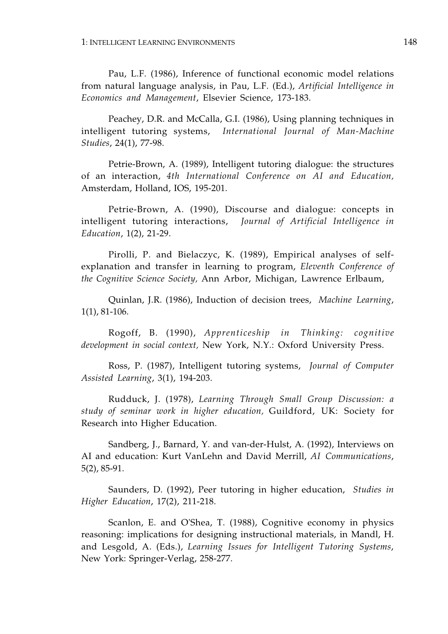Pau, L.F. (1986), Inference of functional economic model relations from natural language analysis, in Pau, L.F. (Ed.), *Artificial Intelligence in Economics and Management*, Elsevier Science, 173-183.

Peachey, D.R. and McCalla, G.I. (1986), Using planning techniques in intelligent tutoring systems, *International Journal of Man-Machine Studies*, 24(1), 77-98.

Petrie-Brown, A. (1989), Intelligent tutoring dialogue: the structures of an interaction, *4th International Conference on AI and Education,*  Amsterdam, Holland, IOS, 195-201.

Petrie-Brown, A. (1990), Discourse and dialogue: concepts in intelligent tutoring interactions, *Journal of Artificial Intelligence in Education*, 1(2), 21-29.

Pirolli, P. and Bielaczyc, K. (1989), Empirical analyses of selfexplanation and transfer in learning to program, *Eleventh Conference of the Cognitive Science Society,* Ann Arbor, Michigan, Lawrence Erlbaum,

Quinlan, J.R. (1986), Induction of decision trees, *Machine Learning*, 1(1), 81-106.

Rogoff, B. (1990), *Apprenticeship in Thinking: cognitive development in social context,* New York, N.Y.: Oxford University Press.

Ross, P. (1987), Intelligent tutoring systems, *Journal of Computer Assisted Learning*, 3(1), 194-203.

Rudduck, J. (1978), *Learning Through Small Group Discussion: a study of seminar work in higher education,* Guildford, UK: Society for Research into Higher Education.

Sandberg, J., Barnard, Y. and van-der-Hulst, A. (1992), Interviews on AI and education: Kurt VanLehn and David Merrill, *AI Communications*, 5(2), 85-91.

Saunders, D. (1992), Peer tutoring in higher education, *Studies in Higher Education*, 17(2), 211-218.

Scanlon, E. and O'Shea, T. (1988), Cognitive economy in physics reasoning: implications for designing instructional materials, in Mandl, H. and Lesgold, A. (Eds.), *Learning Issues for Intelligent Tutoring Systems*, New York: Springer-Verlag, 258-277.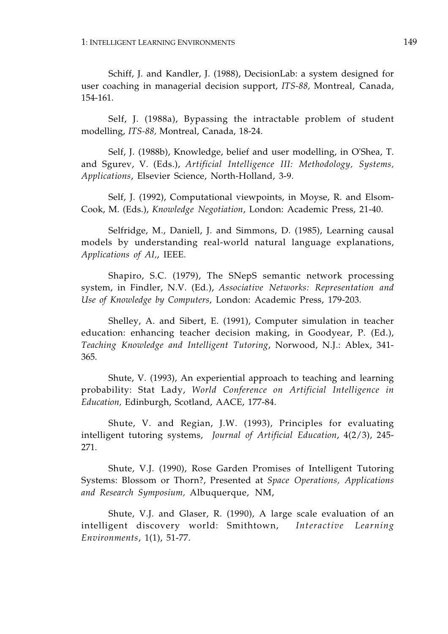Schiff, J. and Kandler, J. (1988), DecisionLab: a system designed for user coaching in managerial decision support, *ITS-88,* Montreal, Canada, 154-161.

Self, J. (1988a), Bypassing the intractable problem of student modelling, *ITS-88,* Montreal, Canada, 18-24.

Self, J. (1988b), Knowledge, belief and user modelling, in O'Shea, T. and Sgurev, V. (Eds.), *Artificial Intelligence III: Methodology, Systems, Applications*, Elsevier Science, North-Holland, 3-9.

Self, J. (1992), Computational viewpoints, in Moyse, R. and Elsom-Cook, M. (Eds.), *Knowledge Negotiation*, London: Academic Press, 21-40.

Selfridge, M., Daniell, J. and Simmons, D. (1985), Learning causal models by understanding real-world natural language explanations, *Applications of AI,*, IEEE.

Shapiro, S.C. (1979), The SNepS semantic network processing system, in Findler, N.V. (Ed.), *Associative Networks: Representation and Use of Knowledge by Computers*, London: Academic Press, 179-203.

Shelley, A. and Sibert, E. (1991), Computer simulation in teacher education: enhancing teacher decision making, in Goodyear, P. (Ed.), *Teaching Knowledge and Intelligent Tutoring*, Norwood, N.J.: Ablex, 341 365.

Shute, V. (1993), An experiential approach to teaching and learning probability: Stat Lady, *World Conference on Artificial Intelligence in Education,* Edinburgh, Scotland, AACE, 177-84.

Shute, V. and Regian, J.W. (1993), Principles for evaluating intelligent tutoring systems, *Journal of Artificial Education*, 4(2/3), 245 271.

Shute, V.J. (1990), Rose Garden Promises of Intelligent Tutoring Systems: Blossom or Thorn?, Presented at *Space Operations, Applications and Research Symposium,* Albuquerque, NM,

Shute, V.J. and Glaser, R. (1990), A large scale evaluation of an intelligent discovery world: Smithtown, *Interactive Learning Environments*, 1(1), 51-77.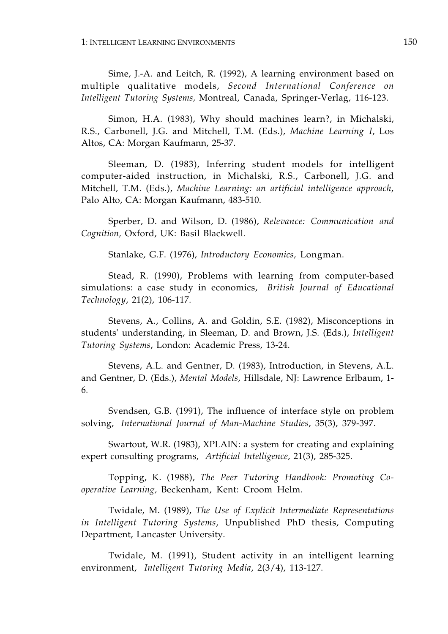Sime, J.-A. and Leitch, R. (1992), A learning environment based on multiple qualitative models, *Second International Conference on Intelligent Tutoring Systems,* Montreal, Canada, Springer-Verlag, 116-123.

Simon, H.A. (1983), Why should machines learn?, in Michalski, R.S., Carbonell, J.G. and Mitchell, T.M. (Eds.), *Machine Learning I*, Los Altos, CA: Morgan Kaufmann, 25-37.

Sleeman, D. (1983), Inferring student models for intelligent computer-aided instruction, in Michalski, R.S., Carbonell, J.G. and Mitchell, T.M. (Eds.), *Machine Learning: an artificial intelligence approach*, Palo Alto, CA: Morgan Kaufmann, 483-510.

Sperber, D. and Wilson, D. (1986), *Relevance: Communication and Cognition,* Oxford, UK: Basil Blackwell.

Stanlake, G.F. (1976), *Introductory Economics,* Longman.

Stead, R. (1990), Problems with learning from computer-based simulations: a case study in economics, *British Journal of Educational Technology*, 21(2), 106-117.

Stevens, A., Collins, A. and Goldin, S.E. (1982), Misconceptions in students' understanding, in Sleeman, D. and Brown, J.S. (Eds.), *Intelligent Tutoring Systems*, London: Academic Press, 13-24.

Stevens, A.L. and Gentner, D. (1983), Introduction, in Stevens, A.L. and Gentner, D. (Eds.), *Mental Models*, Hillsdale, NJ: Lawrence Erlbaum, 1 6.

Svendsen, G.B. (1991), The influence of interface style on problem solving, *International Journal of Man-Machine Studies*, 35(3), 379-397.

Swartout, W.R. (1983), XPLAIN: a system for creating and explaining expert consulting programs, *Artificial Intelligence*, 21(3), 285-325.

Topping, K. (1988), *The Peer Tutoring Handbook: Promoting Cooperative Learning,* Beckenham, Kent: Croom Helm.

Twidale, M. (1989), *The Use of Explicit Intermediate Representations in Intelligent Tutoring Systems*, Unpublished PhD thesis, Computing Department, Lancaster University.

Twidale, M. (1991), Student activity in an intelligent learning environment, *Intelligent Tutoring Media*, 2(3/4), 113-127.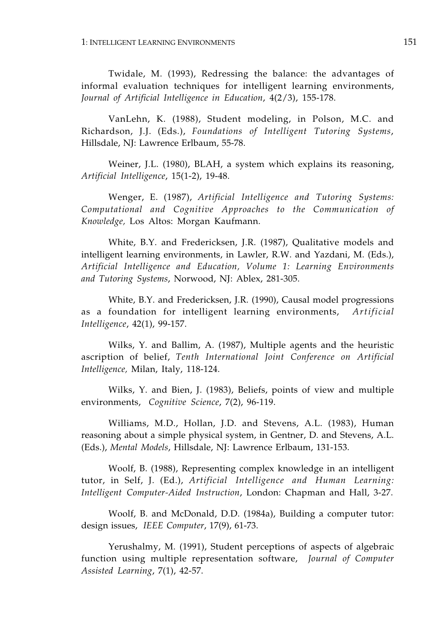Twidale, M. (1993), Redressing the balance: the advantages of informal evaluation techniques for intelligent learning environments, *Journal of Artificial Intelligence in Education*, 4(2/3), 155-178.

VanLehn, K. (1988), Student modeling, in Polson, M.C. and Richardson, J.J. (Eds.), *Foundations of Intelligent Tutoring Systems*, Hillsdale, NJ: Lawrence Erlbaum, 55-78.

Weiner, J.L. (1980), BLAH, a system which explains its reasoning, *Artificial Intelligence*, 15(1-2), 19-48.

Wenger, E. (1987), *Artificial Intelligence and Tutoring Systems: Computational and Cognitive Approaches to the Communication of Knowledge,* Los Altos: Morgan Kaufmann.

White, B.Y. and Fredericksen, J.R. (1987), Qualitative models and intelligent learning environments, in Lawler, R.W. and Yazdani, M. (Eds.), *Artificial Intelligence and Education, Volume 1: Learning Environments and Tutoring Systems*, Norwood, NJ: Ablex, 281-305.

White, B.Y. and Fredericksen, J.R. (1990), Causal model progressions as a foundation for intelligent learning environments, *Artificial Intelligence*, 42(1), 99-157.

Wilks, Y. and Ballim, A. (1987), Multiple agents and the heuristic ascription of belief, *Tenth International Joint Conference on Artificial Intelligence,* Milan, Italy, 118-124.

Wilks, Y. and Bien, J. (1983), Beliefs, points of view and multiple environments, *Cognitive Science*, 7(2), 96-119.

Williams, M.D., Hollan, J.D. and Stevens, A.L. (1983), Human reasoning about a simple physical system, in Gentner, D. and Stevens, A.L. (Eds.), *Mental Models*, Hillsdale, NJ: Lawrence Erlbaum, 131-153.

Woolf, B. (1988), Representing complex knowledge in an intelligent tutor, in Self, J. (Ed.), *Artificial Intelligence and Human Learning: Intelligent Computer-Aided Instruction*, London: Chapman and Hall, 3-27.

Woolf, B. and McDonald, D.D. (1984a), Building a computer tutor: design issues, *IEEE Computer*, 17(9), 61-73.

Yerushalmy, M. (1991), Student perceptions of aspects of algebraic function using multiple representation software, *Journal of Computer Assisted Learning*, 7(1), 42-57.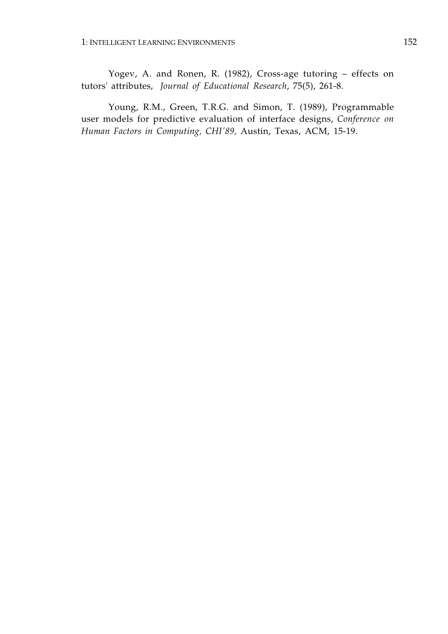Yogev, A. and Ronen, R. (1982), Cross-age tutoring – effects on tutors' attributes, *Journal of Educational Research*, 75(5), 261-8.

Young, R.M., Green, T.R.G. and Simon, T. (1989), Programmable user models for predictive evaluation of interface designs, *Conference on Human Factors in Computing, CHI'89,* Austin, Texas, ACM, 15-19.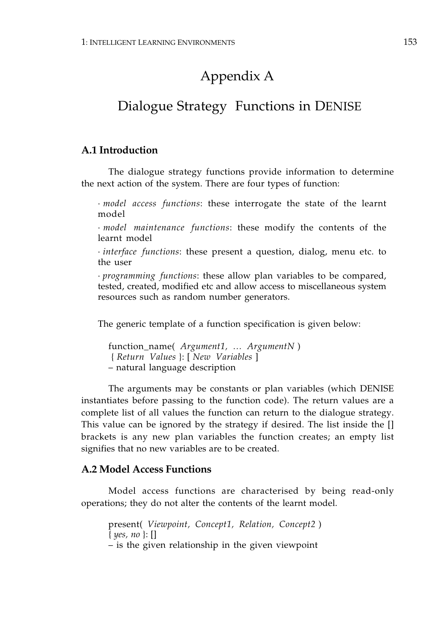# Appendix A

## Dialogue Strategy Functions in DENISE

### **A.1 Introduction**

The dialogue strategy functions provide information to determine the next action of the system. There are four types of function:

· *model access functions*: these interrogate the state of the learnt model

· *model maintenance functions*: these modify the contents of the learnt model

· *interface functions*: these present a question, dialog, menu etc. to the user

· *programming functions*: these allow plan variables to be compared, tested, created, modified etc and allow access to miscellaneous system resources such as random number generators.

The generic template of a function specification is given below:

function\_name( *Argument1, … ArgumentN* ) { *Return Values* }: [ *New Variables* ] – natural language description

The arguments may be constants or plan variables (which DENISE instantiates before passing to the function code). The return values are a complete list of all values the function can return to the dialogue strategy. This value can be ignored by the strategy if desired. The list inside the [] brackets is any new plan variables the function creates; an empty list signifies that no new variables are to be created.

#### **A.2 Model Access Functions**

Model access functions are characterised by being read-only operations; they do not alter the contents of the learnt model.

present( *Viewpoint, Concept1, Relation, Concept2* ) { *yes, no* }: [] – is the given relationship in the given viewpoint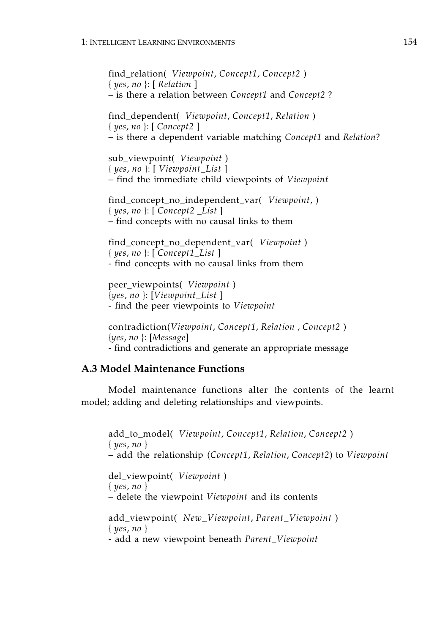find\_relation( *Viewpoint*, *Concept1*, *Concept2* ) { *yes*, *no* }: [ *Relation* ] – is there a relation between *Concept1* and *Concept2* ?

find\_dependent( *Viewpoint*, *Concept1*, *Relation* ) { *yes*, *no* }: [ *Concept2* ] – is there a dependent variable matching *Concept1* and *Relation*?

sub\_viewpoint( *Viewpoint* ) { *yes*, *no* }: [ *Viewpoint\_List* ] – find the immediate child viewpoints of *Viewpoint* 

find\_concept\_no\_independent\_var( *Viewpoint*, ) { *yes*, *no* }: [ *Concept2 \_List* ] – find concepts with no causal links to them

find\_concept\_no\_dependent\_var( *Viewpoint* ) { *yes*, *no* }: [ *Concept1\_List* ] - find concepts with no causal links from them

peer\_viewpoints( *Viewpoint* ) {*yes*, *no* }: [*Viewpoint\_List* ] - find the peer viewpoints to *Viewpoint* 

contradiction(*Viewpoint*, *Concept1*, *Relation* , *Concept2* ) {*yes*, *no* }: [*Message*] - find contradictions and generate an appropriate message

### **A.3 Model Maintenance Functions**

Model maintenance functions alter the contents of the learnt model; adding and deleting relationships and viewpoints.

add\_to\_model( *Viewpoint*, *Concept1*, *Relation*, *Concept2* ) { *yes*, *no* } – add the relationship (*Concept1*, *Relation*, *Concept2*) to *Viewpoint*  del\_viewpoint( *Viewpoint* ) { *yes*, *no* } – delete the viewpoint *Viewpoint* and its contents add\_viewpoint( *New\_Viewpoint*, *Parent\_Viewpoint* ) { *yes*, *no* } - add a new viewpoint beneath *Parent\_Viewpoint*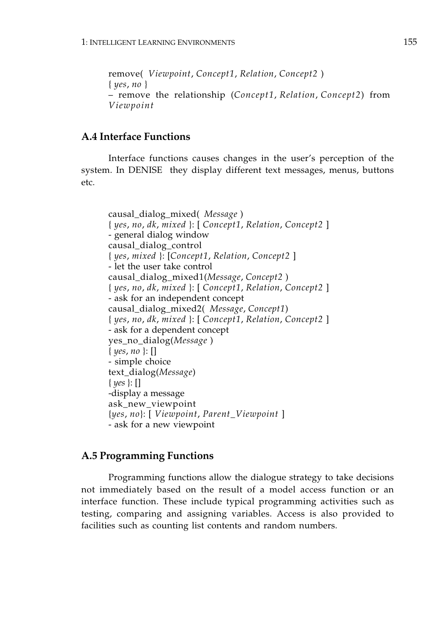remove( *Viewpoint*, *Concept1*, *Relation*, *Concept2* ) { *yes*, *no* } – remove the relationship (*Concept1*, *Relation*, *Concept2*) from *Viewpoint* 

### **A.4 Interface Functions**

Interface functions causes changes in the user's perception of the system. In DENISE they display different text messages, menus, buttons etc.

```
causal_dialog_mixed( Message )
{ yes, no, dk, mixed }: [ Concept1, Relation, Concept2 ]
- general dialog window
causal_dialog_control
{ yes, mixed }: [Concept1, Relation, Concept2 ]
- let the user take control
causal_dialog_mixed1(Message, Concept2 )
{ yes, no, dk, mixed }: [ Concept1, Relation, Concept2 ]
- ask for an independent concept
causal_dialog_mixed2( Message, Concept1)
{ yes, no, dk, mixed }: [ Concept1, Relation, Concept2 ]
- ask for a dependent concept
yes_no_dialog(Message )
{ yes, no }: []
- simple choice
text_dialog(Message)
{ yes }: []
-display a message
ask_new_viewpoint
{yes, no}: [ Viewpoint, Parent_Viewpoint ]
- ask for a new viewpoint
```
### **A.5 Programming Functions**

Programming functions allow the dialogue strategy to take decisions not immediately based on the result of a model access function or an interface function. These include typical programming activities such as testing, comparing and assigning variables. Access is also provided to facilities such as counting list contents and random numbers.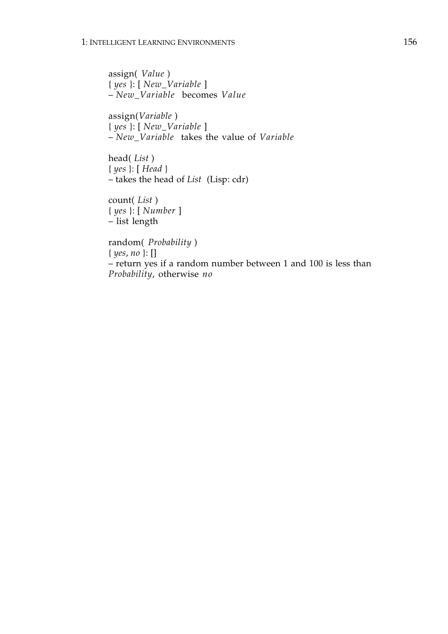assign( *Value* ) { *yes* }: [ *New\_Variable* ] – *New\_Variable* becomes *Value* 

assign(*Variable* ) { *yes* }: [ *New\_Variable* ] – *New\_Variable* takes the value of *Variable* 

head( *List* ) { *yes* }: [ *Head* } – takes the head of *List* (Lisp: cdr)

count( *List* ) { *yes* }: [ *Number* ] – list length

random( *Probability* ) { *yes*, *no* }: [] – return yes if a random number between 1 and 100 is less than *Probability*, otherwise *no*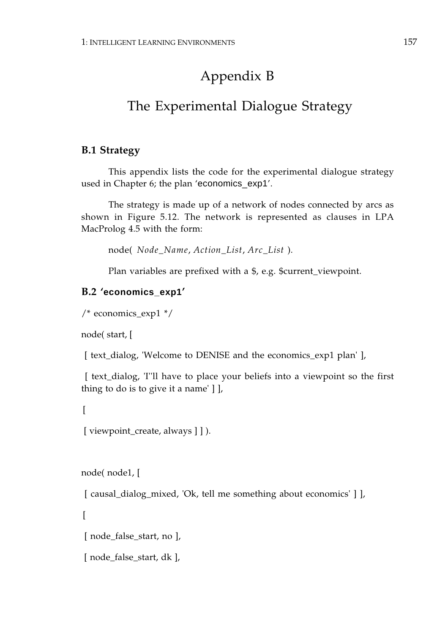# Appendix B

# The Experimental Dialogue Strategy

## **B.1 Strategy**

This appendix lists the code for the experimental dialogue strategy used in Chapter 6; the plan 'economics\_exp1'.

The strategy is made up of a network of nodes connected by arcs as shown in Figure 5.12. The network is represented as clauses in LPA MacProlog 4.5 with the form:

node( *Node\_Name*, *Action\_List*, *Arc\_List* ).

Plan variables are prefixed with a \$, e.g. \$current\_viewpoint.

## **B.2 'economics\_exp1'**

```
/* economics_exp1 */
```
node( start, [

[ text\_dialog, 'Welcome to DENISE and the economics\_exp1 plan' ],

 [ text\_dialog, 'I''ll have to place your beliefs into a viewpoint so the first thing to do is to give it a name' ] ],

 $\lceil$ 

```
 [ viewpoint_create, always ] ] ).
```
node( node1, [

[ causal\_dialog\_mixed, 'Ok, tell me something about economics' ] ],

 $\sqrt{ }$ 

[ node\_false\_start, no ],

```
[ node_false_start, dk ],
```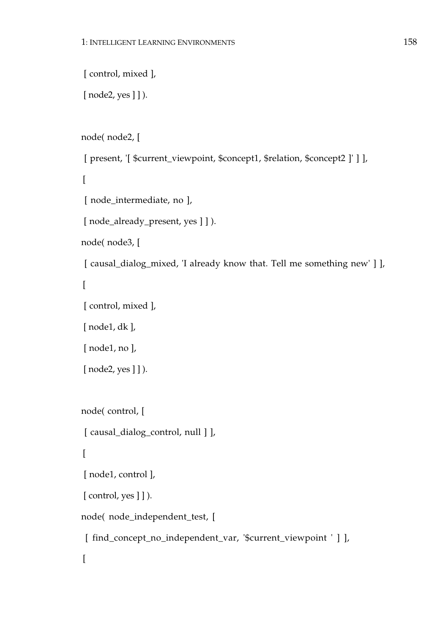```
[ control, mixed ],
[node2, yes] ] ).
node( node2, [
 [ present, '[ $current_viewpoint, $concept1, $relation, $concept2 ]' ] ],
\Gamma [ node_intermediate, no ],
[ node_already_present, yes ] ] ).
node( node3, [
[ causal_dialog_mixed, 'I already know that. Tell me something new' ] ],
\sqrt{ } [ control, mixed ],
 [ node1, dk ],
 [ node1, no ],
[node2, yes] ] ).
node( control, [
[ causal_dialog_control, null ] ],
\left[ \right] [ node1, control ],
[ control, yes ] ] ).
node( node_independent_test, [
 [ find_concept_no_independent_var, '$current_viewpoint ' ] ],
\lceil
```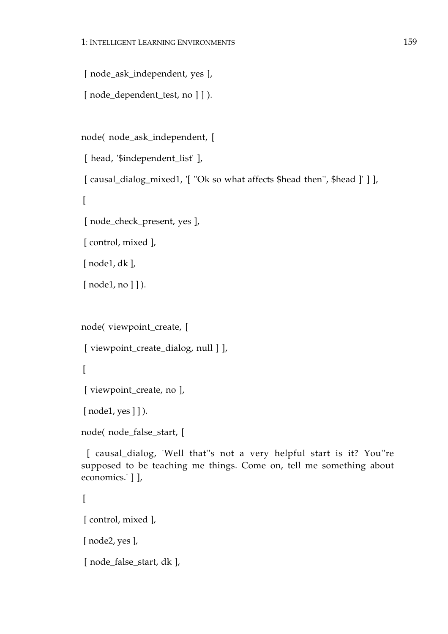[ node\_ask\_independent, yes ],

```
[ node dependent test, no ] ] ).
```
node( node\_ask\_independent, [

[ head, '\$independent\_list' ],

[ causal\_dialog\_mixed1, '[ ''Ok so what affects \$head then'', \$head ]' ] ],

 $\Gamma$ 

[ node\_check\_present, yes ],

[ control, mixed ],

[ node1, dk ],

[ $node1, no$ ] ]).

node( viewpoint\_create, [

[ viewpoint\_create\_dialog, null ] ],

 $\left[ \right]$ 

[ viewpoint\_create, no ],

[ $node1, yes$ ] ]).

node( node\_false\_start, [

 [ causal\_dialog, 'Well that''s not a very helpful start is it? You''re supposed to be teaching me things. Come on, tell me something about economics.' ] ],

```
\left[ \right] [ control, mixed ],

 [ node2, yes ],

[ node_false_start, dk ],
```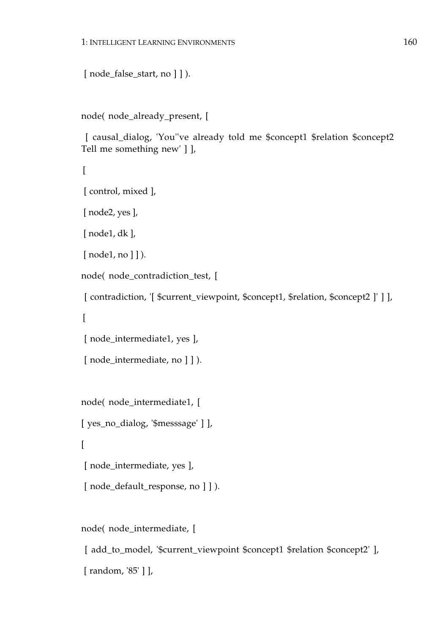```
[node_false_start, no] ]).
```

```
node( node_already_present, [
```
 [ causal\_dialog, 'You''ve already told me \$concept1 \$relation \$concept2 Tell me something new' ] ],

```
\left[ \right]
```

```
 [ control, mixed ],
```
[ node2, yes ],

[ node1, dk ],

[ $node1, no$ ] ]).

node( node\_contradiction\_test, [

```
 [ contradiction, '[ $current_viewpoint, $concept1, $relation, $concept2 ]' ] ],

\Gamma
```
[ node\_intermediate1, yes ],

```
[ node_intermediate, no ] ] ).
```
node( node\_intermediate1, [

[ yes\_no\_dialog, '\$messsage' ] ],

[

[ node\_intermediate, yes ],

[ node\_default\_response, no ] ] ).

node( node\_intermediate, [

 [ add\_to\_model, '\$current\_viewpoint \$concept1 \$relation \$concept2' ], [ random, '85' ] ],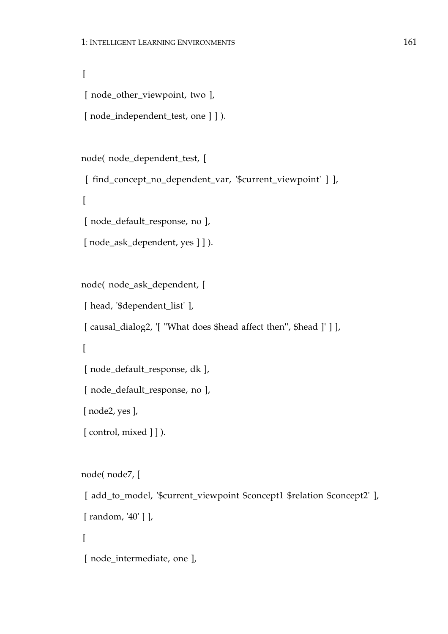```
\overline{[}[ node_other_viewpoint, two ],
[ node_independent_test, one ] ] ).
node( node_dependent_test, [
 [ find_concept_no_dependent_var, '$current_viewpoint' ] ],
\Gamma [ node_default_response, no ],

[ node_ask_dependent, yes ] ] ).
node( node_ask_dependent, [

 [ head, '$dependent_list' ],

 [ causal_dialog2, '[ ''What does $head affect then'', $head ]' ] ],

\left[ \right] [ node_default_response, dk ],

 [ node_default_response, no ],

 [ node2, yes ],

[ control, mixed ] ] ).
node( node7, [

 [ add_to_model, '$current_viewpoint $concept1 $relation $concept2' ],

 [ random, '40' ] ],
```

```
 [ node_intermediate, one ],
```
 $\Gamma$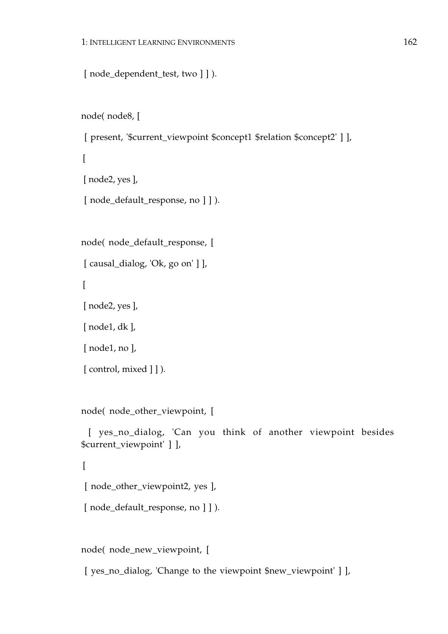```
[ node_dependent_test, two ] ] ).
```

```
node( node8, [
```

```
 [ present, '$current_viewpoint $concept1 $relation $concept2' ] ],
```

```
\overline{[} [ node2, yes ],
[ node_default_response, no ] ] ).
```
node( node\_default\_response, [

```
[ causal_dialog, 'Ok, go on' ] ],
```
 $\Gamma$ 

[ node2, yes ],

[ node1, dk ],

[ node1, no ],

```
[ control, mixed ] ] ).
```
node( node\_other\_viewpoint, [

```
 [ yes_no_dialog, 'Can you think of another viewpoint besides 
$current_viewpoint' ] ],
```
### $\sqrt{ }$

```
 [ node_other_viewpoint2, yes ],
```

```
[ node_default_response, no ] ] ).
```
node( node\_new\_viewpoint, [

[ yes\_no\_dialog, 'Change to the viewpoint \$new\_viewpoint' ] ],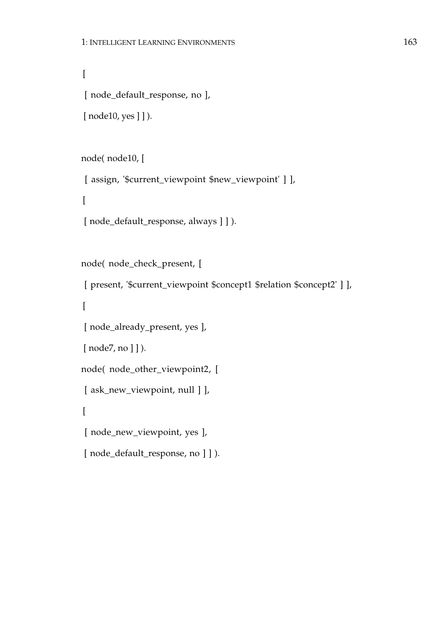```
\overline{[} [ node_default_response, no ],
[ node10, yes ] ] ).
```

```
node( node10, [
```
 $\Gamma$ 

[ assign, '\$current\_viewpoint \$new\_viewpoint' ] ],

```
[ node_default_response, always ] ] ).
```

```
node( node_check_present, [
```
 [ present, '\$current\_viewpoint \$concept1 \$relation \$concept2' ] ],  $\Gamma$  [ node\_already\_present, yes ], [ $node7, no$ ] ] ). node( node\_other\_viewpoint2, [ [ ask\_new\_viewpoint, null ] ],

 $\overline{[}$ 

```
 [ node_new_viewpoint, yes ],
```

```
 [ node_default_response, no ] ] ).
```